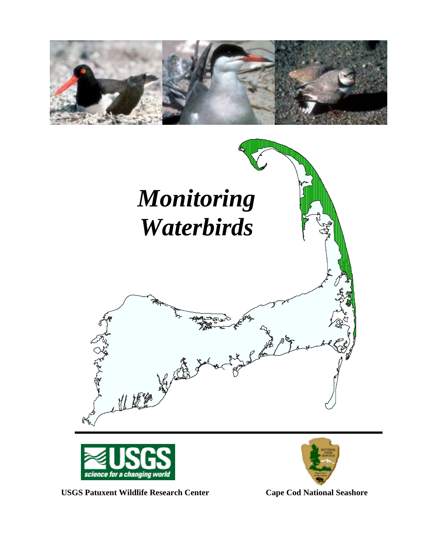





USGS Patuxent Wildlife Research Center **Cape Cod National Seashore** 

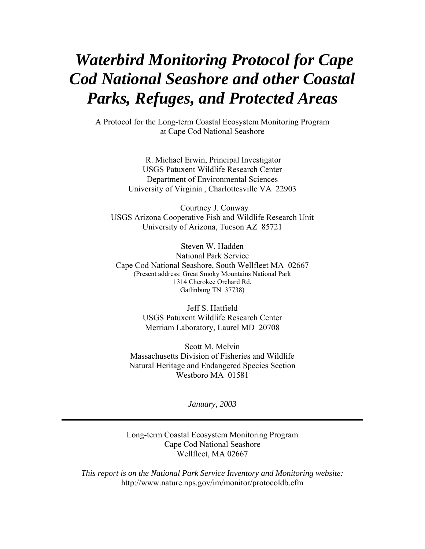# *Waterbird Monitoring Protocol for Cape Cod National Seashore and other Coastal Parks, Refuges, and Protected Areas*

A Protocol for the Long-term Coastal Ecosystem Monitoring Program at Cape Cod National Seashore

> R. Michael Erwin, Principal Investigator USGS Patuxent Wildlife Research Center Department of Environmental Sciences University of Virginia , Charlottesville VA 22903

 Courtney J. Conway USGS Arizona Cooperative Fish and Wildlife Research Unit University of Arizona, Tucson AZ 85721

Steven W. Hadden National Park Service Cape Cod National Seashore, South Wellfleet MA 02667 (Present address: Great Smoky Mountains National Park 1314 Cherokee Orchard Rd. Gatlinburg TN 37738)

> Jeff S. Hatfield USGS Patuxent Wildlife Research Center Merriam Laboratory, Laurel MD 20708

Scott M. Melvin Massachusetts Division of Fisheries and Wildlife Natural Heritage and Endangered Species Section Westboro MA 01581

*January, 2003* 

Long-term Coastal Ecosystem Monitoring Program Cape Cod National Seashore Wellfleet, MA 02667

*This report is on the National Park Service Inventory and Monitoring website:*  http://www.nature.nps.gov/im/monitor/protocoldb.cfm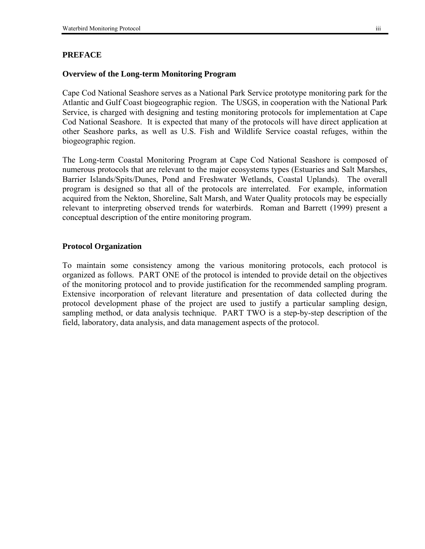# **PREFACE**

# **Overview of the Long-term Monitoring Program**

Cape Cod National Seashore serves as a National Park Service prototype monitoring park for the Atlantic and Gulf Coast biogeographic region. The USGS, in cooperation with the National Park Service, is charged with designing and testing monitoring protocols for implementation at Cape Cod National Seashore. It is expected that many of the protocols will have direct application at other Seashore parks, as well as U.S. Fish and Wildlife Service coastal refuges, within the biogeographic region.

The Long-term Coastal Monitoring Program at Cape Cod National Seashore is composed of numerous protocols that are relevant to the major ecosystems types (Estuaries and Salt Marshes, Barrier Islands/Spits/Dunes, Pond and Freshwater Wetlands, Coastal Uplands). The overall program is designed so that all of the protocols are interrelated. For example, information acquired from the Nekton, Shoreline, Salt Marsh, and Water Quality protocols may be especially relevant to interpreting observed trends for waterbirds. Roman and Barrett (1999) present a conceptual description of the entire monitoring program.

# **Protocol Organization**

To maintain some consistency among the various monitoring protocols, each protocol is organized as follows. PART ONE of the protocol is intended to provide detail on the objectives of the monitoring protocol and to provide justification for the recommended sampling program. Extensive incorporation of relevant literature and presentation of data collected during the protocol development phase of the project are used to justify a particular sampling design, sampling method, or data analysis technique. PART TWO is a step-by-step description of the field, laboratory, data analysis, and data management aspects of the protocol.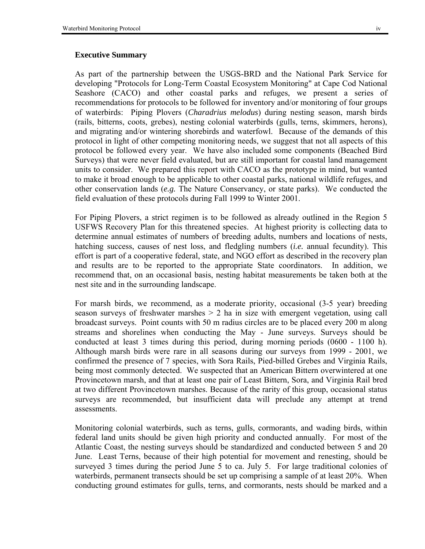#### **Executive Summary**

As part of the partnership between the USGS-BRD and the National Park Service for developing "Protocols for Long-Term Coastal Ecosystem Monitoring" at Cape Cod National Seashore (CACO) and other coastal parks and refuges, we present a series of recommendations for protocols to be followed for inventory and/or monitoring of four groups of waterbirds: Piping Plovers (*Charadrius melodus*) during nesting season, marsh birds (rails, bitterns, coots, grebes), nesting colonial waterbirds (gulls, terns, skimmers, herons), and migrating and/or wintering shorebirds and waterfowl. Because of the demands of this protocol in light of other competing monitoring needs, we suggest that not all aspects of this protocol be followed every year. We have also included some components (Beached Bird Surveys) that were never field evaluated, but are still important for coastal land management units to consider. We prepared this report with CACO as the prototype in mind, but wanted to make it broad enough to be applicable to other coastal parks, national wildlife refuges, and other conservation lands (*e.g.* The Nature Conservancy, or state parks). We conducted the field evaluation of these protocols during Fall 1999 to Winter 2001.

For Piping Plovers, a strict regimen is to be followed as already outlined in the Region 5 USFWS Recovery Plan for this threatened species. At highest priority is collecting data to determine annual estimates of numbers of breeding adults, numbers and locations of nests, hatching success, causes of nest loss, and fledgling numbers (*i.e.* annual fecundity). This effort is part of a cooperative federal, state, and NGO effort as described in the recovery plan and results are to be reported to the appropriate State coordinators. In addition, we recommend that, on an occasional basis, nesting habitat measurements be taken both at the nest site and in the surrounding landscape.

For marsh birds, we recommend, as a moderate priority, occasional (3-5 year) breeding season surveys of freshwater marshes > 2 ha in size with emergent vegetation, using call broadcast surveys. Point counts with 50 m radius circles are to be placed every 200 m along streams and shorelines when conducting the May - June surveys. Surveys should be conducted at least 3 times during this period, during morning periods (0600 - 1100 h). Although marsh birds were rare in all seasons during our surveys from 1999 - 2001, we confirmed the presence of 7 species, with Sora Rails, Pied-billed Grebes and Virginia Rails, being most commonly detected. We suspected that an American Bittern overwintered at one Provincetown marsh, and that at least one pair of Least Bittern, Sora, and Virginia Rail bred at two different Provincetown marshes. Because of the rarity of this group, occasional status surveys are recommended, but insufficient data will preclude any attempt at trend assessments.

Monitoring colonial waterbirds, such as terns, gulls, cormorants, and wading birds, within federal land units should be given high priority and conducted annually. For most of the Atlantic Coast, the nesting surveys should be standardized and conducted between 5 and 20 June. Least Terns, because of their high potential for movement and renesting, should be surveyed 3 times during the period June 5 to ca. July 5. For large traditional colonies of waterbirds, permanent transects should be set up comprising a sample of at least 20%. When conducting ground estimates for gulls, terns, and cormorants, nests should be marked and a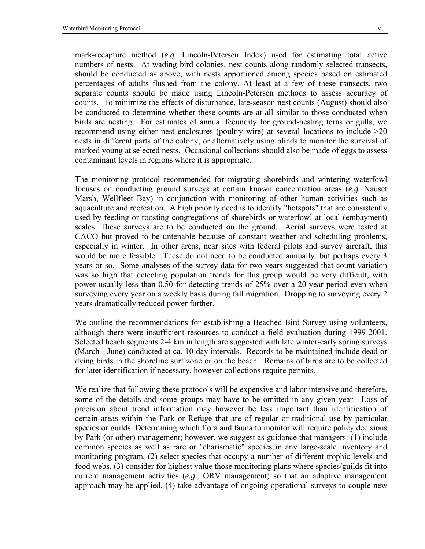mark-recapture method (*e.g.* Lincoln-Petersen Index) used for estimating total active numbers of nests. At wading bird colonies, nest counts along randomly selected transects, should be conducted as above, with nests apportioned among species based on estimated percentages of adults flushed from the colony. At least at a few of these transects, two separate counts should be made using Lincoln-Petersen methods to assess accuracy of counts. To minimize the effects of disturbance, late-season nest counts (August) should also be conducted to determine whether these counts are at all similar to those conducted when birds are nesting. For estimates of annual fecundity for ground-nesting terns or gulls, we recommend using either nest enclosures (poultry wire) at several locations to include >20 nests in different parts of the colony, or alternatively using blinds to monitor the survival of marked young at selected nests. Occasional collections should also be made of eggs to assess contaminant levels in regions where it is appropriate.

The monitoring protocol recommended for migrating shorebirds and wintering waterfowl focuses on conducting ground surveys at certain known concentration areas (*e.g.* Nauset Marsh, Wellfleet Bay) in conjunction with monitoring of other human activities such as aquaculture and recreation. A high priority need is to identify "hotspots" that are consistently used by feeding or roosting congregations of shorebirds or waterfowl at local (embayment) scales. These surveys are to be conducted on the ground. Aerial surveys were tested at CACO but proved to be untenable because of constant weather and scheduling problems, especially in winter. In other areas, near sites with federal pilots and survey aircraft, this would be more feasible. These do not need to be conducted annually, but perhaps every 3 years or so. Some analyses of the survey data for two years suggested that count variation was so high that detecting population trends for this group would be very difficult, with power usually less than 0.50 for detecting trends of 25% over a 20-year period even when surveying every year on a weekly basis during fall migration. Dropping to surveying every 2 years dramatically reduced power further.

We outline the recommendations for establishing a Beached Bird Survey using volunteers, although there were insufficient resources to conduct a field evaluation during 1999-2001. Selected beach segments 2-4 km in length are suggested with late winter-early spring surveys (March - June) conducted at ca. 10-day intervals. Records to be maintained include dead or dying birds in the shoreline surf zone or on the beach. Remains of birds are to be collected for later identification if necessary, however collections require permits.

We realize that following these protocols will be expensive and labor intensive and therefore, some of the details and some groups may have to be omitted in any given year. Loss of precision about trend information may however be less important than identification of certain areas within the Park or Refuge that are of regular or traditional use by particular species or guilds. Determining which flora and fauna to monitor will require policy decisions by Park (or other) management; however, we suggest as guidance that managers: (1) include common species as well as rare or "charismatic" species in any large-scale inventory and monitoring program, (2) select species that occupy a number of different trophic levels and food webs, (3) consider for highest value those monitoring plans where species/guilds fit into current management activities (*e.g.*, ORV management) so that an adaptive management approach may be applied, (4) take advantage of ongoing operational surveys to couple new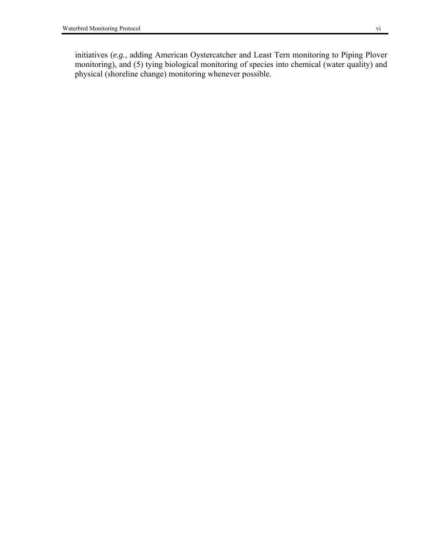initiatives (*e.g.*, adding American Oystercatcher and Least Tern monitoring to Piping Plover monitoring), and (5) tying biological monitoring of species into chemical (water quality) and physical (shoreline change) monitoring whenever possible.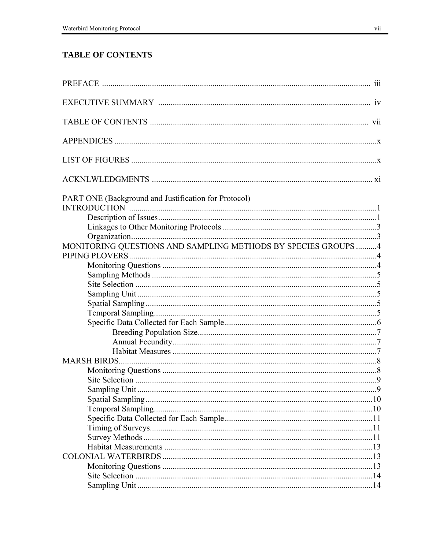# **TABLE OF CONTENTS**

| PART ONE (Background and Justification for Protocol)           |  |
|----------------------------------------------------------------|--|
|                                                                |  |
|                                                                |  |
|                                                                |  |
|                                                                |  |
| MONITORING QUESTIONS AND SAMPLING METHODS BY SPECIES GROUPS  4 |  |
|                                                                |  |
|                                                                |  |
|                                                                |  |
|                                                                |  |
|                                                                |  |
|                                                                |  |
|                                                                |  |
|                                                                |  |
|                                                                |  |
|                                                                |  |
|                                                                |  |
|                                                                |  |
|                                                                |  |
|                                                                |  |
|                                                                |  |
|                                                                |  |
|                                                                |  |
|                                                                |  |
|                                                                |  |
|                                                                |  |
|                                                                |  |
|                                                                |  |
|                                                                |  |
|                                                                |  |
|                                                                |  |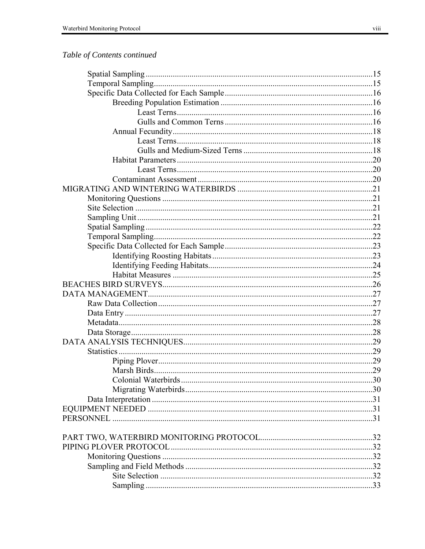# Table of Contents continued

| Colonial Waterbirds | 30 |
|---------------------|----|
|                     |    |
|                     |    |
|                     |    |
| <b>PERSONNEL</b>    |    |
|                     |    |
|                     |    |
|                     |    |
|                     |    |
|                     |    |
|                     |    |
|                     |    |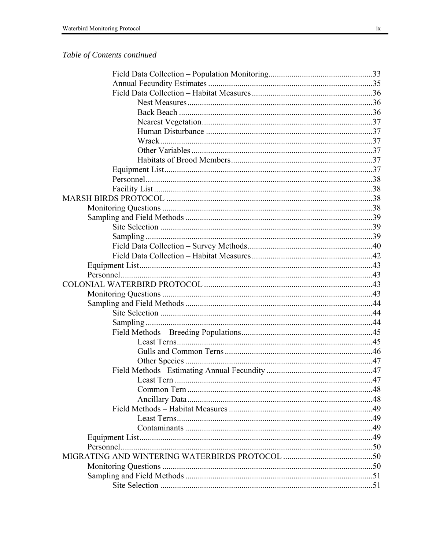# Table of Contents continued

| Least Tern | .47 |
|------------|-----|
|            |     |
|            |     |
|            |     |
|            |     |
|            |     |
|            |     |
|            |     |
|            |     |
|            |     |
|            |     |
|            |     |
|            |     |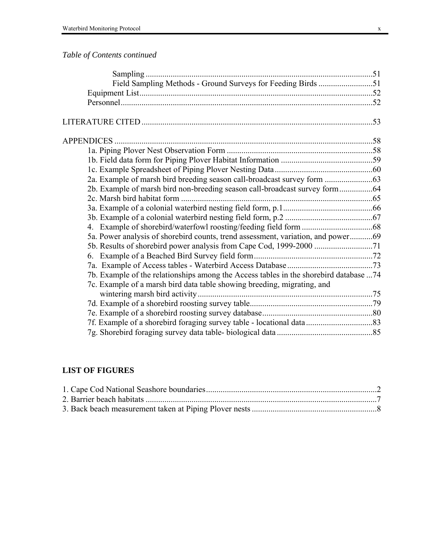# *Table of Contents continued*

| 5a. Power analysis of shorebird counts, trend assessment, variation, and power69       |  |
|----------------------------------------------------------------------------------------|--|
|                                                                                        |  |
|                                                                                        |  |
|                                                                                        |  |
| 7b. Example of the relationships among the Access tables in the shorebird database  74 |  |
| 7c. Example of a marsh bird data table showing breeding, migrating, and                |  |
|                                                                                        |  |
|                                                                                        |  |
|                                                                                        |  |
|                                                                                        |  |
|                                                                                        |  |
|                                                                                        |  |

# **LIST OF FIGURES**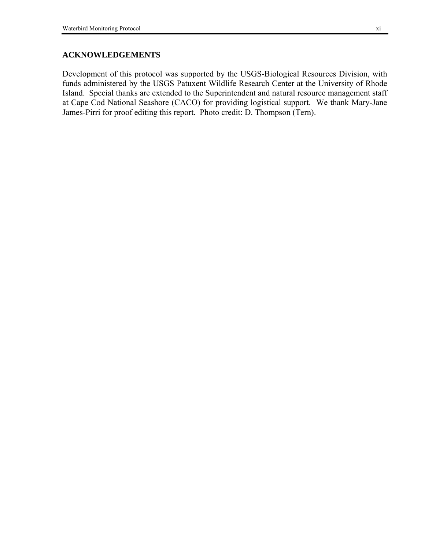# **ACKNOWLEDGEMENTS**

Development of this protocol was supported by the USGS-Biological Resources Division, with funds administered by the USGS Patuxent Wildlife Research Center at the University of Rhode Island. Special thanks are extended to the Superintendent and natural resource management staff at Cape Cod National Seashore (CACO) for providing logistical support. We thank Mary-Jane James-Pirri for proof editing this report. Photo credit: D. Thompson (Tern).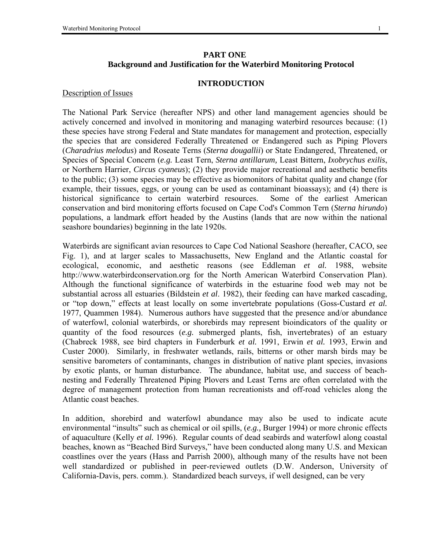# **PART ONE Background and Justification for the Waterbird Monitoring Protocol**

#### **INTRODUCTION**

#### Description of Issues

The National Park Service (hereafter NPS) and other land management agencies should be actively concerned and involved in monitoring and managing waterbird resources because: (1) these species have strong Federal and State mandates for management and protection, especially the species that are considered Federally Threatened or Endangered such as Piping Plovers (*Charadrius melodus*) and Roseate Terns (*Sterna dougallii*) or State Endangered, Threatened, or Species of Special Concern (*e.g.* Least Tern, *Sterna antillarum,* Least Bittern, *Ixobrychus exilis*, or Northern Harrier, *Circus cyaneus*); (2) they provide major recreational and aesthetic benefits to the public; (3) some species may be effective as biomonitors of habitat quality and change (for example, their tissues, eggs, or young can be used as contaminant bioassays); and (4) there is historical significance to certain waterbird resources. Some of the earliest American conservation and bird monitoring efforts focused on Cape Cod's Common Tern (*Sterna hirundo*) populations, a landmark effort headed by the Austins (lands that are now within the national seashore boundaries) beginning in the late 1920s.

Waterbirds are significant avian resources to Cape Cod National Seashore (hereafter, CACO, see Fig. 1), and at larger scales to Massachusetts, New England and the Atlantic coastal for ecological, economic, and aesthetic reasons (see Eddleman *et al.* 1988, website http://www.waterbirdconservation.org for the North American Waterbird Conservation Plan). Although the functional significance of waterbirds in the estuarine food web may not be substantial across all estuaries (Bildstein *et al*. 1982), their feeding can have marked cascading, or "top down," effects at least locally on some invertebrate populations (Goss-Custard *et al.*) 1977, Quammen 1984). Numerous authors have suggested that the presence and/or abundance of waterfowl, colonial waterbirds, or shorebirds may represent bioindicators of the quality or quantity of the food resources (*e.g.* submerged plants, fish, invertebrates) of an estuary (Chabreck 1988, see bird chapters in Funderburk *et al.* 1991, Erwin *et al.* 1993, Erwin and Custer 2000). Similarly, in freshwater wetlands, rails, bitterns or other marsh birds may be sensitive barometers of contaminants, changes in distribution of native plant species, invasions by exotic plants, or human disturbance. The abundance, habitat use, and success of beachnesting and Federally Threatened Piping Plovers and Least Terns are often correlated with the degree of management protection from human recreationists and off-road vehicles along the Atlantic coast beaches.

In addition, shorebird and waterfowl abundance may also be used to indicate acute environmental "insults" such as chemical or oil spills, (*e.g.*, Burger 1994) or more chronic effects of aquaculture (Kelly *et al.* 1996). Regular counts of dead seabirds and waterfowl along coastal beaches, known as "Beached Bird Surveys," have been conducted along many U.S. and Mexican coastlines over the years (Hass and Parrish 2000), although many of the results have not been well standardized or published in peer-reviewed outlets (D.W. Anderson, University of California-Davis, pers. comm.). Standardized beach surveys, if well designed, can be very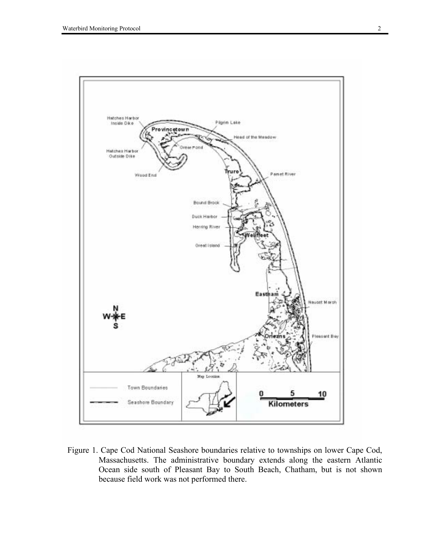

Figure 1. Cape Cod National Seashore boundaries relative to townships on lower Cape Cod, Massachusetts. The administrative boundary extends along the eastern Atlantic Ocean side south of Pleasant Bay to South Beach, Chatham, but is not shown because field work was not performed there.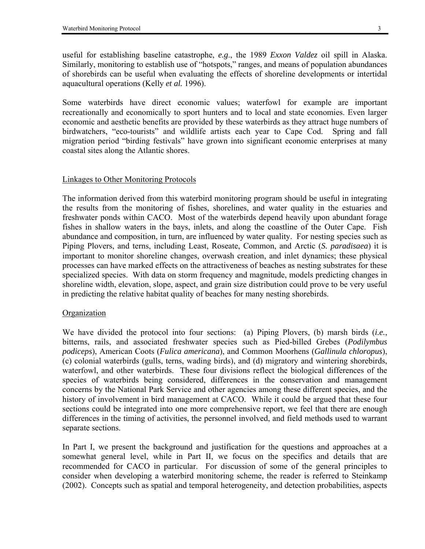useful for establishing baseline catastrophe, *e.g*., the 1989 *Exxon Valdez* oil spill in Alaska. Similarly, monitoring to establish use of "hotspots," ranges, and means of population abundances of shorebirds can be useful when evaluating the effects of shoreline developments or intertidal aquacultural operations (Kelly *et al.* 1996).

Some waterbirds have direct economic values; waterfowl for example are important recreationally and economically to sport hunters and to local and state economies. Even larger economic and aesthetic benefits are provided by these waterbirds as they attract huge numbers of birdwatchers, "eco-tourists" and wildlife artists each year to Cape Cod. Spring and fall migration period "birding festivals" have grown into significant economic enterprises at many coastal sites along the Atlantic shores.

#### Linkages to Other Monitoring Protocols

The information derived from this waterbird monitoring program should be useful in integrating the results from the monitoring of fishes, shorelines, and water quality in the estuaries and freshwater ponds within CACO. Most of the waterbirds depend heavily upon abundant forage fishes in shallow waters in the bays, inlets, and along the coastline of the Outer Cape. Fish abundance and composition, in turn, are influenced by water quality. For nesting species such as Piping Plovers, and terns, including Least, Roseate, Common, and Arctic (*S. paradisaea*) it is important to monitor shoreline changes, overwash creation, and inlet dynamics; these physical processes can have marked effects on the attractiveness of beaches as nesting substrates for these specialized species. With data on storm frequency and magnitude, models predicting changes in shoreline width, elevation, slope, aspect, and grain size distribution could prove to be very useful in predicting the relative habitat quality of beaches for many nesting shorebirds.

#### **Organization**

We have divided the protocol into four sections: (a) Piping Plovers, (b) marsh birds (*i.e.*, bitterns, rails, and associated freshwater species such as Pied-billed Grebes (*Podilymbus podiceps*), American Coots (*Fulica americana*), and Common Moorhens (*Gallinula chloropus*), (c) colonial waterbirds (gulls, terns, wading birds), and (d) migratory and wintering shorebirds, waterfowl, and other waterbirds. These four divisions reflect the biological differences of the species of waterbirds being considered, differences in the conservation and management concerns by the National Park Service and other agencies among these different species, and the history of involvement in bird management at CACO. While it could be argued that these four sections could be integrated into one more comprehensive report, we feel that there are enough differences in the timing of activities, the personnel involved, and field methods used to warrant separate sections.

In Part I, we present the background and justification for the questions and approaches at a somewhat general level, while in Part II, we focus on the specifics and details that are recommended for CACO in particular. For discussion of some of the general principles to consider when developing a waterbird monitoring scheme, the reader is referred to Steinkamp (2002). Concepts such as spatial and temporal heterogeneity, and detection probabilities, aspects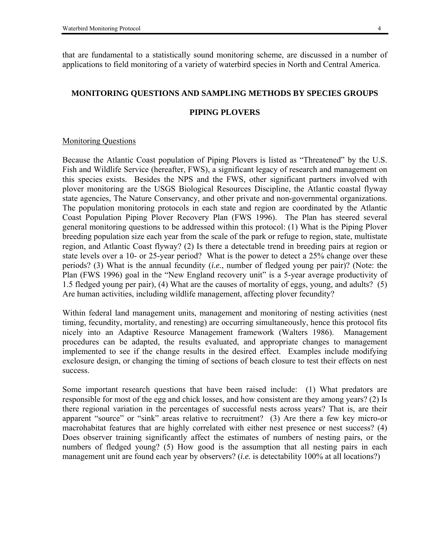that are fundamental to a statistically sound monitoring scheme, are discussed in a number of applications to field monitoring of a variety of waterbird species in North and Central America.

#### **MONITORING QUESTIONS AND SAMPLING METHODS BY SPECIES GROUPS**

#### **PIPING PLOVERS**

#### Monitoring Questions

Because the Atlantic Coast population of Piping Plovers is listed as "Threatened" by the U.S. Fish and Wildlife Service (hereafter, FWS), a significant legacy of research and management on this species exists. Besides the NPS and the FWS, other significant partners involved with plover monitoring are the USGS Biological Resources Discipline, the Atlantic coastal flyway state agencies, The Nature Conservancy, and other private and non-governmental organizations. The population monitoring protocols in each state and region are coordinated by the Atlantic Coast Population Piping Plover Recovery Plan (FWS 1996). The Plan has steered several general monitoring questions to be addressed within this protocol: (1) What is the Piping Plover breeding population size each year from the scale of the park or refuge to region, state, multistate region, and Atlantic Coast flyway? (2) Is there a detectable trend in breeding pairs at region or state levels over a 10- or 25-year period? What is the power to detect a 25% change over these periods? (3) What is the annual fecundity (*i.e.*, number of fledged young per pair)? (Note: the Plan (FWS 1996) goal in the "New England recovery unit" is a 5-year average productivity of 1.5 fledged young per pair), (4) What are the causes of mortality of eggs, young, and adults? (5) Are human activities, including wildlife management, affecting plover fecundity?

Within federal land management units, management and monitoring of nesting activities (nest timing, fecundity, mortality, and renesting) are occurring simultaneously, hence this protocol fits nicely into an Adaptive Resource Management framework (Walters 1986). Management procedures can be adapted, the results evaluated, and appropriate changes to management implemented to see if the change results in the desired effect. Examples include modifying exclosure design, or changing the timing of sections of beach closure to test their effects on nest success.

Some important research questions that have been raised include: (1) What predators are responsible for most of the egg and chick losses, and how consistent are they among years? (2) Is there regional variation in the percentages of successful nests across years? That is, are their apparent "source" or "sink" areas relative to recruitment? (3) Are there a few key micro-or macrohabitat features that are highly correlated with either nest presence or nest success? (4) Does observer training significantly affect the estimates of numbers of nesting pairs, or the numbers of fledged young? (5) How good is the assumption that all nesting pairs in each management unit are found each year by observers? (*i.e.* is detectability 100% at all locations?)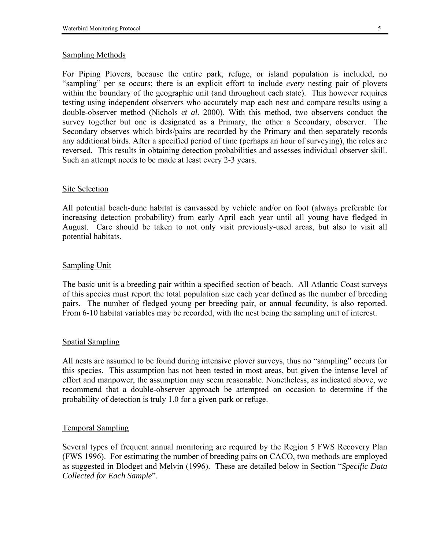# Sampling Methods

For Piping Plovers, because the entire park, refuge, or island population is included, no ìsamplingî per se occurs; there is an explicit effort to include *every* nesting pair of plovers within the boundary of the geographic unit (and throughout each state). This however requires testing using independent observers who accurately map each nest and compare results using a double-observer method (Nichols *et al.* 2000). With this method, two observers conduct the survey together but one is designated as a Primary, the other a Secondary, observer. The Secondary observes which birds/pairs are recorded by the Primary and then separately records any additional birds. After a specified period of time (perhaps an hour of surveying), the roles are reversed. This results in obtaining detection probabilities and assesses individual observer skill. Such an attempt needs to be made at least every 2-3 years.

# Site Selection

All potential beach-dune habitat is canvassed by vehicle and/or on foot (always preferable for increasing detection probability) from early April each year until all young have fledged in August. Care should be taken to not only visit previously-used areas, but also to visit all potential habitats.

# Sampling Unit

The basic unit is a breeding pair within a specified section of beach. All Atlantic Coast surveys of this species must report the total population size each year defined as the number of breeding pairs. The number of fledged young per breeding pair, or annual fecundity, is also reported. From 6-10 habitat variables may be recorded, with the nest being the sampling unit of interest.

# Spatial Sampling

All nests are assumed to be found during intensive plover surveys, thus no "sampling" occurs for this species. This assumption has not been tested in most areas, but given the intense level of effort and manpower, the assumption may seem reasonable. Nonetheless, as indicated above, we recommend that a double-observer approach be attempted on occasion to determine if the probability of detection is truly 1.0 for a given park or refuge.

# Temporal Sampling

Several types of frequent annual monitoring are required by the Region 5 FWS Recovery Plan (FWS 1996). For estimating the number of breeding pairs on CACO, two methods are employed as suggested in Blodget and Melvin (1996). These are detailed below in Section *''Specific Data Collected for Each Sample*î.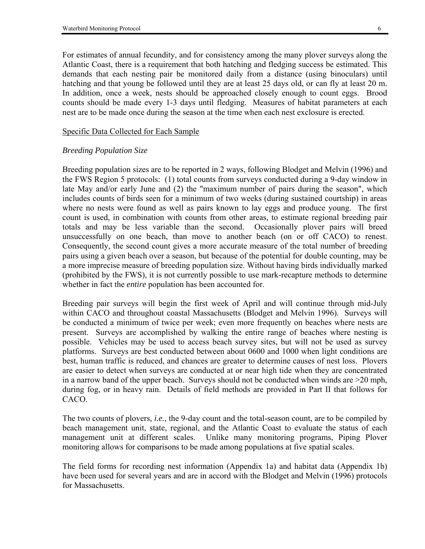For estimates of annual fecundity, and for consistency among the many plover surveys along the Atlantic Coast, there is a requirement that both hatching and fledging success be estimated. This demands that each nesting pair be monitored daily from a distance (using binoculars) until hatching and that young be followed until they are at least 25 days old, or can fly at least 20 m. In addition, once a week, nests should be approached closely enough to count eggs. Brood counts should be made every 1-3 days until fledging. Measures of habitat parameters at each nest are to be made once during the season at the time when each nest exclosure is erected.

#### Specific Data Collected for Each Sample

# *Breeding Population Size*

Breeding population sizes are to be reported in 2 ways, following Blodget and Melvin (1996) and the FWS Region 5 protocols: (1) total counts from surveys conducted during a 9-day window in late May and/or early June and (2) the "maximum number of pairs during the season", which includes counts of birds seen for a minimum of two weeks (during sustained courtship) in areas where no nests were found as well as pairs known to lay eggs and produce young. The first count is used, in combination with counts from other areas, to estimate regional breeding pair totals and may be less variable than the second. Occasionally plover pairs will breed unsuccessfully on one beach, than move to another beach (on or off CACO) to renest. Consequently, the second count gives a more accurate measure of the total number of breeding pairs using a given beach over a season, but because of the potential for double counting, may be a more imprecise measure of breeding population size. Without having birds individually marked (prohibited by the FWS), it is not currently possible to use mark-recapture methods to determine whether in fact the *entire* population has been accounted for.

Breeding pair surveys will begin the first week of April and will continue through mid-July within CACO and throughout coastal Massachusetts (Blodget and Melvin 1996). Surveys will be conducted a minimum of twice per week; even more frequently on beaches where nests are present. Surveys are accomplished by walking the entire range of beaches where nesting is possible. Vehicles may be used to access beach survey sites, but will not be used as survey platforms. Surveys are best conducted between about 0600 and 1000 when light conditions are best, human traffic is reduced, and chances are greater to determine causes of nest loss. Plovers are easier to detect when surveys are conducted at or near high tide when they are concentrated in a narrow band of the upper beach. Surveys should not be conducted when winds are >20 mph, during fog, or in heavy rain. Details of field methods are provided in Part II that follows for CACO.

The two counts of plovers, *i.e.*, the 9-day count and the total-season count, are to be compiled by beach management unit, state, regional, and the Atlantic Coast to evaluate the status of each management unit at different scales. Unlike many monitoring programs, Piping Plover monitoring allows for comparisons to be made among populations at five spatial scales.

The field forms for recording nest information (Appendix 1a) and habitat data (Appendix 1b) have been used for several years and are in accord with the Blodget and Melvin (1996) protocols for Massachusetts.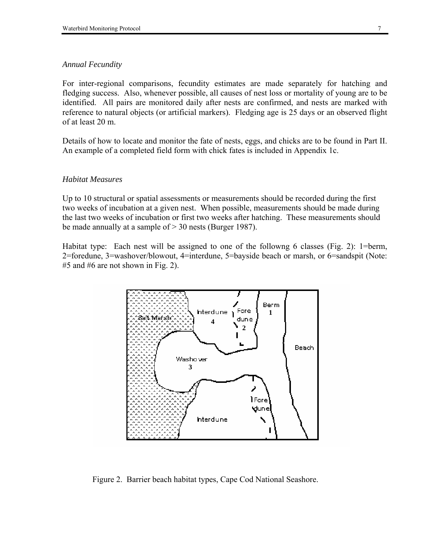#### *Annual Fecundity*

For inter-regional comparisons, fecundity estimates are made separately for hatching and fledging success. Also, whenever possible, all causes of nest loss or mortality of young are to be identified. All pairs are monitored daily after nests are confirmed, and nests are marked with reference to natural objects (or artificial markers). Fledging age is 25 days or an observed flight of at least 20 m.

Details of how to locate and monitor the fate of nests, eggs, and chicks are to be found in Part II. An example of a completed field form with chick fates is included in Appendix 1c.

#### *Habitat Measures*

Up to 10 structural or spatial assessments or measurements should be recorded during the first two weeks of incubation at a given nest. When possible, measurements should be made during the last two weeks of incubation or first two weeks after hatching. These measurements should be made annually at a sample of > 30 nests (Burger 1987).

Habitat type: Each nest will be assigned to one of the followng 6 classes (Fig. 2): 1=berm, 2=foredune, 3=washover/blowout, 4=interdune, 5=bayside beach or marsh, or 6=sandspit (Note: #5 and #6 are not shown in Fig. 2).



Figure 2. Barrier beach habitat types, Cape Cod National Seashore.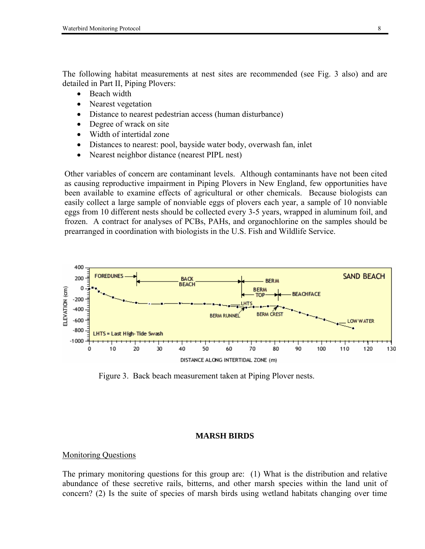The following habitat measurements at nest sites are recommended (see Fig. 3 also) and are detailed in Part II, Piping Plovers:

- Beach width
- Nearest vegetation
- Distance to nearest pedestrian access (human disturbance)
- Degree of wrack on site
- Width of intertidal zone
- Distances to nearest: pool, bayside water body, overwash fan, inlet
- Nearest neighbor distance (nearest PIPL nest)

Other variables of concern are contaminant levels. Although contaminants have not been cited as causing reproductive impairment in Piping Plovers in New England, few opportunities have been available to examine effects of agricultural or other chemicals. Because biologists can easily collect a large sample of nonviable eggs of plovers each year, a sample of 10 nonviable eggs from 10 different nests should be collected every 3-5 years, wrapped in aluminum foil, and frozen. A contract for analyses of PCBs, PAHs, and organochlorine on the samples should be prearranged in coordination with biologists in the U.S. Fish and Wildlife Service.



Figure 3. Back beach measurement taken at Piping Plover nests.

#### **MARSH BIRDS**

#### Monitoring Questions

The primary monitoring questions for this group are: (1) What is the distribution and relative abundance of these secretive rails, bitterns, and other marsh species within the land unit of concern? (2) Is the suite of species of marsh birds using wetland habitats changing over time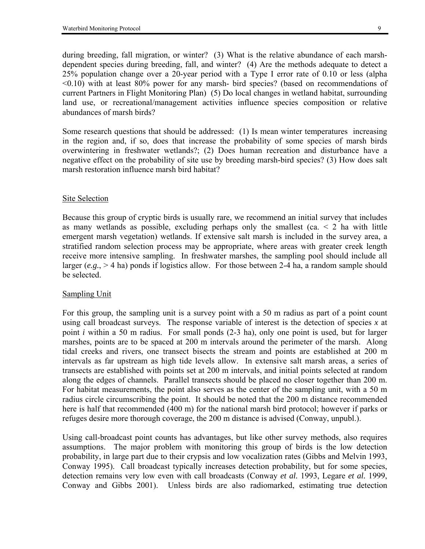during breeding, fall migration, or winter? (3) What is the relative abundance of each marshdependent species during breeding, fall, and winter? (4) Are the methods adequate to detect a 25% population change over a 20-year period with a Type I error rate of 0.10 or less (alpha <0.10) with at least 80% power for any marsh- bird species? (based on recommendations of current Partners in Flight Monitoring Plan) (5) Do local changes in wetland habitat, surrounding land use, or recreational/management activities influence species composition or relative abundances of marsh birds?

Some research questions that should be addressed: (1) Is mean winter temperatures increasing in the region and, if so, does that increase the probability of some species of marsh birds overwintering in freshwater wetlands?; (2) Does human recreation and disturbance have a negative effect on the probability of site use by breeding marsh-bird species? (3) How does salt marsh restoration influence marsh bird habitat?

#### Site Selection

Because this group of cryptic birds is usually rare, we recommend an initial survey that includes as many wetlands as possible, excluding perhaps only the smallest (ca.  $\leq$  2 ha with little emergent marsh vegetation) wetlands. If extensive salt marsh is included in the survey area, a stratified random selection process may be appropriate, where areas with greater creek length receive more intensive sampling. In freshwater marshes, the sampling pool should include all larger ( $e.g., > 4$  ha) ponds if logistics allow. For those between 2-4 ha, a random sample should be selected.

#### Sampling Unit

For this group, the sampling unit is a survey point with a 50 m radius as part of a point count using call broadcast surveys. The response variable of interest is the detection of species *x* at point *i* within a 50 m radius. For small ponds (2-3 ha), only one point is used, but for larger marshes, points are to be spaced at 200 m intervals around the perimeter of the marsh. Along tidal creeks and rivers, one transect bisects the stream and points are established at 200 m intervals as far upstream as high tide levels allow. In extensive salt marsh areas, a series of transects are established with points set at 200 m intervals, and initial points selected at random along the edges of channels. Parallel transects should be placed no closer together than 200 m. For habitat measurements, the point also serves as the center of the sampling unit, with a 50 m radius circle circumscribing the point. It should be noted that the 200 m distance recommended here is half that recommended (400 m) for the national marsh bird protocol; however if parks or refuges desire more thorough coverage, the 200 m distance is advised (Conway, unpubl.).

Using call-broadcast point counts has advantages, but like other survey methods, also requires assumptions. The major problem with monitoring this group of birds is the low detection probability, in large part due to their crypsis and low vocalization rates (Gibbs and Melvin 1993, Conway 1995). Call broadcast typically increases detection probability, but for some species, detection remains very low even with call broadcasts (Conway *et al.* 1993, Legare *et al.* 1999, Conway and Gibbs 2001). Unless birds are also radiomarked, estimating true detection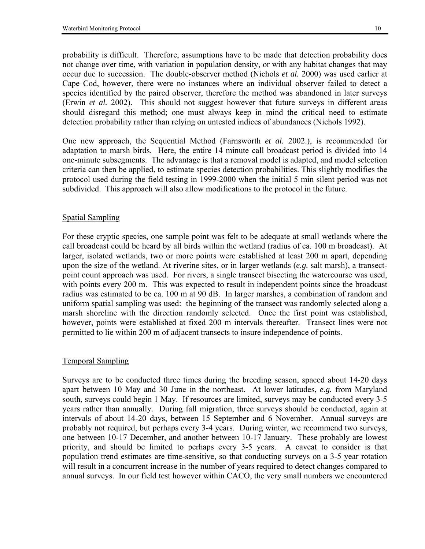probability is difficult. Therefore, assumptions have to be made that detection probability does not change over time, with variation in population density, or with any habitat changes that may occur due to succession. The double-observer method (Nichols *et al.* 2000) was used earlier at Cape Cod, however, there were no instances where an individual observer failed to detect a species identified by the paired observer, therefore the method was abandoned in later surveys (Erwin *et al.* 2002). This should not suggest however that future surveys in different areas should disregard this method; one must always keep in mind the critical need to estimate detection probability rather than relying on untested indices of abundances (Nichols 1992).

One new approach, the Sequential Method (Farnsworth *et al.* 2002.), is recommended for adaptation to marsh birds. Here, the entire 14 minute call broadcast period is divided into 14 one-minute subsegments. The advantage is that a removal model is adapted, and model selection criteria can then be applied, to estimate species detection probabilities. This slightly modifies the protocol used during the field testing in 1999-2000 when the initial 5 min silent period was not subdivided. This approach will also allow modifications to the protocol in the future.

# Spatial Sampling

For these cryptic species, one sample point was felt to be adequate at small wetlands where the call broadcast could be heard by all birds within the wetland (radius of ca. 100 m broadcast). At larger, isolated wetlands, two or more points were established at least 200 m apart, depending upon the size of the wetland. At riverine sites, or in larger wetlands (*e.g.* salt marsh), a transectpoint count approach was used. For rivers, a single transect bisecting the watercourse was used, with points every 200 m. This was expected to result in independent points since the broadcast radius was estimated to be ca. 100 m at 90 dB. In larger marshes, a combination of random and uniform spatial sampling was used: the beginning of the transect was randomly selected along a marsh shoreline with the direction randomly selected. Once the first point was established, however, points were established at fixed 200 m intervals thereafter. Transect lines were not permitted to lie within 200 m of adjacent transects to insure independence of points.

# Temporal Sampling

Surveys are to be conducted three times during the breeding season, spaced about 14-20 days apart between 10 May and 30 June in the northeast. At lower latitudes, *e.g.* from Maryland south, surveys could begin 1 May. If resources are limited, surveys may be conducted every 3-5 years rather than annually. During fall migration, three surveys should be conducted, again at intervals of about 14-20 days, between 15 September and 6 November. Annual surveys are probably not required, but perhaps every 3-4 years. During winter, we recommend two surveys, one between 10-17 December, and another between 10-17 January. These probably are lowest priority, and should be limited to perhaps every 3-5 years. A caveat to consider is that population trend estimates are time-sensitive, so that conducting surveys on a 3-5 year rotation will result in a concurrent increase in the number of years required to detect changes compared to annual surveys. In our field test however within CACO, the very small numbers we encountered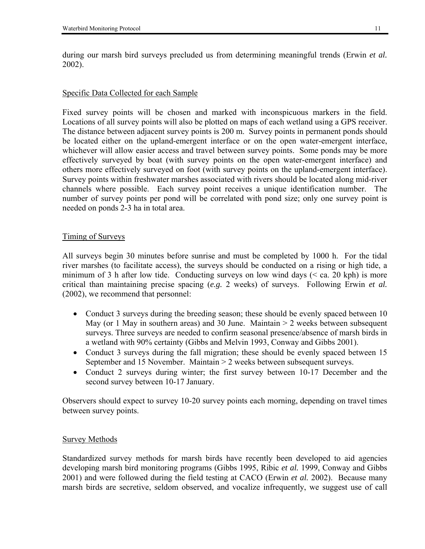during our marsh bird surveys precluded us from determining meaningful trends (Erwin *et al.* 2002).

#### Specific Data Collected for each Sample

Fixed survey points will be chosen and marked with inconspicuous markers in the field. Locations of all survey points will also be plotted on maps of each wetland using a GPS receiver. The distance between adjacent survey points is 200 m. Survey points in permanent ponds should be located either on the upland-emergent interface or on the open water-emergent interface, whichever will allow easier access and travel between survey points. Some ponds may be more effectively surveyed by boat (with survey points on the open water-emergent interface) and others more effectively surveyed on foot (with survey points on the upland-emergent interface). Survey points within freshwater marshes associated with rivers should be located along mid-river channels where possible. Each survey point receives a unique identification number. The number of survey points per pond will be correlated with pond size; only one survey point is needed on ponds 2-3 ha in total area.

## Timing of Surveys

All surveys begin 30 minutes before sunrise and must be completed by 1000 h. For the tidal river marshes (to facilitate access), the surveys should be conducted on a rising or high tide, a minimum of 3 h after low tide. Conducting surveys on low wind days (< ca. 20 kph) is more critical than maintaining precise spacing (*e.g.* 2 weeks) of surveys. Following Erwin *et al.* (2002), we recommend that personnel:

- Conduct 3 surveys during the breeding season; these should be evenly spaced between 10 May (or 1 May in southern areas) and 30 June. Maintain > 2 weeks between subsequent surveys. Three surveys are needed to confirm seasonal presence/absence of marsh birds in a wetland with 90% certainty (Gibbs and Melvin 1993, Conway and Gibbs 2001).
- Conduct 3 surveys during the fall migration; these should be evenly spaced between 15 September and 15 November. Maintain > 2 weeks between subsequent surveys.
- Conduct 2 surveys during winter; the first survey between 10-17 December and the second survey between 10-17 January.

Observers should expect to survey 10-20 survey points each morning, depending on travel times between survey points.

#### Survey Methods

Standardized survey methods for marsh birds have recently been developed to aid agencies developing marsh bird monitoring programs (Gibbs 1995, Ribic *et al.* 1999, Conway and Gibbs 2001) and were followed during the field testing at CACO (Erwin *et al.* 2002). Because many marsh birds are secretive, seldom observed, and vocalize infrequently, we suggest use of call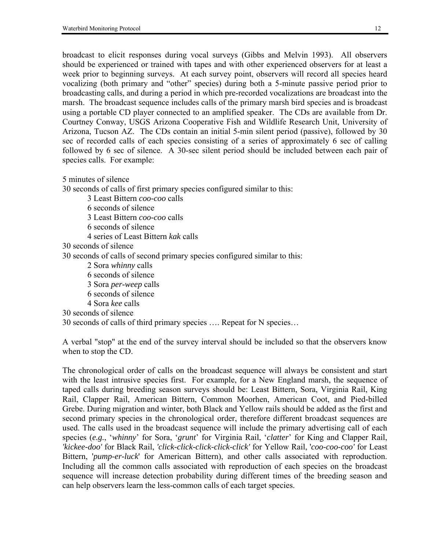broadcast to elicit responses during vocal surveys (Gibbs and Melvin 1993). All observers should be experienced or trained with tapes and with other experienced observers for at least a week prior to beginning surveys. At each survey point, observers will record all species heard vocalizing (both primary and "other" species) during both a 5-minute passive period prior to broadcasting calls, and during a period in which pre-recorded vocalizations are broadcast into the marsh. The broadcast sequence includes calls of the primary marsh bird species and is broadcast using a portable CD player connected to an amplified speaker. The CDs are available from Dr. Courtney Conway, USGS Arizona Cooperative Fish and Wildlife Research Unit, University of Arizona, Tucson AZ. The CDs contain an initial 5-min silent period (passive), followed by 30 sec of recorded calls of each species consisting of a series of approximately 6 sec of calling followed by 6 sec of silence. A 30-sec silent period should be included between each pair of species calls. For example:

5 minutes of silence

30 seconds of calls of first primary species configured similar to this:

- 3 Least Bittern *coo-coo* calls
- 6 seconds of silence
- 3 Least Bittern *coo-coo* calls
- 6 seconds of silence
	- 4 series of Least Bittern *kak* calls
- 30 seconds of silence

30 seconds of calls of second primary species configured similar to this:

- 2 Sora *whinny* calls
- 6 seconds of silence
- 3 Sora *per-weep* calls
- 6 seconds of silence
- 4 Sora *kee* calls
- 30 seconds of silence

30 seconds of calls of third primary species .... Repeat for N species...

A verbal "stop" at the end of the survey interval should be included so that the observers know when to stop the CD.

The chronological order of calls on the broadcast sequence will always be consistent and start with the least intrusive species first. For example, for a New England marsh, the sequence of taped calls during breeding season surveys should be: Least Bittern, Sora, Virginia Rail, King Rail, Clapper Rail, American Bittern, Common Moorhen, American Coot, and Pied-billed Grebe. During migration and winter, both Black and Yellow rails should be added as the first and second primary species in the chronological order, therefore different broadcast sequences are used. The calls used in the broadcast sequence will include the primary advertising call of each species (*e.g.*, ë*whinny*í for Sora, ë*grunt*í for Virginia Rail, ë*clatter*í for King and Clapper Rail, *'kickee-doo'* for Black Rail, *'click-click-click-click-click'* for Yellow Rail, '*coo-coo-coo'* for Least Bittern, '*pump-er-luck*' for American Bittern), and other calls associated with reproduction. Including all the common calls associated with reproduction of each species on the broadcast sequence will increase detection probability during different times of the breeding season and can help observers learn the less-common calls of each target species.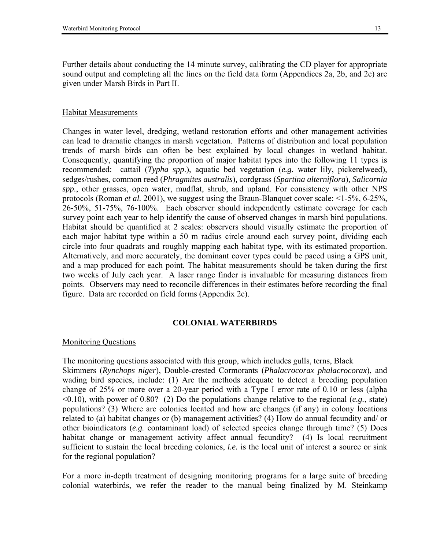Further details about conducting the 14 minute survey, calibrating the CD player for appropriate sound output and completing all the lines on the field data form (Appendices 2a, 2b, and 2c) are given under Marsh Birds in Part II.

#### Habitat Measurements

Changes in water level, dredging, wetland restoration efforts and other management activities can lead to dramatic changes in marsh vegetation. Patterns of distribution and local population trends of marsh birds can often be best explained by local changes in wetland habitat. Consequently, quantifying the proportion of major habitat types into the following 11 types is recommended: cattail (*Typha spp*.), aquatic bed vegetation (*e.g.* water lily, pickerelweed), sedges/rushes, common reed (*Phragmites australis*)*,* cordgrass (*Spartina alterniflora*)*, Salicornia spp.*, other grasses, open water, mudflat, shrub, and upland. For consistency with other NPS protocols (Roman *et al.* 2001), we suggest using the Braun-Blanquet cover scale: <1-5%, 6-25%, 26-50%, 51-75%, 76-100%. Each observer should independently estimate coverage for each survey point each year to help identify the cause of observed changes in marsh bird populations. Habitat should be quantified at 2 scales: observers should visually estimate the proportion of each major habitat type within a 50 m radius circle around each survey point, dividing each circle into four quadrats and roughly mapping each habitat type, with its estimated proportion. Alternatively, and more accurately, the dominant cover types could be paced using a GPS unit, and a map produced for each point. The habitat measurements should be taken during the first two weeks of July each year. A laser range finder is invaluable for measuring distances from points. Observers may need to reconcile differences in their estimates before recording the final figure. Data are recorded on field forms (Appendix 2c).

#### **COLONIAL WATERBIRDS**

#### Monitoring Questions

The monitoring questions associated with this group, which includes gulls, terns, Black Skimmers (*Rynchops niger*), Double-crested Cormorants (*Phalacrocorax phalacrocorax*), and wading bird species, include: (1) Are the methods adequate to detect a breeding population change of 25% or more over a 20-year period with a Type I error rate of 0.10 or less (alpha <0.10), with power of 0.80? (2) Do the populations change relative to the regional (*e.g.*, state) populations? (3) Where are colonies located and how are changes (if any) in colony locations related to (a) habitat changes or (b) management activities? (4) How do annual fecundity and/ or other bioindicators (*e.g.* contaminant load) of selected species change through time? (5) Does habitat change or management activity affect annual fecundity? (4) Is local recruitment sufficient to sustain the local breeding colonies, *i.e.* is the local unit of interest a source or sink for the regional population?

For a more in-depth treatment of designing monitoring programs for a large suite of breeding colonial waterbirds, we refer the reader to the manual being finalized by M. Steinkamp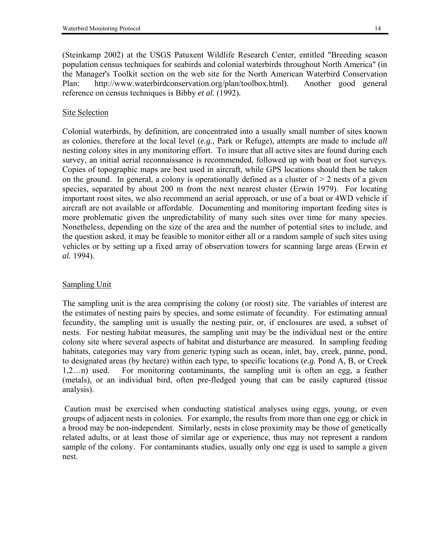(Steinkamp 2002) at the USGS Patuxent Wildlife Research Center, entitled "Breeding season population census techniques for seabirds and colonial waterbirds throughout North America" (in the Manager's Toolkit section on the web site for the North American Waterbird Conservation Plan: http://www.waterbirdconservation.org/plan/toolbox.html). Another good general reference on census techniques is Bibby *et al.* (1992).

# Site Selection

Colonial waterbirds, by definition, are concentrated into a usually small number of sites known as colonies, therefore at the local level (*e.g.*, Park or Refuge), attempts are made to include *all*  nesting colony sites in any monitoring effort. To insure that all active sites are found during each survey, an initial aerial reconnaissance is recommended, followed up with boat or foot surveys. Copies of topographic maps are best used in aircraft, while GPS locations should then be taken on the ground. In general, a colony is operationally defined as a cluster of  $> 2$  nests of a given species, separated by about 200 m from the next nearest cluster (Erwin 1979). For locating important roost sites, we also recommend an aerial approach, or use of a boat or 4WD vehicle if aircraft are not available or affordable. Documenting and monitoring important feeding sites is more problematic given the unpredictability of many such sites over time for many species. Nonetheless, depending on the size of the area and the number of potential sites to include, and the question asked, it may be feasible to monitor either all or a random sample of such sites using vehicles or by setting up a fixed array of observation towers for scanning large areas (Erwin *et al.* 1994).

# Sampling Unit

The sampling unit is the area comprising the colony (or roost) site. The variables of interest are the estimates of nesting pairs by species, and some estimate of fecundity. For estimating annual fecundity, the sampling unit is usually the nesting pair, or, if enclosures are used, a subset of nests. For nesting habitat measures, the sampling unit may be the individual nest or the entire colony site where several aspects of habitat and disturbance are measured. In sampling feeding habitats, categories may vary from generic typing such as ocean, inlet, bay, creek, panne, pond, to designated areas (by hectare) within each type, to specific locations (*e.g.* Pond A, B, or Creek  $1,2...n$ ) used. For monitoring contaminants, the sampling unit is often an egg, a feather (metals), or an individual bird, often pre-fledged young that can be easily captured (tissue analysis).

 Caution must be exercised when conducting statistical analyses using eggs, young, or even groups of adjacent nests in colonies. For example, the results from more than one egg or chick in a brood may be non-independent. Similarly, nests in close proximity may be those of genetically related adults, or at least those of similar age or experience, thus may not represent a random sample of the colony. For contaminants studies, usually only one egg is used to sample a given nest.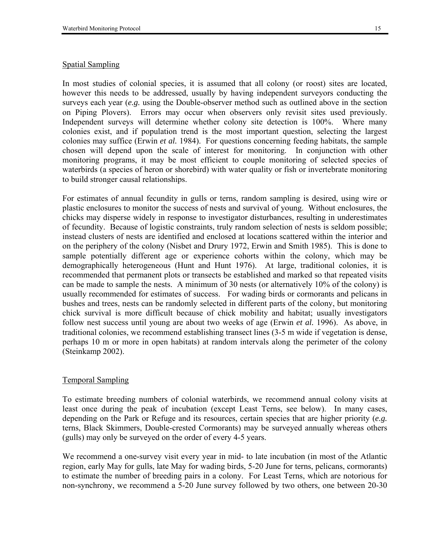# Spatial Sampling

In most studies of colonial species, it is assumed that all colony (or roost) sites are located, however this needs to be addressed, usually by having independent surveyors conducting the surveys each year (*e.g.* using the Double-observer method such as outlined above in the section on Piping Plovers). Errors may occur when observers only revisit sites used previously. Independent surveys will determine whether colony site detection is 100%. Where many colonies exist, and if population trend is the most important question, selecting the largest colonies may suffice (Erwin *et al.* 1984). For questions concerning feeding habitats, the sample chosen will depend upon the scale of interest for monitoring. In conjunction with other monitoring programs, it may be most efficient to couple monitoring of selected species of waterbirds (a species of heron or shorebird) with water quality or fish or invertebrate monitoring to build stronger causal relationships.

For estimates of annual fecundity in gulls or terns, random sampling is desired, using wire or plastic enclosures to monitor the success of nests and survival of young. Without enclosures, the chicks may disperse widely in response to investigator disturbances, resulting in underestimates of fecundity. Because of logistic constraints, truly random selection of nests is seldom possible; instead clusters of nests are identified and enclosed at locations scattered within the interior and on the periphery of the colony (Nisbet and Drury 1972, Erwin and Smith 1985). This is done to sample potentially different age or experience cohorts within the colony, which may be demographically heterogeneous (Hunt and Hunt 1976). At large, traditional colonies, it is recommended that permanent plots or transects be established and marked so that repeated visits can be made to sample the nests. A minimum of 30 nests (or alternatively 10% of the colony) is usually recommended for estimates of success. For wading birds or cormorants and pelicans in bushes and trees, nests can be randomly selected in different parts of the colony, but monitoring chick survival is more difficult because of chick mobility and habitat; usually investigators follow nest success until young are about two weeks of age (Erwin *et al.* 1996). As above, in traditional colonies, we recommend establishing transect lines (3-5 m wide if vegetation is dense, perhaps 10 m or more in open habitats) at random intervals along the perimeter of the colony (Steinkamp 2002).

# Temporal Sampling

To estimate breeding numbers of colonial waterbirds, we recommend annual colony visits at least once during the peak of incubation (except Least Terns, see below). In many cases, depending on the Park or Refuge and its resources, certain species that are higher priority (*e.g.* terns, Black Skimmers, Double-crested Cormorants) may be surveyed annually whereas others (gulls) may only be surveyed on the order of every 4-5 years.

We recommend a one-survey visit every year in mid- to late incubation (in most of the Atlantic region, early May for gulls, late May for wading birds, 5-20 June for terns, pelicans, cormorants) to estimate the number of breeding pairs in a colony. For Least Terns, which are notorious for non-synchrony, we recommend a 5-20 June survey followed by two others, one between 20-30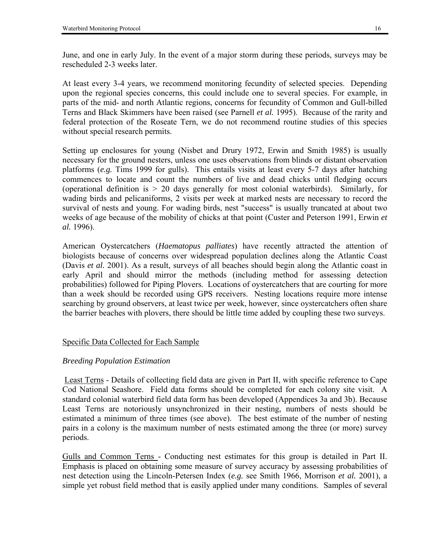June, and one in early July. In the event of a major storm during these periods, surveys may be rescheduled 2-3 weeks later.

At least every 3-4 years, we recommend monitoring fecundity of selected species. Depending upon the regional species concerns, this could include one to several species. For example, in parts of the mid- and north Atlantic regions, concerns for fecundity of Common and Gull-billed Terns and Black Skimmers have been raised (see Parnell *et al.* 1995). Because of the rarity and federal protection of the Roseate Tern, we do not recommend routine studies of this species without special research permits.

Setting up enclosures for young (Nisbet and Drury 1972, Erwin and Smith 1985) is usually necessary for the ground nesters, unless one uses observations from blinds or distant observation platforms (*e.g.* Tims 1999 for gulls). This entails visits at least every 5-7 days after hatching commences to locate and count the numbers of live and dead chicks until fledging occurs (operational definition is  $> 20$  days generally for most colonial waterbirds). Similarly, for wading birds and pelicaniforms, 2 visits per week at marked nests are necessary to record the survival of nests and young. For wading birds, nest "success" is usually truncated at about two weeks of age because of the mobility of chicks at that point (Custer and Peterson 1991, Erwin *et al.* 1996).

American Oystercatchers (*Haematopus palliates*) have recently attracted the attention of biologists because of concerns over widespread population declines along the Atlantic Coast (Davis *et al.* 2001). As a result, surveys of all beaches should begin along the Atlantic coast in early April and should mirror the methods (including method for assessing detection probabilities) followed for Piping Plovers. Locations of oystercatchers that are courting for more than a week should be recorded using GPS receivers. Nesting locations require more intense searching by ground observers, at least twice per week, however, since oystercatchers often share the barrier beaches with plovers, there should be little time added by coupling these two surveys.

# Specific Data Collected for Each Sample

# *Breeding Population Estimation*

 Least Terns - Details of collecting field data are given in Part II, with specific reference to Cape Cod National Seashore. Field data forms should be completed for each colony site visit. A standard colonial waterbird field data form has been developed (Appendices 3a and 3b). Because Least Terns are notoriously unsynchronized in their nesting, numbers of nests should be estimated a minimum of three times (see above). The best estimate of the number of nesting pairs in a colony is the maximum number of nests estimated among the three (or more) survey periods.

Gulls and Common Terns - Conducting nest estimates for this group is detailed in Part II. Emphasis is placed on obtaining some measure of survey accuracy by assessing probabilities of nest detection using the Lincoln-Petersen Index (*e.g.* see Smith 1966, Morrison *et al.* 2001), a simple yet robust field method that is easily applied under many conditions. Samples of several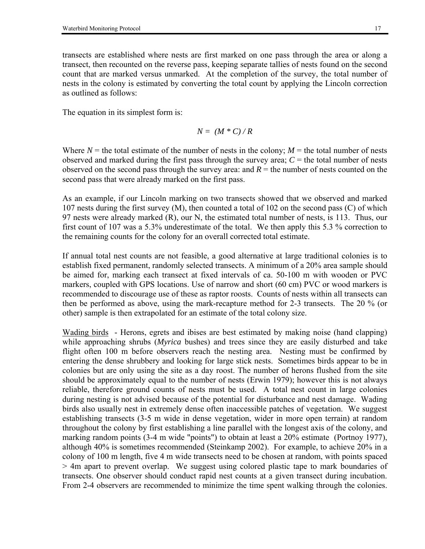transects are established where nests are first marked on one pass through the area or along a transect, then recounted on the reverse pass, keeping separate tallies of nests found on the second count that are marked versus unmarked. At the completion of the survey, the total number of nests in the colony is estimated by converting the total count by applying the Lincoln correction as outlined as follows:

The equation in its simplest form is:

$$
N = (M * C) / R
$$

Where  $N =$  the total estimate of the number of nests in the colony;  $M =$  the total number of nests observed and marked during the first pass through the survey area;  $C =$  the total number of nests observed on the second pass through the survey area: and  $R =$  the number of nests counted on the second pass that were already marked on the first pass.

As an example, if our Lincoln marking on two transects showed that we observed and marked 107 nests during the first survey (M), then counted a total of 102 on the second pass (C) of which 97 nests were already marked (R), our N, the estimated total number of nests, is 113. Thus, our first count of 107 was a 5.3% underestimate of the total. We then apply this 5.3 % correction to the remaining counts for the colony for an overall corrected total estimate.

If annual total nest counts are not feasible, a good alternative at large traditional colonies is to establish fixed permanent, randomly selected transects. A minimum of a 20% area sample should be aimed for, marking each transect at fixed intervals of ca. 50-100 m with wooden or PVC markers, coupled with GPS locations. Use of narrow and short (60 cm) PVC or wood markers is recommended to discourage use of these as raptor roosts. Counts of nests within all transects can then be performed as above, using the mark-recapture method for 2-3 transects. The 20 % (or other) sample is then extrapolated for an estimate of the total colony size.

Wading birds - Herons, egrets and ibises are best estimated by making noise (hand clapping) while approaching shrubs (*Myrica* bushes) and trees since they are easily disturbed and take flight often 100 m before observers reach the nesting area. Nesting must be confirmed by entering the dense shrubbery and looking for large stick nests. Sometimes birds appear to be in colonies but are only using the site as a day roost. The number of herons flushed from the site should be approximately equal to the number of nests (Erwin 1979); however this is not always reliable, therefore ground counts of nests must be used. A total nest count in large colonies during nesting is not advised because of the potential for disturbance and nest damage. Wading birds also usually nest in extremely dense often inaccessible patches of vegetation. We suggest establishing transects (3-5 m wide in dense vegetation, wider in more open terrain) at random throughout the colony by first establishing a line parallel with the longest axis of the colony, and marking random points (3-4 m wide "points") to obtain at least a 20% estimate (Portnoy 1977), although 40% is sometimes recommended (Steinkamp 2002). For example, to achieve 20% in a colony of 100 m length, five 4 m wide transects need to be chosen at random, with points spaced > 4m apart to prevent overlap. We suggest using colored plastic tape to mark boundaries of transects. One observer should conduct rapid nest counts at a given transect during incubation. From 2-4 observers are recommended to minimize the time spent walking through the colonies.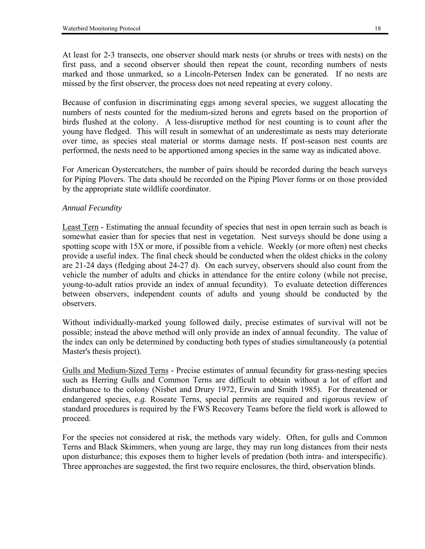At least for 2-3 transects, one observer should mark nests (or shrubs or trees with nests) on the first pass, and a second observer should then repeat the count, recording numbers of nests marked and those unmarked, so a Lincoln-Petersen Index can be generated. If no nests are missed by the first observer, the process does not need repeating at every colony.

Because of confusion in discriminating eggs among several species, we suggest allocating the numbers of nests counted for the medium-sized herons and egrets based on the proportion of birds flushed at the colony. A less-disruptive method for nest counting is to count after the young have fledged. This will result in somewhat of an underestimate as nests may deteriorate over time, as species steal material or storms damage nests. If post-season nest counts are performed, the nests need to be apportioned among species in the same way as indicated above.

For American Oystercatchers, the number of pairs should be recorded during the beach surveys for Piping Plovers. The data should be recorded on the Piping Plover forms or on those provided by the appropriate state wildlife coordinator.

# *Annual Fecundity*

Least Tern - Estimating the annual fecundity of species that nest in open terrain such as beach is somewhat easier than for species that nest in vegetation. Nest surveys should be done using a spotting scope with 15X or more, if possible from a vehicle. Weekly (or more often) nest checks provide a useful index. The final check should be conducted when the oldest chicks in the colony are 21-24 days (fledging about 24-27 d). On each survey, observers should also count from the vehicle the number of adults and chicks in attendance for the entire colony (while not precise, young-to-adult ratios provide an index of annual fecundity). To evaluate detection differences between observers, independent counts of adults and young should be conducted by the observers.

Without individually-marked young followed daily, precise estimates of survival will not be possible; instead the above method will only provide an index of annual fecundity. The value of the index can only be determined by conducting both types of studies simultaneously (a potential Master's thesis project).

Gulls and Medium-Sized Terns - Precise estimates of annual fecundity for grass-nesting species such as Herring Gulls and Common Terns are difficult to obtain without a lot of effort and disturbance to the colony (Nisbet and Drury 1972, Erwin and Smith 1985). For threatened or endangered species, *e.g.* Roseate Terns, special permits are required and rigorous review of standard procedures is required by the FWS Recovery Teams before the field work is allowed to proceed.

For the species not considered at risk, the methods vary widely. Often, for gulls and Common Terns and Black Skimmers, when young are large, they may run long distances from their nests upon disturbance; this exposes them to higher levels of predation (both intra- and interspecific). Three approaches are suggested, the first two require enclosures, the third, observation blinds.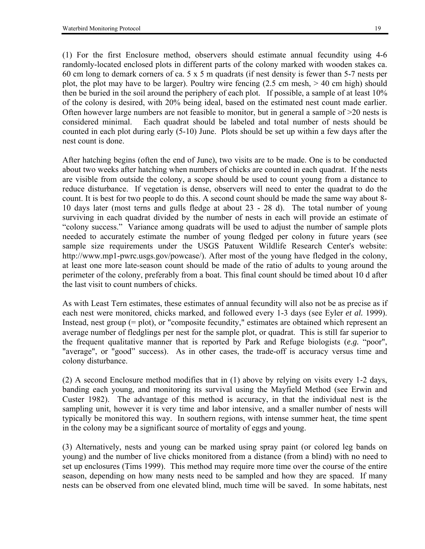(1) For the first Enclosure method, observers should estimate annual fecundity using 4-6 randomly-located enclosed plots in different parts of the colony marked with wooden stakes ca. 60 cm long to demark corners of ca. 5 x 5 m quadrats (if nest density is fewer than 5-7 nests per plot, the plot may have to be larger). Poultry wire fencing  $(2.5 \text{ cm mesh}, > 40 \text{ cm high})$  should then be buried in the soil around the periphery of each plot. If possible, a sample of at least 10% of the colony is desired, with 20% being ideal, based on the estimated nest count made earlier. Often however large numbers are not feasible to monitor, but in general a sample of >20 nests is considered minimal. Each quadrat should be labeled and total number of nests should be counted in each plot during early (5-10) June. Plots should be set up within a few days after the nest count is done.

After hatching begins (often the end of June), two visits are to be made. One is to be conducted about two weeks after hatching when numbers of chicks are counted in each quadrat. If the nests are visible from outside the colony, a scope should be used to count young from a distance to reduce disturbance. If vegetation is dense, observers will need to enter the quadrat to do the count. It is best for two people to do this. A second count should be made the same way about 8- 10 days later (most terns and gulls fledge at about 23 - 28 d). The total number of young surviving in each quadrat divided by the number of nests in each will provide an estimate of ìcolony success.î Variance among quadrats will be used to adjust the number of sample plots needed to accurately estimate the number of young fledged per colony in future years (see sample size requirements under the USGS Patuxent Wildlife Research Center's website: http://www.mp1-pwrc.usgs.gov/powcase/). After most of the young have fledged in the colony, at least one more late-season count should be made of the ratio of adults to young around the perimeter of the colony, preferably from a boat. This final count should be timed about 10 d after the last visit to count numbers of chicks.

As with Least Tern estimates, these estimates of annual fecundity will also not be as precise as if each nest were monitored, chicks marked, and followed every 1-3 days (see Eyler *et al.* 1999). Instead, nest group (= plot), or "composite fecundity," estimates are obtained which represent an average number of fledglings per nest for the sample plot, or quadrat. This is still far superior to the frequent qualitative manner that is reported by Park and Refuge biologists  $(e.g., \text{``poor''},$ "average", or "good" success). As in other cases, the trade-off is accuracy versus time and colony disturbance.

(2) A second Enclosure method modifies that in (1) above by relying on visits every 1-2 days, banding each young, and monitoring its survival using the Mayfield Method (see Erwin and Custer 1982). The advantage of this method is accuracy, in that the individual nest is the sampling unit, however it is very time and labor intensive, and a smaller number of nests will typically be monitored this way. In southern regions, with intense summer heat, the time spent in the colony may be a significant source of mortality of eggs and young.

(3) Alternatively, nests and young can be marked using spray paint (or colored leg bands on young) and the number of live chicks monitored from a distance (from a blind) with no need to set up enclosures (Tims 1999). This method may require more time over the course of the entire season, depending on how many nests need to be sampled and how they are spaced. If many nests can be observed from one elevated blind, much time will be saved. In some habitats, nest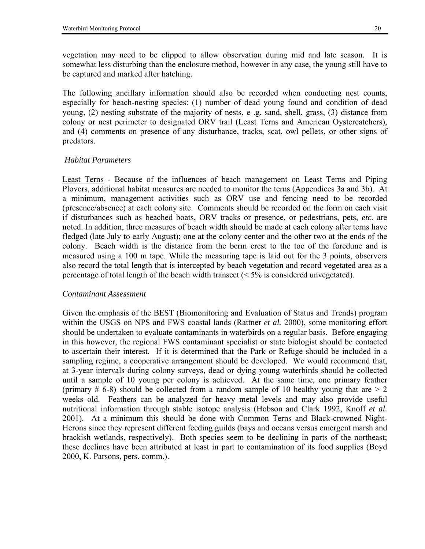vegetation may need to be clipped to allow observation during mid and late season. It is somewhat less disturbing than the enclosure method, however in any case, the young still have to be captured and marked after hatching.

The following ancillary information should also be recorded when conducting nest counts, especially for beach-nesting species: (1) number of dead young found and condition of dead young, (2) nesting substrate of the majority of nests, e .g. sand, shell, grass, (3) distance from colony or nest perimeter to designated ORV trail (Least Terns and American Oystercatchers), and (4) comments on presence of any disturbance, tracks, scat, owl pellets, or other signs of predators.

#### *Habitat Parameters*

Least Terns - Because of the influences of beach management on Least Terns and Piping Plovers, additional habitat measures are needed to monitor the terns (Appendices 3a and 3b). At a minimum, management activities such as ORV use and fencing need to be recorded (presence/absence) at each colony site. Comments should be recorded on the form on each visit if disturbances such as beached boats, ORV tracks or presence, or pedestrians, pets, *etc.* are noted. In addition, three measures of beach width should be made at each colony after terns have fledged (late July to early August); one at the colony center and the other two at the ends of the colony. Beach width is the distance from the berm crest to the toe of the foredune and is measured using a 100 m tape. While the measuring tape is laid out for the 3 points, observers also record the total length that is intercepted by beach vegetation and record vegetated area as a percentage of total length of the beach width transect  $(< 5\%$  is considered unvegetated).

#### *Contaminant Assessment*

Given the emphasis of the BEST (Biomonitoring and Evaluation of Status and Trends) program within the USGS on NPS and FWS coastal lands (Rattner *et al.* 2000), some monitoring effort should be undertaken to evaluate contaminants in waterbirds on a regular basis. Before engaging in this however, the regional FWS contaminant specialist or state biologist should be contacted to ascertain their interest. If it is determined that the Park or Refuge should be included in a sampling regime, a cooperative arrangement should be developed. We would recommend that, at 3-year intervals during colony surveys, dead or dying young waterbirds should be collected until a sample of 10 young per colony is achieved. At the same time, one primary feather (primary  $\#$  6-8) should be collected from a random sample of 10 healthy young that are  $> 2$ weeks old. Feathers can be analyzed for heavy metal levels and may also provide useful nutritional information through stable isotope analysis (Hobson and Clark 1992, Knoff *et al.* 2001). At a minimum this should be done with Common Terns and Black-crowned Night-Herons since they represent different feeding guilds (bays and oceans versus emergent marsh and brackish wetlands, respectively). Both species seem to be declining in parts of the northeast; these declines have been attributed at least in part to contamination of its food supplies (Boyd 2000, K. Parsons, pers. comm.).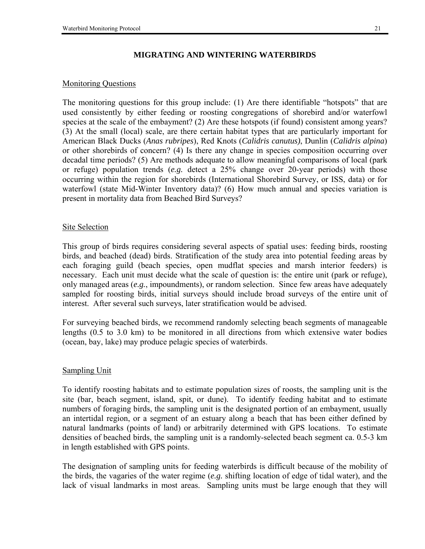# **MIGRATING AND WINTERING WATERBIRDS**

# Monitoring Questions

The monitoring questions for this group include:  $(1)$  Are there identifiable "hotspots" that are used consistently by either feeding or roosting congregations of shorebird and/or waterfowl species at the scale of the embayment? (2) Are these hotspots (if found) consistent among years? (3) At the small (local) scale, are there certain habitat types that are particularly important for American Black Ducks (*Anas rubripes*), Red Knots (*Calidris canutus)*, Dunlin (*Calidris alpina*) or other shorebirds of concern? (4) Is there any change in species composition occurring over decadal time periods? (5) Are methods adequate to allow meaningful comparisons of local (park or refuge) population trends (*e.g.* detect a 25% change over 20-year periods) with those occurring within the region for shorebirds (International Shorebird Survey, or ISS, data) or for waterfowl (state Mid-Winter Inventory data)? (6) How much annual and species variation is present in mortality data from Beached Bird Surveys?

## Site Selection

This group of birds requires considering several aspects of spatial uses: feeding birds, roosting birds, and beached (dead) birds. Stratification of the study area into potential feeding areas by each foraging guild (beach species, open mudflat species and marsh interior feeders) is necessary. Each unit must decide what the scale of question is: the entire unit (park or refuge), only managed areas (*e.g.*, impoundments), or random selection. Since few areas have adequately sampled for roosting birds, initial surveys should include broad surveys of the entire unit of interest. After several such surveys, later stratification would be advised.

For surveying beached birds, we recommend randomly selecting beach segments of manageable lengths (0.5 to 3.0 km) to be monitored in all directions from which extensive water bodies (ocean, bay, lake) may produce pelagic species of waterbirds.

# Sampling Unit

To identify roosting habitats and to estimate population sizes of roosts, the sampling unit is the site (bar, beach segment, island, spit, or dune). To identify feeding habitat and to estimate numbers of foraging birds, the sampling unit is the designated portion of an embayment, usually an intertidal region, or a segment of an estuary along a beach that has been either defined by natural landmarks (points of land) or arbitrarily determined with GPS locations. To estimate densities of beached birds, the sampling unit is a randomly-selected beach segment ca. 0.5-3 km in length established with GPS points.

The designation of sampling units for feeding waterbirds is difficult because of the mobility of the birds, the vagaries of the water regime (*e.g.* shifting location of edge of tidal water), and the lack of visual landmarks in most areas. Sampling units must be large enough that they will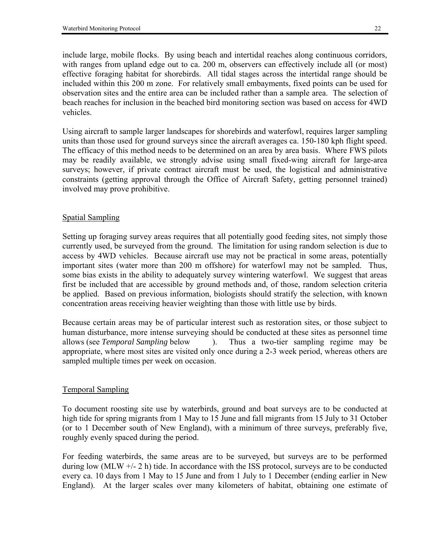include large, mobile flocks. By using beach and intertidal reaches along continuous corridors, with ranges from upland edge out to ca. 200 m, observers can effectively include all (or most) effective foraging habitat for shorebirds. All tidal stages across the intertidal range should be included within this 200 m zone. For relatively small embayments, fixed points can be used for observation sites and the entire area can be included rather than a sample area. The selection of beach reaches for inclusion in the beached bird monitoring section was based on access for 4WD vehicles.

Using aircraft to sample larger landscapes for shorebirds and waterfowl, requires larger sampling units than those used for ground surveys since the aircraft averages ca. 150-180 kph flight speed. The efficacy of this method needs to be determined on an area by area basis. Where FWS pilots may be readily available, we strongly advise using small fixed-wing aircraft for large-area surveys; however, if private contract aircraft must be used, the logistical and administrative constraints (getting approval through the Office of Aircraft Safety, getting personnel trained) involved may prove prohibitive.

# Spatial Sampling

Setting up foraging survey areas requires that all potentially good feeding sites, not simply those currently used, be surveyed from the ground. The limitation for using random selection is due to access by 4WD vehicles. Because aircraft use may not be practical in some areas, potentially important sites (water more than 200 m offshore) for waterfowl may not be sampled. Thus, some bias exists in the ability to adequately survey wintering waterfowl. We suggest that areas first be included that are accessible by ground methods and, of those, random selection criteria be applied. Based on previous information, biologists should stratify the selection, with known concentration areas receiving heavier weighting than those with little use by birds.

Because certain areas may be of particular interest such as restoration sites, or those subject to human disturbance, more intense surveying should be conducted at these sites as personnel time allows (see *Temporal Sampling* below ). Thus a two-tier sampling regime may be appropriate, where most sites are visited only once during a 2-3 week period, whereas others are sampled multiple times per week on occasion.

# Temporal Sampling

To document roosting site use by waterbirds, ground and boat surveys are to be conducted at high tide for spring migrants from 1 May to 15 June and fall migrants from 15 July to 31 October (or to 1 December south of New England), with a minimum of three surveys, preferably five, roughly evenly spaced during the period.

For feeding waterbirds, the same areas are to be surveyed, but surveys are to be performed during low (MLW +/- 2 h) tide. In accordance with the ISS protocol, surveys are to be conducted every ca. 10 days from 1 May to 15 June and from 1 July to 1 December (ending earlier in New England). At the larger scales over many kilometers of habitat, obtaining one estimate of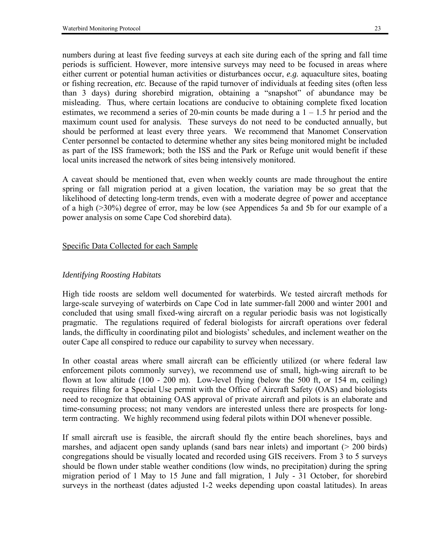numbers during at least five feeding surveys at each site during each of the spring and fall time periods is sufficient. However, more intensive surveys may need to be focused in areas where either current or potential human activities or disturbances occur, *e.g.* aquaculture sites, boating or fishing recreation, *etc.* Because of the rapid turnover of individuals at feeding sites (often less than 3 days) during shorebird migration, obtaining a "snapshot" of abundance may be misleading. Thus, where certain locations are conducive to obtaining complete fixed location estimates, we recommend a series of 20-min counts be made during a  $1 - 1.5$  hr period and the maximum count used for analysis. These surveys do not need to be conducted annually, but should be performed at least every three years. We recommend that Manomet Conservation Center personnel be contacted to determine whether any sites being monitored might be included as part of the ISS framework; both the ISS and the Park or Refuge unit would benefit if these local units increased the network of sites being intensively monitored.

A caveat should be mentioned that, even when weekly counts are made throughout the entire spring or fall migration period at a given location, the variation may be so great that the likelihood of detecting long-term trends, even with a moderate degree of power and acceptance of a high (>30%) degree of error, may be low (see Appendices 5a and 5b for our example of a power analysis on some Cape Cod shorebird data).

## Specific Data Collected for each Sample

# *Identifying Roosting Habitats*

High tide roosts are seldom well documented for waterbirds. We tested aircraft methods for large-scale surveying of waterbirds on Cape Cod in late summer-fall 2000 and winter 2001 and concluded that using small fixed-wing aircraft on a regular periodic basis was not logistically pragmatic. The regulations required of federal biologists for aircraft operations over federal lands, the difficulty in coordinating pilot and biologists' schedules, and inclement weather on the outer Cape all conspired to reduce our capability to survey when necessary.

In other coastal areas where small aircraft can be efficiently utilized (or where federal law enforcement pilots commonly survey), we recommend use of small, high-wing aircraft to be flown at low altitude (100 - 200 m). Low-level flying (below the 500 ft, or 154 m, ceiling) requires filing for a Special Use permit with the Office of Aircraft Safety (OAS) and biologists need to recognize that obtaining OAS approval of private aircraft and pilots is an elaborate and time-consuming process; not many vendors are interested unless there are prospects for longterm contracting. We highly recommend using federal pilots within DOI whenever possible.

If small aircraft use is feasible, the aircraft should fly the entire beach shorelines, bays and marshes, and adjacent open sandy uplands (sand bars near inlets) and important (> 200 birds) congregations should be visually located and recorded using GIS receivers. From 3 to 5 surveys should be flown under stable weather conditions (low winds, no precipitation) during the spring migration period of 1 May to 15 June and fall migration, 1 July - 31 October, for shorebird surveys in the northeast (dates adjusted 1-2 weeks depending upon coastal latitudes). In areas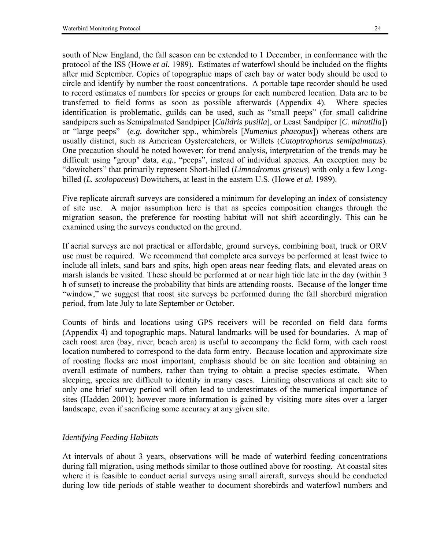south of New England, the fall season can be extended to 1 December, in conformance with the protocol of the ISS (Howe *et al.* 1989). Estimates of waterfowl should be included on the flights after mid September. Copies of topographic maps of each bay or water body should be used to circle and identify by number the roost concentrations. A portable tape recorder should be used to record estimates of numbers for species or groups for each numbered location. Data are to be transferred to field forms as soon as possible afterwards (Appendix 4). Where species identification is problematic, guilds can be used, such as "small peeps" (for small calidrine sandpipers such as Semipalmated Sandpiper [*Calidris pusilla*], or Least Sandpiper [*C. minutilla*]) or "large peeps" (e.g. dowitcher spp., whimbrels [*Numenius phaeopus*]) whereas others are usually distinct, such as American Oystercatchers, or Willets (*Catoptrophorus semipalmatus*). One precaution should be noted however; for trend analysis, interpretation of the trends may be difficult using "group" data, *e.g.*, "peeps", instead of individual species. An exception may be ìdowitchersî that primarily represent Short-billed (*Limnodromus griseus*) with only a few Longbilled (*L. scolopaceus*) Dowitchers, at least in the eastern U.S. (Howe *et al.* 1989).

Five replicate aircraft surveys are considered a minimum for developing an index of consistency of site use. A major assumption here is that as species composition changes through the migration season, the preference for roosting habitat will not shift accordingly. This can be examined using the surveys conducted on the ground.

If aerial surveys are not practical or affordable, ground surveys, combining boat, truck or ORV use must be required. We recommend that complete area surveys be performed at least twice to include all inlets, sand bars and spits, high open areas near feeding flats, and elevated areas on marsh islands be visited. These should be performed at or near high tide late in the day (within 3 h of sunset) to increase the probability that birds are attending roosts. Because of the longer time "window," we suggest that roost site surveys be performed during the fall shorebird migration period, from late July to late September or October.

Counts of birds and locations using GPS receivers will be recorded on field data forms (Appendix 4) and topographic maps. Natural landmarks will be used for boundaries. A map of each roost area (bay, river, beach area) is useful to accompany the field form, with each roost location numbered to correspond to the data form entry. Because location and approximate size of roosting flocks are most important, emphasis should be on site location and obtaining an overall estimate of numbers, rather than trying to obtain a precise species estimate. When sleeping, species are difficult to identity in many cases. Limiting observations at each site to only one brief survey period will often lead to underestimates of the numerical importance of sites (Hadden 2001); however more information is gained by visiting more sites over a larger landscape, even if sacrificing some accuracy at any given site.

# *Identifying Feeding Habitats*

At intervals of about 3 years, observations will be made of waterbird feeding concentrations during fall migration, using methods similar to those outlined above for roosting. At coastal sites where it is feasible to conduct aerial surveys using small aircraft, surveys should be conducted during low tide periods of stable weather to document shorebirds and waterfowl numbers and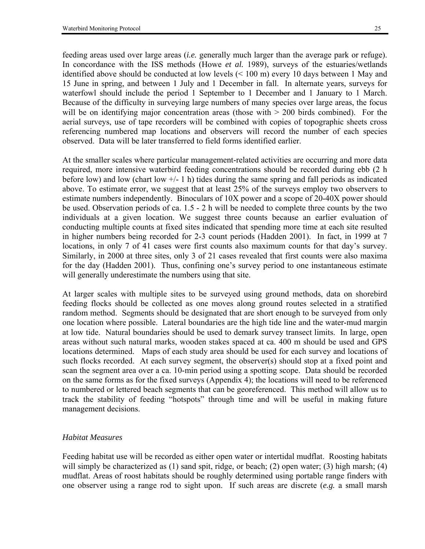feeding areas used over large areas (*i.e.* generally much larger than the average park or refuge). In concordance with the ISS methods (Howe *et al.* 1989), surveys of the estuaries/wetlands identified above should be conducted at low levels (< 100 m) every 10 days between 1 May and 15 June in spring, and between 1 July and 1 December in fall. In alternate years, surveys for waterfowl should include the period 1 September to 1 December and 1 January to 1 March. Because of the difficulty in surveying large numbers of many species over large areas, the focus will be on identifying major concentration areas (those with  $> 200$  birds combined). For the aerial surveys, use of tape recorders will be combined with copies of topographic sheets cross referencing numbered map locations and observers will record the number of each species observed. Data will be later transferred to field forms identified earlier.

At the smaller scales where particular management-related activities are occurring and more data required, more intensive waterbird feeding concentrations should be recorded during ebb (2 h before low) and low (chart low  $+/-1$  h) tides during the same spring and fall periods as indicated above. To estimate error, we suggest that at least 25% of the surveys employ two observers to estimate numbers independently. Binoculars of 10X power and a scope of 20-40X power should be used. Observation periods of ca. 1.5 - 2 h will be needed to complete three counts by the two individuals at a given location. We suggest three counts because an earlier evaluation of conducting multiple counts at fixed sites indicated that spending more time at each site resulted in higher numbers being recorded for 2-3 count periods (Hadden 2001). In fact, in 1999 at 7 locations, in only 7 of 41 cases were first counts also maximum counts for that day's survey. Similarly, in 2000 at three sites, only 3 of 21 cases revealed that first counts were also maxima for the day (Hadden 2001). Thus, confining one's survey period to one instantaneous estimate will generally underestimate the numbers using that site.

At larger scales with multiple sites to be surveyed using ground methods, data on shorebird feeding flocks should be collected as one moves along ground routes selected in a stratified random method. Segments should be designated that are short enough to be surveyed from only one location where possible. Lateral boundaries are the high tide line and the water-mud margin at low tide. Natural boundaries should be used to demark survey transect limits. In large, open areas without such natural marks, wooden stakes spaced at ca. 400 m should be used and GPS locations determined. Maps of each study area should be used for each survey and locations of such flocks recorded. At each survey segment, the observer(s) should stop at a fixed point and scan the segment area over a ca. 10-min period using a spotting scope. Data should be recorded on the same forms as for the fixed surveys (Appendix 4); the locations will need to be referenced to numbered or lettered beach segments that can be georeferenced. This method will allow us to track the stability of feeding "hotspots" through time and will be useful in making future management decisions.

#### *Habitat Measures*

Feeding habitat use will be recorded as either open water or intertidal mudflat. Roosting habitats will simply be characterized as  $(1)$  sand spit, ridge, or beach;  $(2)$  open water;  $(3)$  high marsh;  $(4)$ mudflat. Areas of roost habitats should be roughly determined using portable range finders with one observer using a range rod to sight upon. If such areas are discrete (*e.g.* a small marsh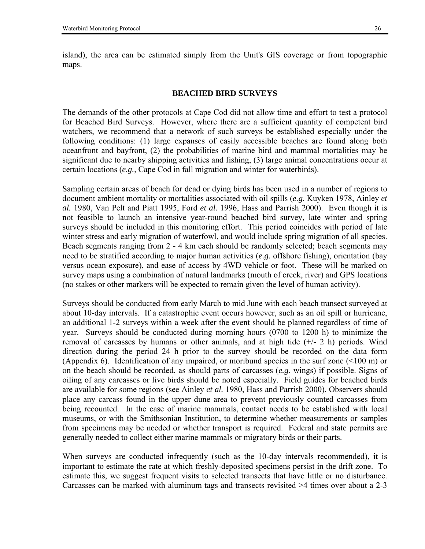island), the area can be estimated simply from the Unit's GIS coverage or from topographic maps.

#### **BEACHED BIRD SURVEYS**

The demands of the other protocols at Cape Cod did not allow time and effort to test a protocol for Beached Bird Surveys. However, where there are a sufficient quantity of competent bird watchers, we recommend that a network of such surveys be established especially under the following conditions: (1) large expanses of easily accessible beaches are found along both oceanfront and bayfront, (2) the probabilities of marine bird and mammal mortalities may be significant due to nearby shipping activities and fishing, (3) large animal concentrations occur at certain locations (*e.g.*, Cape Cod in fall migration and winter for waterbirds).

Sampling certain areas of beach for dead or dying birds has been used in a number of regions to document ambient mortality or mortalities associated with oil spills (*e.g.* Kuyken 1978, Ainley *et al.* 1980, Van Pelt and Piatt 1995, Ford *et al.* 1996, Hass and Parrish 2000). Even though it is not feasible to launch an intensive year-round beached bird survey, late winter and spring surveys should be included in this monitoring effort. This period coincides with period of late winter stress and early migration of waterfowl, and would include spring migration of all species. Beach segments ranging from 2 - 4 km each should be randomly selected; beach segments may need to be stratified according to major human activities (*e.g.* offshore fishing), orientation (bay versus ocean exposure), and ease of access by 4WD vehicle or foot. These will be marked on survey maps using a combination of natural landmarks (mouth of creek, river) and GPS locations (no stakes or other markers will be expected to remain given the level of human activity).

Surveys should be conducted from early March to mid June with each beach transect surveyed at about 10-day intervals. If a catastrophic event occurs however, such as an oil spill or hurricane, an additional 1-2 surveys within a week after the event should be planned regardless of time of year. Surveys should be conducted during morning hours (0700 to 1200 h) to minimize the removal of carcasses by humans or other animals, and at high tide  $(+/- 2 h)$  periods. Wind direction during the period 24 h prior to the survey should be recorded on the data form (Appendix 6). Identification of any impaired, or moribund species in the surf zone (<100 m) or on the beach should be recorded, as should parts of carcasses (*e.g.* wings) if possible. Signs of oiling of any carcasses or live birds should be noted especially. Field guides for beached birds are available for some regions (see Ainley *et al.* 1980, Hass and Parrish 2000). Observers should place any carcass found in the upper dune area to prevent previously counted carcasses from being recounted. In the case of marine mammals, contact needs to be established with local museums, or with the Smithsonian Institution, to determine whether measurements or samples from specimens may be needed or whether transport is required. Federal and state permits are generally needed to collect either marine mammals or migratory birds or their parts.

When surveys are conducted infrequently (such as the 10-day intervals recommended), it is important to estimate the rate at which freshly-deposited specimens persist in the drift zone. To estimate this, we suggest frequent visits to selected transects that have little or no disturbance. Carcasses can be marked with aluminum tags and transects revisited >4 times over about a 2-3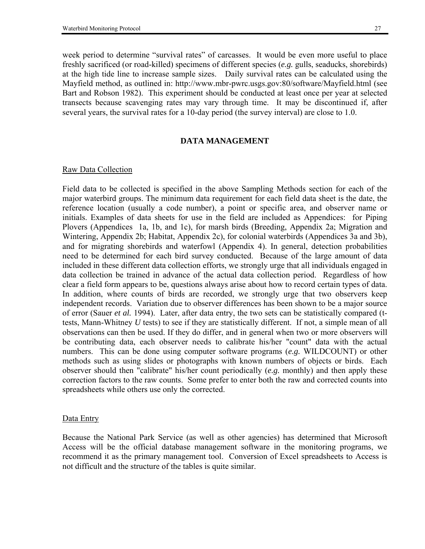week period to determine "survival rates" of carcasses. It would be even more useful to place freshly sacrificed (or road-killed) specimens of different species (*e.g.* gulls, seaducks, shorebirds) at the high tide line to increase sample sizes. Daily survival rates can be calculated using the Mayfield method, as outlined in: http://www.mbr-pwrc.usgs.gov:80/software/Mayfield.html (see Bart and Robson 1982). This experiment should be conducted at least once per year at selected transects because scavenging rates may vary through time. It may be discontinued if, after several years, the survival rates for a 10-day period (the survey interval) are close to 1.0.

#### **DATA MANAGEMENT**

#### Raw Data Collection

Field data to be collected is specified in the above Sampling Methods section for each of the major waterbird groups. The minimum data requirement for each field data sheet is the date, the reference location (usually a code number), a point or specific area, and observer name or initials. Examples of data sheets for use in the field are included as Appendices: for Piping Plovers (Appendices 1a, 1b, and 1c), for marsh birds (Breeding, Appendix 2a; Migration and Wintering, Appendix 2b; Habitat, Appendix 2c), for colonial waterbirds (Appendices 3a and 3b), and for migrating shorebirds and waterfowl (Appendix 4). In general, detection probabilities need to be determined for each bird survey conducted. Because of the large amount of data included in these different data collection efforts, we strongly urge that all individuals engaged in data collection be trained in advance of the actual data collection period. Regardless of how clear a field form appears to be, questions always arise about how to record certain types of data. In addition, where counts of birds are recorded, we strongly urge that two observers keep independent records. Variation due to observer differences has been shown to be a major source of error (Sauer *et al.* 1994). Later, after data entry, the two sets can be statistically compared (ttests, Mann-Whitney *U* tests) to see if they are statistically different. If not, a simple mean of all observations can then be used. If they do differ, and in general when two or more observers will be contributing data, each observer needs to calibrate his/her "count" data with the actual numbers. This can be done using computer software programs (*e.g.* WILDCOUNT) or other methods such as using slides or photographs with known numbers of objects or birds. Each observer should then "calibrate" his/her count periodically (*e.g.* monthly) and then apply these correction factors to the raw counts. Some prefer to enter both the raw and corrected counts into spreadsheets while others use only the corrected.

#### Data Entry

Because the National Park Service (as well as other agencies) has determined that Microsoft Access will be the official database management software in the monitoring programs, we recommend it as the primary management tool. Conversion of Excel spreadsheets to Access is not difficult and the structure of the tables is quite similar.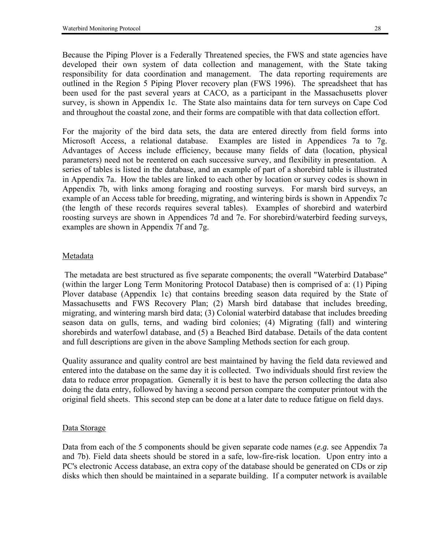Because the Piping Plover is a Federally Threatened species, the FWS and state agencies have developed their own system of data collection and management, with the State taking responsibility for data coordination and management. The data reporting requirements are outlined in the Region 5 Piping Plover recovery plan (FWS 1996). The spreadsheet that has been used for the past several years at CACO, as a participant in the Massachusetts plover survey, is shown in Appendix 1c. The State also maintains data for tern surveys on Cape Cod and throughout the coastal zone, and their forms are compatible with that data collection effort.

For the majority of the bird data sets, the data are entered directly from field forms into Microsoft Access, a relational database. Examples are listed in Appendices 7a to 7g. Advantages of Access include efficiency, because many fields of data (location, physical parameters) need not be reentered on each successive survey, and flexibility in presentation. A series of tables is listed in the database, and an example of part of a shorebird table is illustrated in Appendix 7a. How the tables are linked to each other by location or survey codes is shown in Appendix 7b, with links among foraging and roosting surveys. For marsh bird surveys, an example of an Access table for breeding, migrating, and wintering birds is shown in Appendix 7c (the length of these records requires several tables). Examples of shorebird and waterbird roosting surveys are shown in Appendices 7d and 7e. For shorebird/waterbird feeding surveys, examples are shown in Appendix 7f and 7g.

### Metadata

 The metadata are best structured as five separate components; the overall "Waterbird Database" (within the larger Long Term Monitoring Protocol Database) then is comprised of a: (1) Piping Plover database (Appendix 1c) that contains breeding season data required by the State of Massachusetts and FWS Recovery Plan; (2) Marsh bird database that includes breeding, migrating, and wintering marsh bird data; (3) Colonial waterbird database that includes breeding season data on gulls, terns, and wading bird colonies; (4) Migrating (fall) and wintering shorebirds and waterfowl database, and (5) a Beached Bird database. Details of the data content and full descriptions are given in the above Sampling Methods section for each group.

Quality assurance and quality control are best maintained by having the field data reviewed and entered into the database on the same day it is collected. Two individuals should first review the data to reduce error propagation. Generally it is best to have the person collecting the data also doing the data entry, followed by having a second person compare the computer printout with the original field sheets. This second step can be done at a later date to reduce fatigue on field days.

### Data Storage

Data from each of the 5 components should be given separate code names (*e.g.* see Appendix 7a and 7b). Field data sheets should be stored in a safe, low-fire-risk location. Upon entry into a PC's electronic Access database, an extra copy of the database should be generated on CDs or zip disks which then should be maintained in a separate building. If a computer network is available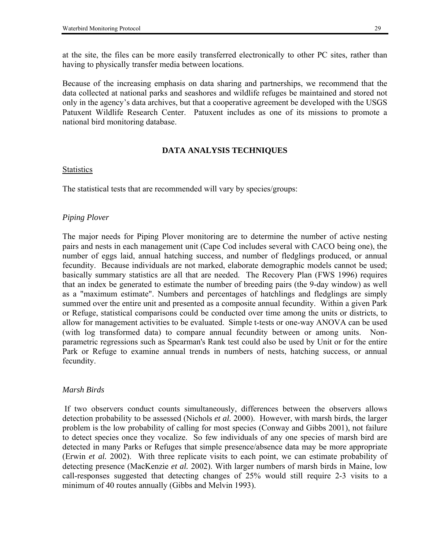at the site, the files can be more easily transferred electronically to other PC sites, rather than having to physically transfer media between locations.

Because of the increasing emphasis on data sharing and partnerships, we recommend that the data collected at national parks and seashores and wildlife refuges be maintained and stored not only in the agency's data archives, but that a cooperative agreement be developed with the USGS Patuxent Wildlife Research Center. Patuxent includes as one of its missions to promote a national bird monitoring database.

### **DATA ANALYSIS TECHNIQUES**

#### Statistics

The statistical tests that are recommended will vary by species/groups:

## *Piping Plover*

The major needs for Piping Plover monitoring are to determine the number of active nesting pairs and nests in each management unit (Cape Cod includes several with CACO being one), the number of eggs laid, annual hatching success, and number of fledglings produced, or annual fecundity. Because individuals are not marked, elaborate demographic models cannot be used; basically summary statistics are all that are needed. The Recovery Plan (FWS 1996) requires that an index be generated to estimate the number of breeding pairs (the 9-day window) as well as a "maximum estimate". Numbers and percentages of hatchlings and fledglings are simply summed over the entire unit and presented as a composite annual fecundity. Within a given Park or Refuge, statistical comparisons could be conducted over time among the units or districts, to allow for management activities to be evaluated. Simple t-tests or one-way ANOVA can be used (with log transformed data) to compare annual fecundity between or among units. Nonparametric regressions such as Spearman's Rank test could also be used by Unit or for the entire Park or Refuge to examine annual trends in numbers of nests, hatching success, or annual fecundity.

### *Marsh Birds*

If two observers conduct counts simultaneously, differences between the observers allows detection probability to be assessed (Nichols *et al.* 2000). However, with marsh birds, the larger problem is the low probability of calling for most species (Conway and Gibbs 2001), not failure to detect species once they vocalize. So few individuals of any one species of marsh bird are detected in many Parks or Refuges that simple presence/absence data may be more appropriate (Erwin *et al.* 2002). With three replicate visits to each point, we can estimate probability of detecting presence (MacKenzie *et al.* 2002). With larger numbers of marsh birds in Maine, low call-responses suggested that detecting changes of 25% would still require 2-3 visits to a minimum of 40 routes annually (Gibbs and Melvin 1993).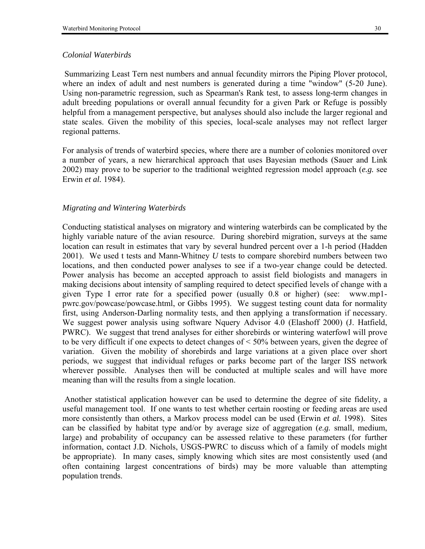Summarizing Least Tern nest numbers and annual fecundity mirrors the Piping Plover protocol, where an index of adult and nest numbers is generated during a time "window" (5-20 June). Using non-parametric regression, such as Spearman's Rank test, to assess long-term changes in adult breeding populations or overall annual fecundity for a given Park or Refuge is possibly helpful from a management perspective, but analyses should also include the larger regional and state scales. Given the mobility of this species, local-scale analyses may not reflect larger regional patterns.

For analysis of trends of waterbird species, where there are a number of colonies monitored over a number of years, a new hierarchical approach that uses Bayesian methods (Sauer and Link 2002) may prove to be superior to the traditional weighted regression model approach (*e.g.* see Erwin *et al.* 1984).

## *Migrating and Wintering Waterbirds*

Conducting statistical analyses on migratory and wintering waterbirds can be complicated by the highly variable nature of the avian resource. During shorebird migration, surveys at the same location can result in estimates that vary by several hundred percent over a 1-h period (Hadden 2001). We used t tests and Mann-Whitney *U* tests to compare shorebird numbers between two locations, and then conducted power analyses to see if a two-year change could be detected. Power analysis has become an accepted approach to assist field biologists and managers in making decisions about intensity of sampling required to detect specified levels of change with a given Type I error rate for a specified power (usually 0.8 or higher) (see: www.mp1 pwrc.gov/powcase/powcase.html, or Gibbs 1995). We suggest testing count data for normality first, using Anderson-Darling normality tests, and then applying a transformation if necessary. We suggest power analysis using software Nquery Advisor 4.0 (Elashoff 2000) (J. Hatfield, PWRC). We suggest that trend analyses for either shorebirds or wintering waterfowl will prove to be very difficult if one expects to detect changes of < 50% between years, given the degree of variation. Given the mobility of shorebirds and large variations at a given place over short periods, we suggest that individual refuges or parks become part of the larger ISS network wherever possible. Analyses then will be conducted at multiple scales and will have more meaning than will the results from a single location.

 Another statistical application however can be used to determine the degree of site fidelity, a useful management tool. If one wants to test whether certain roosting or feeding areas are used more consistently than others, a Markov process model can be used (Erwin *et al.* 1998). Sites can be classified by habitat type and/or by average size of aggregation (*e.g.* small, medium, large) and probability of occupancy can be assessed relative to these parameters (for further information, contact J.D. Nichols, USGS-PWRC to discuss which of a family of models might be appropriate). In many cases, simply knowing which sites are most consistently used (and often containing largest concentrations of birds) may be more valuable than attempting population trends.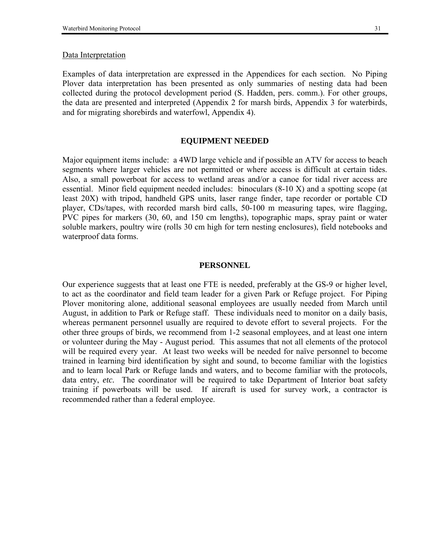#### Data Interpretation

Examples of data interpretation are expressed in the Appendices for each section. No Piping Plover data interpretation has been presented as only summaries of nesting data had been collected during the protocol development period (S. Hadden, pers. comm.). For other groups, the data are presented and interpreted (Appendix 2 for marsh birds, Appendix 3 for waterbirds, and for migrating shorebirds and waterfowl, Appendix 4).

#### **EQUIPMENT NEEDED**

Major equipment items include: a 4WD large vehicle and if possible an ATV for access to beach segments where larger vehicles are not permitted or where access is difficult at certain tides. Also, a small powerboat for access to wetland areas and/or a canoe for tidal river access are essential. Minor field equipment needed includes: binoculars (8-10 X) and a spotting scope (at least 20X) with tripod, handheld GPS units, laser range finder, tape recorder or portable CD player, CDs/tapes, with recorded marsh bird calls, 50-100 m measuring tapes, wire flagging, PVC pipes for markers (30, 60, and 150 cm lengths), topographic maps, spray paint or water soluble markers, poultry wire (rolls 30 cm high for tern nesting enclosures), field notebooks and waterproof data forms.

#### **PERSONNEL**

Our experience suggests that at least one FTE is needed, preferably at the GS-9 or higher level, to act as the coordinator and field team leader for a given Park or Refuge project. For Piping Plover monitoring alone, additional seasonal employees are usually needed from March until August, in addition to Park or Refuge staff. These individuals need to monitor on a daily basis, whereas permanent personnel usually are required to devote effort to several projects. For the other three groups of birds, we recommend from 1-2 seasonal employees, and at least one intern or volunteer during the May - August period. This assumes that not all elements of the protocol will be required every year. At least two weeks will be needed for naïve personnel to become trained in learning bird identification by sight and sound, to become familiar with the logistics and to learn local Park or Refuge lands and waters, and to become familiar with the protocols, data entry, *etc.* The coordinator will be required to take Department of Interior boat safety training if powerboats will be used. If aircraft is used for survey work, a contractor is recommended rather than a federal employee.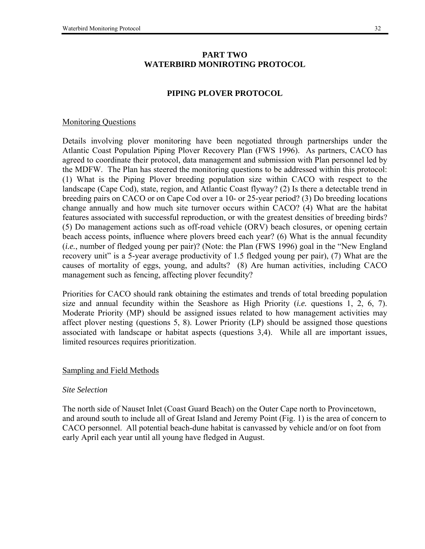## **PART TWO WATERBIRD MONIROTING PROTOCOL**

## **PIPING PLOVER PROTOCOL**

### Monitoring Questions

Details involving plover monitoring have been negotiated through partnerships under the Atlantic Coast Population Piping Plover Recovery Plan (FWS 1996). As partners, CACO has agreed to coordinate their protocol, data management and submission with Plan personnel led by the MDFW. The Plan has steered the monitoring questions to be addressed within this protocol: (1) What is the Piping Plover breeding population size within CACO with respect to the landscape (Cape Cod), state, region, and Atlantic Coast flyway? (2) Is there a detectable trend in breeding pairs on CACO or on Cape Cod over a 10- or 25-year period? (3) Do breeding locations change annually and how much site turnover occurs within CACO? (4) What are the habitat features associated with successful reproduction, or with the greatest densities of breeding birds? (5) Do management actions such as off-road vehicle (ORV) beach closures, or opening certain beach access points, influence where plovers breed each year? (6) What is the annual fecundity  $(i.e., number of fledged young per pair)$ ? (Note: the Plan (FWS 1996) goal in the "New England" recovery unit" is a 5-year average productivity of 1.5 fledged young per pair), (7) What are the causes of mortality of eggs, young, and adults? (8) Are human activities, including CACO management such as fencing, affecting plover fecundity?

Priorities for CACO should rank obtaining the estimates and trends of total breeding population size and annual fecundity within the Seashore as High Priority (*i.e.* questions 1, 2, 6, 7). Moderate Priority (MP) should be assigned issues related to how management activities may affect plover nesting (questions 5, 8). Lower Priority (LP) should be assigned those questions associated with landscape or habitat aspects (questions 3,4). While all are important issues, limited resources requires prioritization.

### Sampling and Field Methods

#### *Site Selection*

The north side of Nauset Inlet (Coast Guard Beach) on the Outer Cape north to Provincetown, and around south to include all of Great Island and Jeremy Point (Fig. 1) is the area of concern to CACO personnel. All potential beach-dune habitat is canvassed by vehicle and/or on foot from early April each year until all young have fledged in August.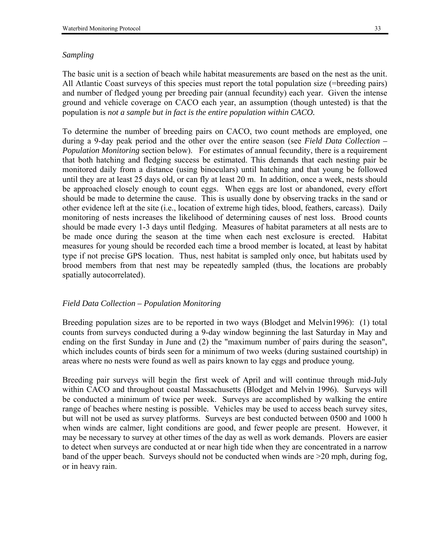#### *Sampling*

The basic unit is a section of beach while habitat measurements are based on the nest as the unit. All Atlantic Coast surveys of this species must report the total population size (=breeding pairs) and number of fledged young per breeding pair (annual fecundity) each year. Given the intense ground and vehicle coverage on CACO each year, an assumption (though untested) is that the population is *not a sample but in fact is the entire population within CACO.* 

To determine the number of breeding pairs on CACO, two count methods are employed, one during a 9-day peak period and the other over the entire season (see *Field Data Collection – Population Monitoring* section below). For estimates of annual fecundity, there is a requirement that both hatching and fledging success be estimated. This demands that each nesting pair be monitored daily from a distance (using binoculars) until hatching and that young be followed until they are at least 25 days old, or can fly at least 20 m. In addition, once a week, nests should be approached closely enough to count eggs. When eggs are lost or abandoned, every effort should be made to determine the cause. This is usually done by observing tracks in the sand or other evidence left at the site (i.e., location of extreme high tides, blood, feathers, carcass). Daily monitoring of nests increases the likelihood of determining causes of nest loss. Brood counts should be made every 1-3 days until fledging. Measures of habitat parameters at all nests are to be made once during the season at the time when each nest exclosure is erected. Habitat measures for young should be recorded each time a brood member is located, at least by habitat type if not precise GPS location. Thus, nest habitat is sampled only once, but habitats used by brood members from that nest may be repeatedly sampled (thus, the locations are probably spatially autocorrelated).

#### *Field Data Collection – Population Monitoring*

Breeding population sizes are to be reported in two ways (Blodget and Melvin1996): (1) total counts from surveys conducted during a 9-day window beginning the last Saturday in May and ending on the first Sunday in June and (2) the "maximum number of pairs during the season", which includes counts of birds seen for a minimum of two weeks (during sustained courtship) in areas where no nests were found as well as pairs known to lay eggs and produce young.

Breeding pair surveys will begin the first week of April and will continue through mid-July within CACO and throughout coastal Massachusetts (Blodget and Melvin 1996). Surveys will be conducted a minimum of twice per week. Surveys are accomplished by walking the entire range of beaches where nesting is possible. Vehicles may be used to access beach survey sites, but will not be used as survey platforms. Surveys are best conducted between 0500 and 1000 h when winds are calmer, light conditions are good, and fewer people are present. However, it may be necessary to survey at other times of the day as well as work demands. Plovers are easier to detect when surveys are conducted at or near high tide when they are concentrated in a narrow band of the upper beach. Surveys should not be conducted when winds are >20 mph, during fog, or in heavy rain.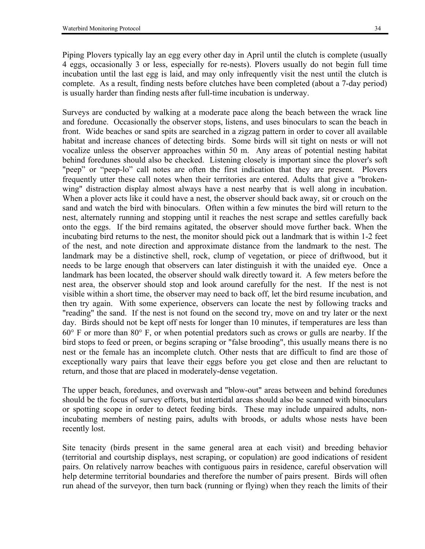Piping Plovers typically lay an egg every other day in April until the clutch is complete (usually 4 eggs, occasionally 3 or less, especially for re-nests). Plovers usually do not begin full time incubation until the last egg is laid, and may only infrequently visit the nest until the clutch is complete. As a result, finding nests before clutches have been completed (about a 7-day period) is usually harder than finding nests after full-time incubation is underway.

Surveys are conducted by walking at a moderate pace along the beach between the wrack line and foredune. Occasionally the observer stops, listens, and uses binoculars to scan the beach in front. Wide beaches or sand spits are searched in a zigzag pattern in order to cover all available habitat and increase chances of detecting birds. Some birds will sit tight on nests or will not vocalize unless the observer approaches within 50 m. Any areas of potential nesting habitat behind foredunes should also be checked. Listening closely is important since the plover's soft "peep" or "peep-lo" call notes are often the first indication that they are present. Plovers frequently utter these call notes when their territories are entered. Adults that give a "brokenwing" distraction display almost always have a nest nearby that is well along in incubation. When a plover acts like it could have a nest, the observer should back away, sit or crouch on the sand and watch the bird with binoculars. Often within a few minutes the bird will return to the nest, alternately running and stopping until it reaches the nest scrape and settles carefully back onto the eggs. If the bird remains agitated, the observer should move further back. When the incubating bird returns to the nest, the monitor should pick out a landmark that is within 1-2 feet of the nest, and note direction and approximate distance from the landmark to the nest. The landmark may be a distinctive shell, rock, clump of vegetation, or piece of driftwood, but it needs to be large enough that observers can later distinguish it with the unaided eye. Once a landmark has been located, the observer should walk directly toward it. A few meters before the nest area, the observer should stop and look around carefully for the nest. If the nest is not visible within a short time, the observer may need to back off, let the bird resume incubation, and then try again. With some experience, observers can locate the nest by following tracks and "reading" the sand. If the nest is not found on the second try, move on and try later or the next day. Birds should not be kept off nests for longer than 10 minutes, if temperatures are less than  $60^{\circ}$  F or more than  $80^{\circ}$  F, or when potential predators such as crows or gulls are nearby. If the bird stops to feed or preen, or begins scraping or "false brooding", this usually means there is no nest or the female has an incomplete clutch. Other nests that are difficult to find are those of exceptionally wary pairs that leave their eggs before you get close and then are reluctant to return, and those that are placed in moderately-dense vegetation.

The upper beach, foredunes, and overwash and "blow-out" areas between and behind foredunes should be the focus of survey efforts, but intertidal areas should also be scanned with binoculars or spotting scope in order to detect feeding birds. These may include unpaired adults, nonincubating members of nesting pairs, adults with broods, or adults whose nests have been recently lost.

Site tenacity (birds present in the same general area at each visit) and breeding behavior (territorial and courtship displays, nest scraping, or copulation) are good indications of resident pairs. On relatively narrow beaches with contiguous pairs in residence, careful observation will help determine territorial boundaries and therefore the number of pairs present. Birds will often run ahead of the surveyor, then turn back (running or flying) when they reach the limits of their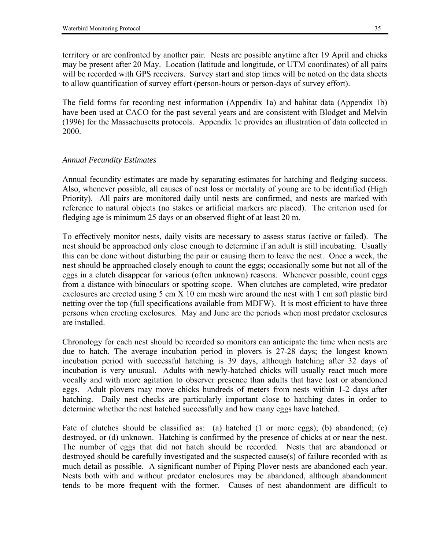territory or are confronted by another pair. Nests are possible anytime after 19 April and chicks may be present after 20 May. Location (latitude and longitude, or UTM coordinates) of all pairs will be recorded with GPS receivers. Survey start and stop times will be noted on the data sheets to allow quantification of survey effort (person-hours or person-days of survey effort).

The field forms for recording nest information (Appendix 1a) and habitat data (Appendix 1b) have been used at CACO for the past several years and are consistent with Blodget and Melvin (1996) for the Massachusetts protocols. Appendix 1c provides an illustration of data collected in 2000.

### *Annual Fecundity Estimates*

Annual fecundity estimates are made by separating estimates for hatching and fledging success. Also, whenever possible, all causes of nest loss or mortality of young are to be identified (High Priority). All pairs are monitored daily until nests are confirmed, and nests are marked with reference to natural objects (no stakes or artificial markers are placed). The criterion used for fledging age is minimum 25 days or an observed flight of at least 20 m.

To effectively monitor nests, daily visits are necessary to assess status (active or failed). The nest should be approached only close enough to determine if an adult is still incubating. Usually this can be done without disturbing the pair or causing them to leave the nest. Once a week, the nest should be approached closely enough to count the eggs; occasionally some but not all of the eggs in a clutch disappear for various (often unknown) reasons. Whenever possible, count eggs from a distance with binoculars or spotting scope. When clutches are completed, wire predator exclosures are erected using 5 cm X 10 cm mesh wire around the nest with 1 cm soft plastic bird netting over the top (full specifications available from MDFW). It is most efficient to have three persons when erecting exclosures. May and June are the periods when most predator exclosures are installed.

Chronology for each nest should be recorded so monitors can anticipate the time when nests are due to hatch. The average incubation period in plovers is 27-28 days; the longest known incubation period with successful hatching is 39 days, although hatching after 32 days of incubation is very unusual. Adults with newly-hatched chicks will usually react much more vocally and with more agitation to observer presence than adults that have lost or abandoned eggs. Adult plovers may move chicks hundreds of meters from nests within 1-2 days after hatching. Daily nest checks are particularly important close to hatching dates in order to determine whether the nest hatched successfully and how many eggs have hatched.

Fate of clutches should be classified as: (a) hatched (1 or more eggs); (b) abandoned; (c) destroyed, or (d) unknown. Hatching is confirmed by the presence of chicks at or near the nest. The number of eggs that did not hatch should be recorded. Nests that are abandoned or destroyed should be carefully investigated and the suspected cause(s) of failure recorded with as much detail as possible. A significant number of Piping Plover nests are abandoned each year. Nests both with and without predator enclosures may be abandoned, although abandonment tends to be more frequent with the former. Causes of nest abandonment are difficult to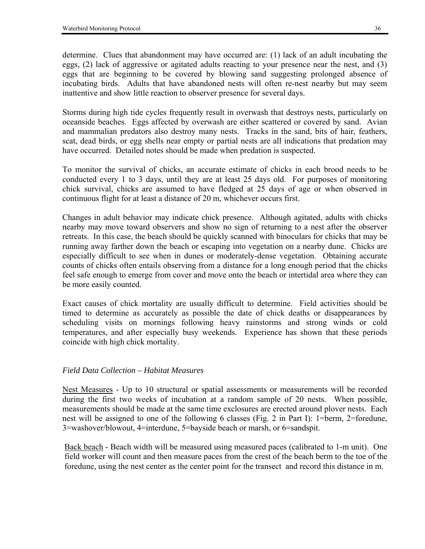determine. Clues that abandonment may have occurred are: (1) lack of an adult incubating the eggs, (2) lack of aggressive or agitated adults reacting to your presence near the nest, and (3) eggs that are beginning to be covered by blowing sand suggesting prolonged absence of incubating birds. Adults that have abandoned nests will often re-nest nearby but may seem inattentive and show little reaction to observer presence for several days.

Storms during high tide cycles frequently result in overwash that destroys nests, particularly on oceanside beaches. Eggs affected by overwash are either scattered or covered by sand. Avian and mammalian predators also destroy many nests. Tracks in the sand, bits of hair, feathers, scat, dead birds, or egg shells near empty or partial nests are all indications that predation may have occurred. Detailed notes should be made when predation is suspected.

To monitor the survival of chicks, an accurate estimate of chicks in each brood needs to be conducted every 1 to 3 days, until they are at least 25 days old. For purposes of monitoring chick survival, chicks are assumed to have fledged at 25 days of age or when observed in continuous flight for at least a distance of 20 m, whichever occurs first.

Changes in adult behavior may indicate chick presence. Although agitated, adults with chicks nearby may move toward observers and show no sign of returning to a nest after the observer retreats. In this case, the beach should be quickly scanned with binoculars for chicks that may be running away farther down the beach or escaping into vegetation on a nearby dune. Chicks are especially difficult to see when in dunes or moderately-dense vegetation. Obtaining accurate counts of chicks often entails observing from a distance for a long enough period that the chicks feel safe enough to emerge from cover and move onto the beach or intertidal area where they can be more easily counted.

Exact causes of chick mortality are usually difficult to determine. Field activities should be timed to determine as accurately as possible the date of chick deaths or disappearances by scheduling visits on mornings following heavy rainstorms and strong winds or cold temperatures, and after especially busy weekends. Experience has shown that these periods coincide with high chick mortality.

### *Field Data Collection – Habitat Measures*

Nest Measures - Up to 10 structural or spatial assessments or measurements will be recorded during the first two weeks of incubation at a random sample of 20 nests. When possible, measurements should be made at the same time exclosures are erected around plover nests. Each nest will be assigned to one of the following 6 classes (Fig. 2 in Part I): 1=berm, 2=foredune, 3=washover/blowout, 4=interdune, 5=bayside beach or marsh, or 6=sandspit.

Back beach - Beach width will be measured using measured paces (calibrated to 1-m unit). One field worker will count and then measure paces from the crest of the beach berm to the toe of the foredune, using the nest center as the center point for the transect and record this distance in m.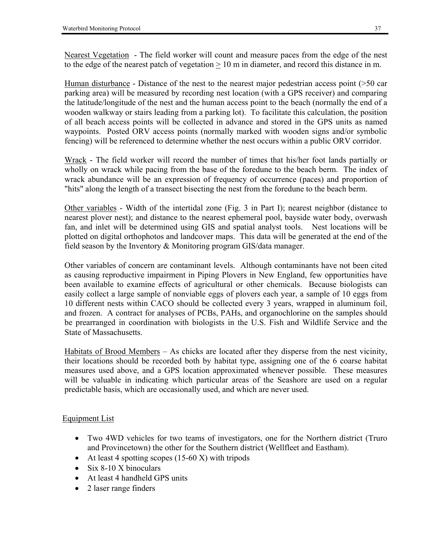Nearest Vegetation - The field worker will count and measure paces from the edge of the nest to the edge of the nearest patch of vegetation > 10 m in diameter, and record this distance in m.

Human disturbance - Distance of the nest to the nearest major pedestrian access point (>50 car parking area) will be measured by recording nest location (with a GPS receiver) and comparing the latitude/longitude of the nest and the human access point to the beach (normally the end of a wooden walkway or stairs leading from a parking lot). To facilitate this calculation, the position of all beach access points will be collected in advance and stored in the GPS units as named waypoints. Posted ORV access points (normally marked with wooden signs and/or symbolic fencing) will be referenced to determine whether the nest occurs within a public ORV corridor.

Wrack - The field worker will record the number of times that his/her foot lands partially or wholly on wrack while pacing from the base of the foredune to the beach berm. The index of wrack abundance will be an expression of frequency of occurrence (paces) and proportion of "hits" along the length of a transect bisecting the nest from the foredune to the beach berm.

Other variables - Width of the intertidal zone (Fig. 3 in Part I); nearest neighbor (distance to nearest plover nest); and distance to the nearest ephemeral pool, bayside water body, overwash fan, and inlet will be determined using GIS and spatial analyst tools. Nest locations will be plotted on digital orthophotos and landcover maps. This data will be generated at the end of the field season by the Inventory & Monitoring program GIS/data manager.

Other variables of concern are contaminant levels. Although contaminants have not been cited as causing reproductive impairment in Piping Plovers in New England, few opportunities have been available to examine effects of agricultural or other chemicals. Because biologists can easily collect a large sample of nonviable eggs of plovers each year, a sample of 10 eggs from 10 different nests within CACO should be collected every 3 years, wrapped in aluminum foil, and frozen. A contract for analyses of PCBs, PAHs, and organochlorine on the samples should be prearranged in coordination with biologists in the U.S. Fish and Wildlife Service and the State of Massachusetts.

Habitats of Brood Members  $-$  As chicks are located after they disperse from the nest vicinity, their locations should be recorded both by habitat type, assigning one of the 6 coarse habitat measures used above, and a GPS location approximated whenever possible. These measures will be valuable in indicating which particular areas of the Seashore are used on a regular predictable basis, which are occasionally used, and which are never used.

## Equipment List

- Two 4WD vehicles for two teams of investigators, one for the Northern district (Truro and Provincetown) the other for the Southern district (Wellfleet and Eastham).
- At least 4 spotting scopes  $(15-60 \text{ X})$  with tripods
- Six 8-10 X binoculars
- At least 4 handheld GPS units
- 2 laser range finders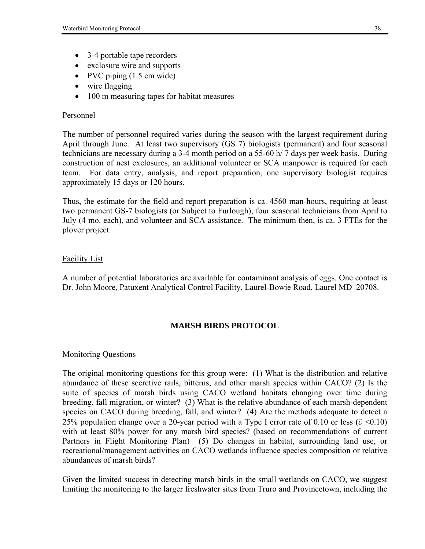- 3-4 portable tape recorders
- exclosure wire and supports
- PVC piping (1.5 cm wide)
- wire flagging
- 100 m measuring tapes for habitat measures

## Personnel

The number of personnel required varies during the season with the largest requirement during April through June. At least two supervisory (GS 7) biologists (permanent) and four seasonal technicians are necessary during a 3-4 month period on a 55-60 h/ 7 days per week basis. During construction of nest exclosures, an additional volunteer or SCA manpower is required for each team. For data entry, analysis, and report preparation, one supervisory biologist requires approximately 15 days or 120 hours.

Thus, the estimate for the field and report preparation is ca. 4560 man-hours, requiring at least two permanent GS-7 biologists (or Subject to Furlough), four seasonal technicians from April to July (4 mo. each), and volunteer and SCA assistance. The minimum then, is ca. 3 FTEs for the plover project.

## Facility List

A number of potential laboratories are available for contaminant analysis of eggs. One contact is Dr. John Moore, Patuxent Analytical Control Facility, Laurel-Bowie Road, Laurel MD 20708.

## **MARSH BIRDS PROTOCOL**

### Monitoring Questions

The original monitoring questions for this group were: (1) What is the distribution and relative abundance of these secretive rails, bitterns, and other marsh species within CACO? (2) Is the suite of species of marsh birds using CACO wetland habitats changing over time during breeding, fall migration, or winter? (3) What is the relative abundance of each marsh-dependent species on CACO during breeding, fall, and winter? (4) Are the methods adequate to detect a 25% population change over a 20-year period with a Type I error rate of 0.10 or less ( $\partial$  <0.10) with at least 80% power for any marsh bird species? (based on recommendations of current Partners in Flight Monitoring Plan) (5) Do changes in habitat, surrounding land use, or recreational/management activities on CACO wetlands influence species composition or relative abundances of marsh birds?

Given the limited success in detecting marsh birds in the small wetlands on CACO, we suggest limiting the monitoring to the larger freshwater sites from Truro and Provincetown, including the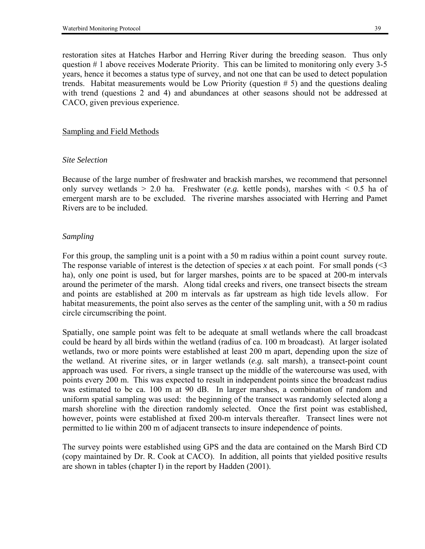restoration sites at Hatches Harbor and Herring River during the breeding season. Thus only question # 1 above receives Moderate Priority. This can be limited to monitoring only every 3-5 years, hence it becomes a status type of survey, and not one that can be used to detect population trends. Habitat measurements would be Low Priority (question # 5) and the questions dealing with trend (questions 2 and 4) and abundances at other seasons should not be addressed at CACO, given previous experience.

### Sampling and Field Methods

#### *Site Selection*

Because of the large number of freshwater and brackish marshes, we recommend that personnel only survey wetlands  $> 2.0$  ha. Freshwater (*e.g.* kettle ponds), marshes with  $< 0.5$  ha of emergent marsh are to be excluded. The riverine marshes associated with Herring and Pamet Rivers are to be included.

### *Sampling*

For this group, the sampling unit is a point with a 50 m radius within a point count survey route. The response variable of interest is the detection of species *x* at each point. For small ponds  $\leq 3$ ha), only one point is used, but for larger marshes, points are to be spaced at 200-m intervals around the perimeter of the marsh. Along tidal creeks and rivers, one transect bisects the stream and points are established at 200 m intervals as far upstream as high tide levels allow. For habitat measurements, the point also serves as the center of the sampling unit, with a 50 m radius circle circumscribing the point.

Spatially, one sample point was felt to be adequate at small wetlands where the call broadcast could be heard by all birds within the wetland (radius of ca. 100 m broadcast). At larger isolated wetlands, two or more points were established at least 200 m apart, depending upon the size of the wetland. At riverine sites, or in larger wetlands (*e.g.* salt marsh), a transect-point count approach was used. For rivers, a single transect up the middle of the watercourse was used, with points every 200 m. This was expected to result in independent points since the broadcast radius was estimated to be ca. 100 m at 90 dB. In larger marshes, a combination of random and uniform spatial sampling was used: the beginning of the transect was randomly selected along a marsh shoreline with the direction randomly selected. Once the first point was established, however, points were established at fixed 200-m intervals thereafter. Transect lines were not permitted to lie within 200 m of adjacent transects to insure independence of points.

The survey points were established using GPS and the data are contained on the Marsh Bird CD (copy maintained by Dr. R. Cook at CACO). In addition, all points that yielded positive results are shown in tables (chapter I) in the report by Hadden (2001).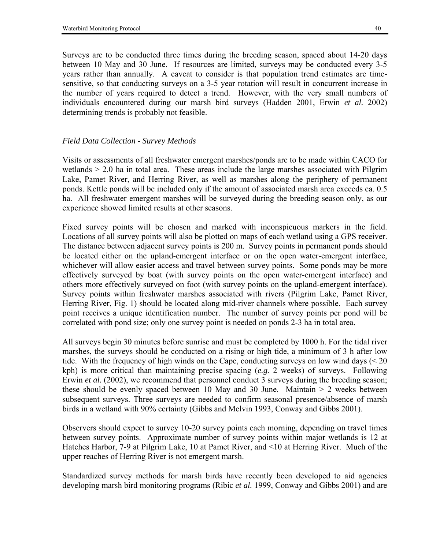Surveys are to be conducted three times during the breeding season, spaced about 14-20 days between 10 May and 30 June. If resources are limited, surveys may be conducted every 3-5 years rather than annually. A caveat to consider is that population trend estimates are timesensitive, so that conducting surveys on a 3-5 year rotation will result in concurrent increase in the number of years required to detect a trend. However, with the very small numbers of individuals encountered during our marsh bird surveys (Hadden 2001, Erwin *et al.* 2002) determining trends is probably not feasible.

## *Field Data Collection - Survey Methods*

Visits or assessments of all freshwater emergent marshes/ponds are to be made within CACO for wetlands  $> 2.0$  ha in total area. These areas include the large marshes associated with Pilgrim Lake, Pamet River, and Herring River, as well as marshes along the periphery of permanent ponds. Kettle ponds will be included only if the amount of associated marsh area exceeds ca. 0.5 ha. All freshwater emergent marshes will be surveyed during the breeding season only, as our experience showed limited results at other seasons.

Fixed survey points will be chosen and marked with inconspicuous markers in the field. Locations of all survey points will also be plotted on maps of each wetland using a GPS receiver. The distance between adjacent survey points is 200 m. Survey points in permanent ponds should be located either on the upland-emergent interface or on the open water-emergent interface, whichever will allow easier access and travel between survey points. Some ponds may be more effectively surveyed by boat (with survey points on the open water-emergent interface) and others more effectively surveyed on foot (with survey points on the upland-emergent interface). Survey points within freshwater marshes associated with rivers (Pilgrim Lake, Pamet River, Herring River, Fig. 1) should be located along mid-river channels where possible. Each survey point receives a unique identification number. The number of survey points per pond will be correlated with pond size; only one survey point is needed on ponds 2-3 ha in total area.

All surveys begin 30 minutes before sunrise and must be completed by 1000 h. For the tidal river marshes, the surveys should be conducted on a rising or high tide, a minimum of 3 h after low tide. With the frequency of high winds on the Cape, conducting surveys on low wind days (< 20 kph) is more critical than maintaining precise spacing (*e.g.* 2 weeks) of surveys. Following Erwin *et al.* (2002), we recommend that personnel conduct 3 surveys during the breeding season; these should be evenly spaced between 10 May and 30 June. Maintain  $> 2$  weeks between subsequent surveys. Three surveys are needed to confirm seasonal presence/absence of marsh birds in a wetland with 90% certainty (Gibbs and Melvin 1993, Conway and Gibbs 2001).

Observers should expect to survey 10-20 survey points each morning, depending on travel times between survey points. Approximate number of survey points within major wetlands is 12 at Hatches Harbor, 7-9 at Pilgrim Lake, 10 at Pamet River, and <10 at Herring River. Much of the upper reaches of Herring River is not emergent marsh.

Standardized survey methods for marsh birds have recently been developed to aid agencies developing marsh bird monitoring programs (Ribic *et al.* 1999, Conway and Gibbs 2001) and are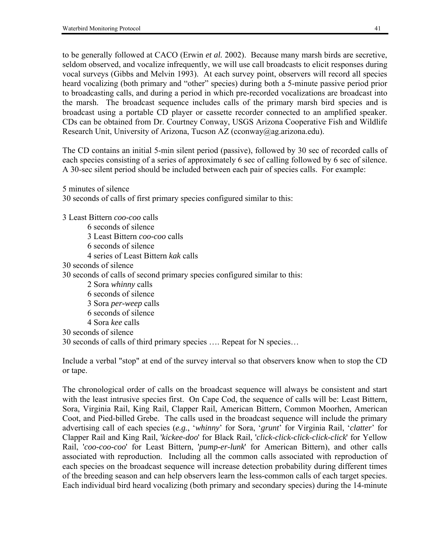to be generally followed at CACO (Erwin *et al.* 2002). Because many marsh birds are secretive, seldom observed, and vocalize infrequently, we will use call broadcasts to elicit responses during vocal surveys (Gibbs and Melvin 1993). At each survey point, observers will record all species heard vocalizing (both primary and "other" species) during both a 5-minute passive period prior to broadcasting calls, and during a period in which pre-recorded vocalizations are broadcast into the marsh. The broadcast sequence includes calls of the primary marsh bird species and is broadcast using a portable CD player or cassette recorder connected to an amplified speaker. CDs can be obtained from Dr. Courtney Conway, USGS Arizona Cooperative Fish and Wildlife Research Unit, University of Arizona, Tucson AZ (cconway@ag.arizona.edu).

The CD contains an initial 5-min silent period (passive), followed by 30 sec of recorded calls of each species consisting of a series of approximately 6 sec of calling followed by 6 sec of silence. A 30-sec silent period should be included between each pair of species calls. For example:

5 minutes of silence

30 seconds of calls of first primary species configured similar to this:

3 Least Bittern *coo-coo* calls 6 seconds of silence 3 Least Bittern *coo-coo* calls 6 seconds of silence 4 series of Least Bittern *kak* calls 30 seconds of silence 30 seconds of calls of second primary species configured similar to this: 2 Sora *whinny* calls 6 seconds of silence 3 Sora *per-weep* calls 6 seconds of silence 4 Sora *kee* calls 30 seconds of silence 30 seconds of calls of third primary species .... Repeat for N species...

Include a verbal "stop" at end of the survey interval so that observers know when to stop the CD or tape.

The chronological order of calls on the broadcast sequence will always be consistent and start with the least intrusive species first. On Cape Cod, the sequence of calls will be: Least Bittern, Sora, Virginia Rail, King Rail, Clapper Rail, American Bittern, Common Moorhen, American Coot, and Pied-billed Grebe. The calls used in the broadcast sequence will include the primary advertising call of each species (e.g., 'whinny' for Sora, 'grunt' for Virginia Rail, 'clatter' for Clapper Rail and King Rail, '*kickee-doo*' for Black Rail, '*click-click-click-click-click*' for Yellow Rail, '*coo-coo-coo*' for Least Bittern, '*pump-er-lunk*' for American Bittern), and other calls associated with reproduction. Including all the common calls associated with reproduction of each species on the broadcast sequence will increase detection probability during different times of the breeding season and can help observers learn the less-common calls of each target species. Each individual bird heard vocalizing (both primary and secondary species) during the 14-minute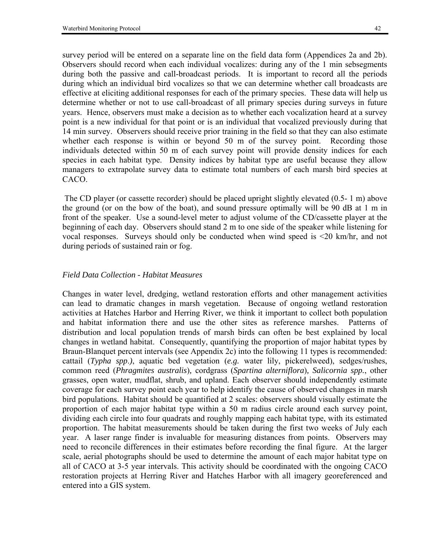survey period will be entered on a separate line on the field data form (Appendices 2a and 2b). Observers should record when each individual vocalizes: during any of the 1 min sebsegments during both the passive and call-broadcast periods. It is important to record all the periods during which an individual bird vocalizes so that we can determine whether call broadcasts are effective at eliciting additional responses for each of the primary species. These data will help us determine whether or not to use call-broadcast of all primary species during surveys in future years. Hence, observers must make a decision as to whether each vocalization heard at a survey point is a new individual for that point or is an individual that vocalized previously during that 14 min survey. Observers should receive prior training in the field so that they can also estimate whether each response is within or beyond 50 m of the survey point. Recording those individuals detected within 50 m of each survey point will provide density indices for each species in each habitat type. Density indices by habitat type are useful because they allow managers to extrapolate survey data to estimate total numbers of each marsh bird species at CACO.

 The CD player (or cassette recorder) should be placed upright slightly elevated (0.5- 1 m) above the ground (or on the bow of the boat), and sound pressure optimally will be 90 dB at 1 m in front of the speaker. Use a sound-level meter to adjust volume of the CD/cassette player at the beginning of each day. Observers should stand 2 m to one side of the speaker while listening for vocal responses. Surveys should only be conducted when wind speed is <20 km/hr, and not during periods of sustained rain or fog.

## *Field Data Collection - Habitat Measures*

Changes in water level, dredging, wetland restoration efforts and other management activities can lead to dramatic changes in marsh vegetation. Because of ongoing wetland restoration activities at Hatches Harbor and Herring River, we think it important to collect both population and habitat information there and use the other sites as reference marshes. Patterns of distribution and local population trends of marsh birds can often be best explained by local changes in wetland habitat. Consequently, quantifying the proportion of major habitat types by Braun-Blanquet percent intervals (see Appendix 2c) into the following 11 types is recommended: cattail (*Typha spp*.*)*, aquatic bed vegetation (*e.g.* water lily, pickerelweed), sedges/rushes, common reed (*Phragmites australis*)*,* cordgrass (*Spartina alterniflora*)*, Salicornia spp.*, other grasses, open water, mudflat, shrub, and upland. Each observer should independently estimate coverage for each survey point each year to help identify the cause of observed changes in marsh bird populations. Habitat should be quantified at 2 scales: observers should visually estimate the proportion of each major habitat type within a 50 m radius circle around each survey point, dividing each circle into four quadrats and roughly mapping each habitat type, with its estimated proportion. The habitat measurements should be taken during the first two weeks of July each year. A laser range finder is invaluable for measuring distances from points. Observers may need to reconcile differences in their estimates before recording the final figure. At the larger scale, aerial photographs should be used to determine the amount of each major habitat type on all of CACO at 3-5 year intervals. This activity should be coordinated with the ongoing CACO restoration projects at Herring River and Hatches Harbor with all imagery georeferenced and entered into a GIS system.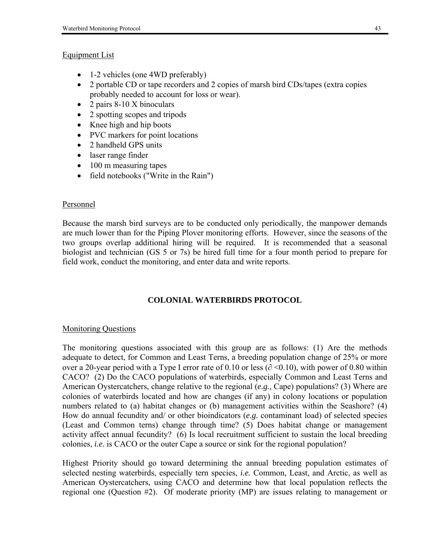## Equipment List

- 1-2 vehicles (one 4WD preferably)
- 2 portable CD or tape recorders and 2 copies of marsh bird CDs/tapes (extra copies probably needed to account for loss or wear).
- 2 pairs 8-10 X binoculars
- 2 spotting scopes and tripods
- Knee high and hip boots
- PVC markers for point locations
- 2 handheld GPS units
- laser range finder
- 100 m measuring tapes
- field notebooks ("Write in the Rain")

## Personnel

Because the marsh bird surveys are to be conducted only periodically, the manpower demands are much lower than for the Piping Plover monitoring efforts. However, since the seasons of the two groups overlap additional hiring will be required. It is recommended that a seasonal biologist and technician (GS 5 or 7s) be hired full time for a four month period to prepare for field work, conduct the monitoring, and enter data and write reports.

## **COLONIAL WATERBIRDS PROTOCOL**

## Monitoring Questions

The monitoring questions associated with this group are as follows: (1) Are the methods adequate to detect, for Common and Least Terns, a breeding population change of 25% or more over a 20-year period with a Type I error rate of 0.10 or less ( $\partial \le 0.10$ ), with power of 0.80 within CACO? (2) Do the CACO populations of waterbirds, especially Common and Least Terns and American Oystercatchers, change relative to the regional (*e.g.*, Cape) populations? (3) Where are colonies of waterbirds located and how are changes (if any) in colony locations or population numbers related to (a) habitat changes or (b) management activities within the Seashore? (4) How do annual fecundity and/ or other bioindicators (*e.g.* contaminant load) of selected species (Least and Common terns) change through time? (5) Does habitat change or management activity affect annual fecundity? (6) Is local recruitment sufficient to sustain the local breeding colonies, *i.e.* is CACO or the outer Cape a source or sink for the regional population?

Highest Priority should go toward determining the annual breeding population estimates of selected nesting waterbirds, especially tern species, *i.e.* Common, Least, and Arctic, as well as American Oystercatchers, using CACO and determine how that local population reflects the regional one (Question #2). Of moderate priority (MP) are issues relating to management or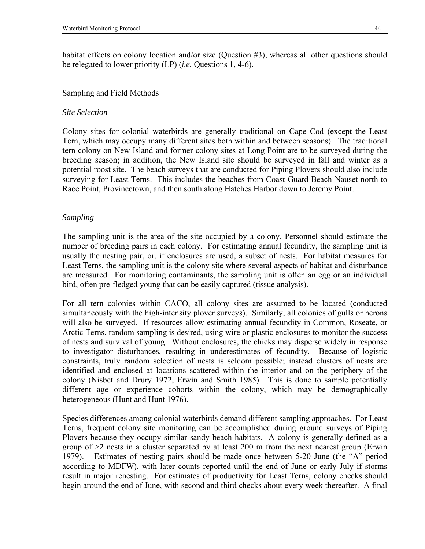habitat effects on colony location and/or size (Question #3), whereas all other questions should be relegated to lower priority (LP) (*i.e.* Questions 1, 4-6).

#### Sampling and Field Methods

#### *Site Selection*

Colony sites for colonial waterbirds are generally traditional on Cape Cod (except the Least Tern, which may occupy many different sites both within and between seasons). The traditional tern colony on New Island and former colony sites at Long Point are to be surveyed during the breeding season; in addition, the New Island site should be surveyed in fall and winter as a potential roost site. The beach surveys that are conducted for Piping Plovers should also include surveying for Least Terns. This includes the beaches from Coast Guard Beach-Nauset north to Race Point, Provincetown, and then south along Hatches Harbor down to Jeremy Point.

#### *Sampling*

The sampling unit is the area of the site occupied by a colony. Personnel should estimate the number of breeding pairs in each colony. For estimating annual fecundity, the sampling unit is usually the nesting pair, or, if enclosures are used, a subset of nests. For habitat measures for Least Terns, the sampling unit is the colony site where several aspects of habitat and disturbance are measured. For monitoring contaminants, the sampling unit is often an egg or an individual bird, often pre-fledged young that can be easily captured (tissue analysis).

For all tern colonies within CACO, all colony sites are assumed to be located (conducted simultaneously with the high-intensity plover surveys). Similarly, all colonies of gulls or herons will also be surveyed. If resources allow estimating annual fecundity in Common, Roseate, or Arctic Terns, random sampling is desired, using wire or plastic enclosures to monitor the success of nests and survival of young. Without enclosures, the chicks may disperse widely in response to investigator disturbances, resulting in underestimates of fecundity. Because of logistic constraints, truly random selection of nests is seldom possible; instead clusters of nests are identified and enclosed at locations scattered within the interior and on the periphery of the colony (Nisbet and Drury 1972, Erwin and Smith 1985). This is done to sample potentially different age or experience cohorts within the colony, which may be demographically heterogeneous (Hunt and Hunt 1976).

Species differences among colonial waterbirds demand different sampling approaches. For Least Terns, frequent colony site monitoring can be accomplished during ground surveys of Piping Plovers because they occupy similar sandy beach habitats. A colony is generally defined as a group of  $\geq$  nests in a cluster separated by at least 200 m from the next nearest group (Erwin 1979). Estimates of nesting pairs should be made once between 5-20 June (the "A" period according to MDFW), with later counts reported until the end of June or early July if storms result in major renesting. For estimates of productivity for Least Terns, colony checks should begin around the end of June, with second and third checks about every week thereafter. A final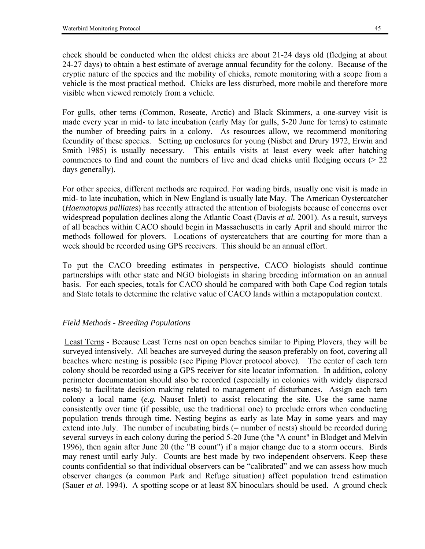check should be conducted when the oldest chicks are about 21-24 days old (fledging at about 24-27 days) to obtain a best estimate of average annual fecundity for the colony. Because of the cryptic nature of the species and the mobility of chicks, remote monitoring with a scope from a vehicle is the most practical method. Chicks are less disturbed, more mobile and therefore more visible when viewed remotely from a vehicle.

For gulls, other terns (Common, Roseate, Arctic) and Black Skimmers, a one-survey visit is made every year in mid- to late incubation (early May for gulls, 5-20 June for terns) to estimate the number of breeding pairs in a colony. As resources allow, we recommend monitoring fecundity of these species. Setting up enclosures for young (Nisbet and Drury 1972, Erwin and Smith 1985) is usually necessary. This entails visits at least every week after hatching commences to find and count the numbers of live and dead chicks until fledging occurs (> 22 days generally).

For other species, different methods are required. For wading birds, usually one visit is made in mid- to late incubation, which in New England is usually late May. The American Oystercatcher (*Haematopus palliates*) has recently attracted the attention of biologists because of concerns over widespread population declines along the Atlantic Coast (Davis *et al.* 2001). As a result, surveys of all beaches within CACO should begin in Massachusetts in early April and should mirror the methods followed for plovers. Locations of oystercatchers that are courting for more than a week should be recorded using GPS receivers. This should be an annual effort.

To put the CACO breeding estimates in perspective, CACO biologists should continue partnerships with other state and NGO biologists in sharing breeding information on an annual basis. For each species, totals for CACO should be compared with both Cape Cod region totals and State totals to determine the relative value of CACO lands within a metapopulation context.

## *Field Methods - Breeding Populations*

 Least Terns - Because Least Terns nest on open beaches similar to Piping Plovers, they will be surveyed intensively. All beaches are surveyed during the season preferably on foot, covering all beaches where nesting is possible (see Piping Plover protocol above). The center of each tern colony should be recorded using a GPS receiver for site locator information. In addition, colony perimeter documentation should also be recorded (especially in colonies with widely dispersed nests) to facilitate decision making related to management of disturbances. Assign each tern colony a local name (*e.g.* Nauset Inlet) to assist relocating the site. Use the same name consistently over time (if possible, use the traditional one) to preclude errors when conducting population trends through time. Nesting begins as early as late May in some years and may extend into July. The number of incubating birds (= number of nests) should be recorded during several surveys in each colony during the period 5-20 June (the "A count" in Blodget and Melvin 1996), then again after June 20 (the "B count") if a major change due to a storm occurs. Birds may renest until early July. Counts are best made by two independent observers. Keep these counts confidential so that individual observers can be "calibrated" and we can assess how much observer changes (a common Park and Refuge situation) affect population trend estimation (Sauer *et al.* 1994). A spotting scope or at least 8X binoculars should be used. A ground check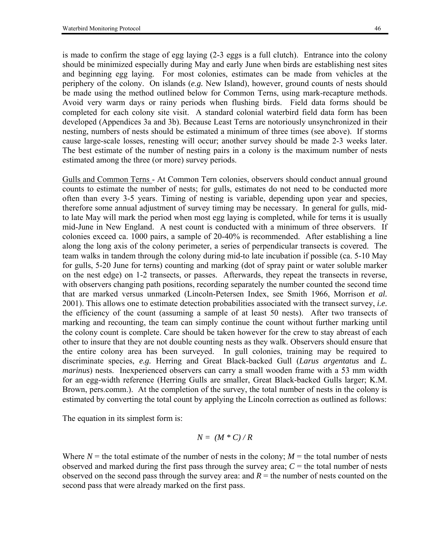is made to confirm the stage of egg laying (2-3 eggs is a full clutch). Entrance into the colony should be minimized especially during May and early June when birds are establishing nest sites and beginning egg laying. For most colonies, estimates can be made from vehicles at the periphery of the colony. On islands (*e.g.* New Island), however, ground counts of nests should be made using the method outlined below for Common Terns, using mark-recapture methods. Avoid very warm days or rainy periods when flushing birds. Field data forms should be completed for each colony site visit. A standard colonial waterbird field data form has been developed (Appendices 3a and 3b). Because Least Terns are notoriously unsynchronized in their nesting, numbers of nests should be estimated a minimum of three times (see above). If storms cause large-scale losses, renesting will occur; another survey should be made 2-3 weeks later. The best estimate of the number of nesting pairs in a colony is the maximum number of nests estimated among the three (or more) survey periods.

Gulls and Common Terns - At Common Tern colonies, observers should conduct annual ground counts to estimate the number of nests; for gulls, estimates do not need to be conducted more often than every 3-5 years. Timing of nesting is variable, depending upon year and species, therefore some annual adjustment of survey timing may be necessary. In general for gulls, midto late May will mark the period when most egg laying is completed, while for terns it is usually mid-June in New England. A nest count is conducted with a minimum of three observers. If colonies exceed ca. 1000 pairs, a sample of 20-40% is recommended. After establishing a line along the long axis of the colony perimeter, a series of perpendicular transects is covered. The team walks in tandem through the colony during mid-to late incubation if possible (ca. 5-10 May for gulls, 5-20 June for terns) counting and marking (dot of spray paint or water soluble marker on the nest edge) on 1-2 transects, or passes. Afterwards, they repeat the transects in reverse, with observers changing path positions, recording separately the number counted the second time that are marked versus unmarked (Lincoln-Petersen Index, see Smith 1966, Morrison *et al.* 2001). This allows one to estimate detection probabilities associated with the transect survey, *i.e.* the efficiency of the count (assuming a sample of at least 50 nests). After two transects of marking and recounting, the team can simply continue the count without further marking until the colony count is complete. Care should be taken however for the crew to stay abreast of each other to insure that they are not double counting nests as they walk. Observers should ensure that the entire colony area has been surveyed. In gull colonies, training may be required to discriminate species, *e.g.* Herring and Great Black-backed Gull (*Larus argentatus* and *L. marinus*) nests. Inexperienced observers can carry a small wooden frame with a 53 mm width for an egg-width reference (Herring Gulls are smaller, Great Black-backed Gulls larger; K.M. Brown, pers.comm.). At the completion of the survey, the total number of nests in the colony is estimated by converting the total count by applying the Lincoln correction as outlined as follows:

The equation in its simplest form is:

$$
N = (M * C) / R
$$

Where  $N =$  the total estimate of the number of nests in the colony;  $M =$  the total number of nests observed and marked during the first pass through the survey area;  $C =$  the total number of nests observed on the second pass through the survey area: and  $R =$  the number of nests counted on the second pass that were already marked on the first pass.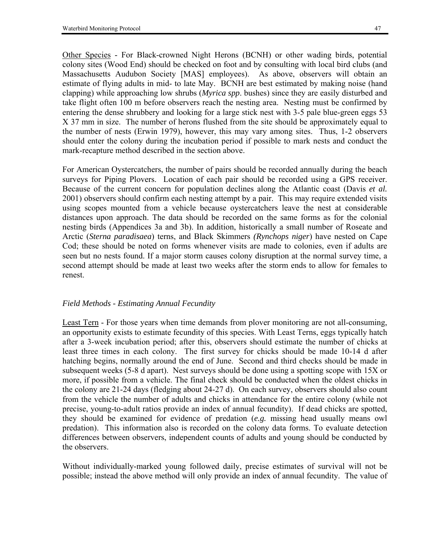Other Species - For Black-crowned Night Herons (BCNH) or other wading birds, potential colony sites (Wood End) should be checked on foot and by consulting with local bird clubs (and Massachusetts Audubon Society [MAS] employees). As above, observers will obtain an estimate of flying adults in mid- to late May. BCNH are best estimated by making noise (hand clapping) while approaching low shrubs (*Myrica spp*. bushes) since they are easily disturbed and take flight often 100 m before observers reach the nesting area. Nesting must be confirmed by entering the dense shrubbery and looking for a large stick nest with 3-5 pale blue-green eggs 53 X 37 mm in size. The number of herons flushed from the site should be approximately equal to the number of nests (Erwin 1979), however, this may vary among sites. Thus, 1-2 observers should enter the colony during the incubation period if possible to mark nests and conduct the mark-recapture method described in the section above.

For American Oystercatchers, the number of pairs should be recorded annually during the beach surveys for Piping Plovers. Location of each pair should be recorded using a GPS receiver. Because of the current concern for population declines along the Atlantic coast (Davis *et al.* 2001) observers should confirm each nesting attempt by a pair. This may require extended visits using scopes mounted from a vehicle because oystercatchers leave the nest at considerable distances upon approach. The data should be recorded on the same forms as for the colonial nesting birds (Appendices 3a and 3b). In addition, historically a small number of Roseate and Arctic (*Sterna paradisaea*) terns, and Black Skimmers *(Rynchops niger*) have nested on Cape Cod; these should be noted on forms whenever visits are made to colonies, even if adults are seen but no nests found. If a major storm causes colony disruption at the normal survey time, a second attempt should be made at least two weeks after the storm ends to allow for females to renest.

### *Field Methods - Estimating Annual Fecundity*

Least Tern - For those years when time demands from plover monitoring are not all-consuming, an opportunity exists to estimate fecundity of this species. With Least Terns, eggs typically hatch after a 3-week incubation period; after this, observers should estimate the number of chicks at least three times in each colony. The first survey for chicks should be made 10-14 d after hatching begins, normally around the end of June. Second and third checks should be made in subsequent weeks (5-8 d apart). Nest surveys should be done using a spotting scope with 15X or more, if possible from a vehicle. The final check should be conducted when the oldest chicks in the colony are 21-24 days (fledging about 24-27 d). On each survey, observers should also count from the vehicle the number of adults and chicks in attendance for the entire colony (while not precise, young-to-adult ratios provide an index of annual fecundity). If dead chicks are spotted, they should be examined for evidence of predation (*e.g.* missing head usually means owl predation). This information also is recorded on the colony data forms. To evaluate detection differences between observers, independent counts of adults and young should be conducted by the observers.

Without individually-marked young followed daily, precise estimates of survival will not be possible; instead the above method will only provide an index of annual fecundity. The value of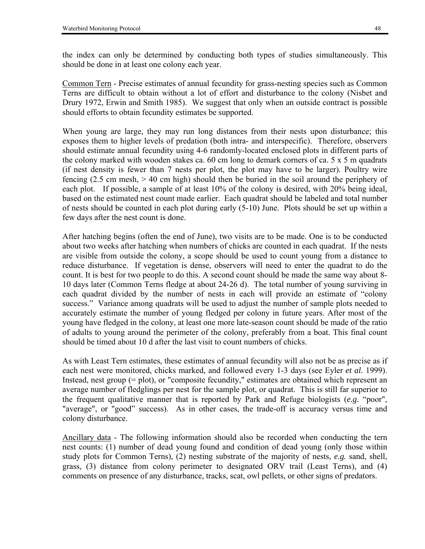the index can only be determined by conducting both types of studies simultaneously. This should be done in at least one colony each year.

Common Tern - Precise estimates of annual fecundity for grass-nesting species such as Common Terns are difficult to obtain without a lot of effort and disturbance to the colony (Nisbet and Drury 1972, Erwin and Smith 1985). We suggest that only when an outside contract is possible should efforts to obtain fecundity estimates be supported.

When young are large, they may run long distances from their nests upon disturbance; this exposes them to higher levels of predation (both intra- and interspecific). Therefore, observers should estimate annual fecundity using 4-6 randomly-located enclosed plots in different parts of the colony marked with wooden stakes ca. 60 cm long to demark corners of ca. 5 x 5 m quadrats (if nest density is fewer than 7 nests per plot, the plot may have to be larger). Poultry wire fencing (2.5 cm mesh, > 40 cm high) should then be buried in the soil around the periphery of each plot. If possible, a sample of at least 10% of the colony is desired, with 20% being ideal, based on the estimated nest count made earlier. Each quadrat should be labeled and total number of nests should be counted in each plot during early (5-10) June. Plots should be set up within a few days after the nest count is done.

After hatching begins (often the end of June), two visits are to be made. One is to be conducted about two weeks after hatching when numbers of chicks are counted in each quadrat. If the nests are visible from outside the colony, a scope should be used to count young from a distance to reduce disturbance. If vegetation is dense, observers will need to enter the quadrat to do the count. It is best for two people to do this. A second count should be made the same way about 8- 10 days later (Common Terns fledge at about 24-26 d). The total number of young surviving in each quadrat divided by the number of nests in each will provide an estimate of "colony" success." Variance among quadrats will be used to adjust the number of sample plots needed to accurately estimate the number of young fledged per colony in future years. After most of the young have fledged in the colony, at least one more late-season count should be made of the ratio of adults to young around the perimeter of the colony, preferably from a boat. This final count should be timed about 10 d after the last visit to count numbers of chicks.

As with Least Tern estimates, these estimates of annual fecundity will also not be as precise as if each nest were monitored, chicks marked, and followed every 1-3 days (see Eyler *et al.* 1999). Instead, nest group (= plot), or "composite fecundity," estimates are obtained which represent an average number of fledglings per nest for the sample plot, or quadrat. This is still far superior to the frequent qualitative manner that is reported by Park and Refuge biologists  $(e.g., \text{``poor''},$ "average", or "good" success). As in other cases, the trade-off is accuracy versus time and colony disturbance.

Ancillary data - The following information should also be recorded when conducting the tern nest counts: (1) number of dead young found and condition of dead young (only those within study plots for Common Terns), (2) nesting substrate of the majority of nests, *e.g.* sand, shell, grass, (3) distance from colony perimeter to designated ORV trail (Least Terns), and (4) comments on presence of any disturbance, tracks, scat, owl pellets, or other signs of predators.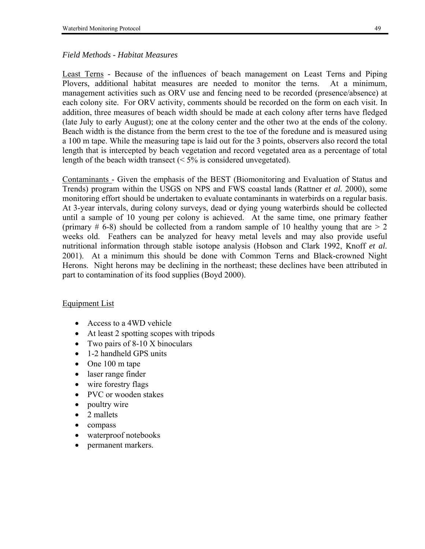### *Field Methods - Habitat Measures*

Least Terns - Because of the influences of beach management on Least Terns and Piping Plovers, additional habitat measures are needed to monitor the terns. At a minimum, management activities such as ORV use and fencing need to be recorded (presence/absence) at each colony site. For ORV activity, comments should be recorded on the form on each visit. In addition, three measures of beach width should be made at each colony after terns have fledged (late July to early August); one at the colony center and the other two at the ends of the colony. Beach width is the distance from the berm crest to the toe of the foredune and is measured using a 100 m tape. While the measuring tape is laid out for the 3 points, observers also record the total length that is intercepted by beach vegetation and record vegetated area as a percentage of total length of the beach width transect  $(< 5\%$  is considered unvegetated).

Contaminants - Given the emphasis of the BEST (Biomonitoring and Evaluation of Status and Trends) program within the USGS on NPS and FWS coastal lands (Rattner *et al.* 2000), some monitoring effort should be undertaken to evaluate contaminants in waterbirds on a regular basis. At 3-year intervals, during colony surveys, dead or dying young waterbirds should be collected until a sample of 10 young per colony is achieved. At the same time, one primary feather (primary  $\#$  6-8) should be collected from a random sample of 10 healthy young that are  $> 2$ weeks old. Feathers can be analyzed for heavy metal levels and may also provide useful nutritional information through stable isotope analysis (Hobson and Clark 1992, Knoff *et al.* 2001). At a minimum this should be done with Common Terns and Black-crowned Night Herons. Night herons may be declining in the northeast; these declines have been attributed in part to contamination of its food supplies (Boyd 2000).

### Equipment List

- Access to a 4WD vehicle
- At least 2 spotting scopes with tripods
- Two pairs of 8-10 X binoculars
- 1-2 handheld GPS units
- One 100 m tape
- laser range finder
- wire forestry flags
- PVC or wooden stakes
- poultry wire
- 2 mallets
- compass
- waterproof notebooks
- permanent markers.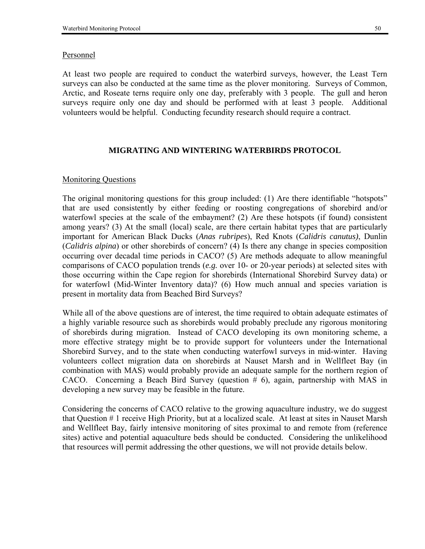#### Personnel

At least two people are required to conduct the waterbird surveys, however, the Least Tern surveys can also be conducted at the same time as the plover monitoring. Surveys of Common, Arctic, and Roseate terns require only one day, preferably with 3 people. The gull and heron surveys require only one day and should be performed with at least 3 people. Additional volunteers would be helpful. Conducting fecundity research should require a contract.

#### **MIGRATING AND WINTERING WATERBIRDS PROTOCOL**

#### Monitoring Questions

The original monitoring questions for this group included:  $(1)$  Are there identifiable "hotspots" that are used consistently by either feeding or roosting congregations of shorebird and/or waterfowl species at the scale of the embayment? (2) Are these hotspots (if found) consistent among years? (3) At the small (local) scale, are there certain habitat types that are particularly important for American Black Ducks (*Anas rubripes*), Red Knots (*Calidris canutus)*, Dunlin (*Calidris alpina*) or other shorebirds of concern? (4) Is there any change in species composition occurring over decadal time periods in CACO? (5) Are methods adequate to allow meaningful comparisons of CACO population trends (*e.g.* over 10- or 20-year periods) at selected sites with those occurring within the Cape region for shorebirds (International Shorebird Survey data) or for waterfowl (Mid-Winter Inventory data)? (6) How much annual and species variation is present in mortality data from Beached Bird Surveys?

While all of the above questions are of interest, the time required to obtain adequate estimates of a highly variable resource such as shorebirds would probably preclude any rigorous monitoring of shorebirds during migration. Instead of CACO developing its own monitoring scheme, a more effective strategy might be to provide support for volunteers under the International Shorebird Survey, and to the state when conducting waterfowl surveys in mid-winter. Having volunteers collect migration data on shorebirds at Nauset Marsh and in Wellfleet Bay (in combination with MAS) would probably provide an adequate sample for the northern region of CACO. Concerning a Beach Bird Survey (question  $# 6$ ), again, partnership with MAS in developing a new survey may be feasible in the future.

Considering the concerns of CACO relative to the growing aquaculture industry, we do suggest that Question # 1 receive High Priority, but at a localized scale. At least at sites in Nauset Marsh and Wellfleet Bay, fairly intensive monitoring of sites proximal to and remote from (reference sites) active and potential aquaculture beds should be conducted. Considering the unlikelihood that resources will permit addressing the other questions, we will not provide details below.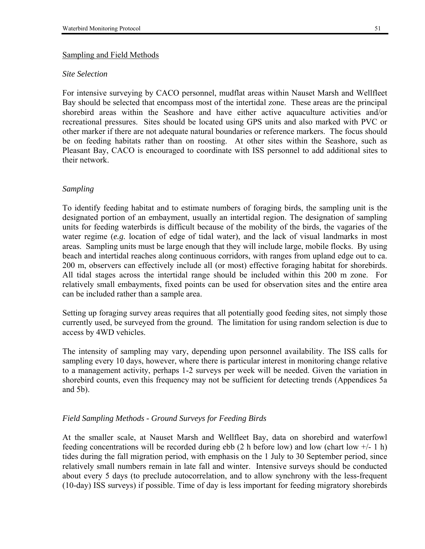#### Sampling and Field Methods

#### *Site Selection*

For intensive surveying by CACO personnel, mudflat areas within Nauset Marsh and Wellfleet Bay should be selected that encompass most of the intertidal zone. These areas are the principal shorebird areas within the Seashore and have either active aquaculture activities and/or recreational pressures. Sites should be located using GPS units and also marked with PVC or other marker if there are not adequate natural boundaries or reference markers. The focus should be on feeding habitats rather than on roosting. At other sites within the Seashore, such as Pleasant Bay, CACO is encouraged to coordinate with ISS personnel to add additional sites to their network.

## *Sampling*

To identify feeding habitat and to estimate numbers of foraging birds, the sampling unit is the designated portion of an embayment, usually an intertidal region. The designation of sampling units for feeding waterbirds is difficult because of the mobility of the birds, the vagaries of the water regime (*e.g.* location of edge of tidal water), and the lack of visual landmarks in most areas. Sampling units must be large enough that they will include large, mobile flocks. By using beach and intertidal reaches along continuous corridors, with ranges from upland edge out to ca. 200 m, observers can effectively include all (or most) effective foraging habitat for shorebirds. All tidal stages across the intertidal range should be included within this 200 m zone. For relatively small embayments, fixed points can be used for observation sites and the entire area can be included rather than a sample area.

Setting up foraging survey areas requires that all potentially good feeding sites, not simply those currently used, be surveyed from the ground. The limitation for using random selection is due to access by 4WD vehicles.

The intensity of sampling may vary, depending upon personnel availability. The ISS calls for sampling every 10 days, however, where there is particular interest in monitoring change relative to a management activity, perhaps 1-2 surveys per week will be needed. Given the variation in shorebird counts, even this frequency may not be sufficient for detecting trends (Appendices 5a and 5b).

### *Field Sampling Methods - Ground Surveys for Feeding Birds*

At the smaller scale, at Nauset Marsh and Wellfleet Bay, data on shorebird and waterfowl feeding concentrations will be recorded during ebb (2 h before low) and low (chart low  $+/-1$  h) tides during the fall migration period, with emphasis on the 1 July to 30 September period, since relatively small numbers remain in late fall and winter. Intensive surveys should be conducted about every 5 days (to preclude autocorrelation, and to allow synchrony with the less-frequent (10-day) ISS surveys) if possible. Time of day is less important for feeding migratory shorebirds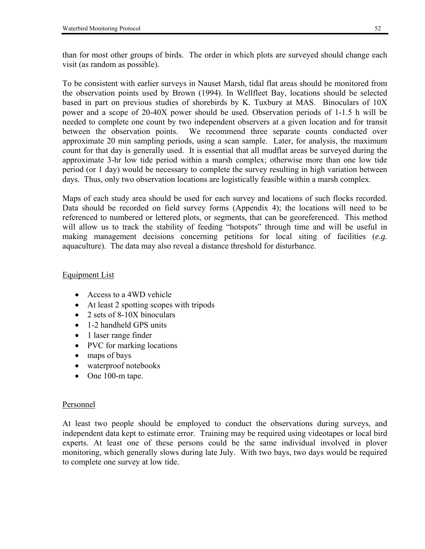To be consistent with earlier surveys in Nauset Marsh, tidal flat areas should be monitored from the observation points used by Brown (1994). In Wellfleet Bay, locations should be selected based in part on previous studies of shorebirds by K. Tuxbury at MAS. Binoculars of 10X power and a scope of 20-40X power should be used. Observation periods of 1-1.5 h will be needed to complete one count by two independent observers at a given location and for transit between the observation points. We recommend three separate counts conducted over approximate 20 min sampling periods, using a scan sample. Later, for analysis, the maximum count for that day is generally used. It is essential that all mudflat areas be surveyed during the approximate 3-hr low tide period within a marsh complex; otherwise more than one low tide period (or 1 day) would be necessary to complete the survey resulting in high variation between days. Thus, only two observation locations are logistically feasible within a marsh complex.

Maps of each study area should be used for each survey and locations of such flocks recorded. Data should be recorded on field survey forms (Appendix 4); the locations will need to be referenced to numbered or lettered plots, or segments, that can be georeferenced. This method will allow us to track the stability of feeding "hotspots" through time and will be useful in making management decisions concerning petitions for local siting of facilities (*e.g.* aquaculture). The data may also reveal a distance threshold for disturbance.

## Equipment List

- Access to a 4WD vehicle
- At least 2 spotting scopes with tripods
- 2 sets of 8-10X binoculars
- 1-2 handheld GPS units
- 1 laser range finder
- PVC for marking locations
- maps of bays
- waterproof notebooks
- One 100-m tape.

## Personnel

At least two people should be employed to conduct the observations during surveys, and independent data kept to estimate error. Training may be required using videotapes or local bird experts. At least one of these persons could be the same individual involved in plover monitoring, which generally slows during late July. With two bays, two days would be required to complete one survey at low tide.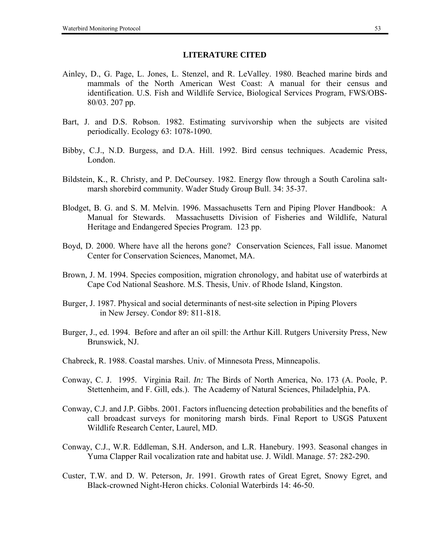#### **LITERATURE CITED**

- Ainley, D., G. Page, L. Jones, L. Stenzel, and R. LeValley. 1980. Beached marine birds and mammals of the North American West Coast: A manual for their census and identification. U.S. Fish and Wildlife Service, Biological Services Program, FWS/OBS-80/03. 207 pp.
- Bart, J. and D.S. Robson. 1982. Estimating survivorship when the subjects are visited periodically. Ecology 63: 1078-1090.
- Bibby, C.J., N.D. Burgess, and D.A. Hill. 1992. Bird census techniques. Academic Press, London.
- Bildstein, K., R. Christy, and P. DeCoursey. 1982. Energy flow through a South Carolina saltmarsh shorebird community. Wader Study Group Bull. 34: 35-37.
- Blodget, B. G. and S. M. Melvin. 1996. Massachusetts Tern and Piping Plover Handbook: A Manual for Stewards. Massachusetts Division of Fisheries and Wildlife, Natural Heritage and Endangered Species Program. 123 pp.
- Boyd, D. 2000. Where have all the herons gone? Conservation Sciences, Fall issue. Manomet Center for Conservation Sciences, Manomet, MA.
- Brown, J. M. 1994. Species composition, migration chronology, and habitat use of waterbirds at Cape Cod National Seashore. M.S. Thesis, Univ. of Rhode Island, Kingston.
- Burger, J. 1987. Physical and social determinants of nest-site selection in Piping Plovers in New Jersey. Condor 89: 811-818.
- Burger, J., ed. 1994. Before and after an oil spill: the Arthur Kill. Rutgers University Press, New Brunswick, NJ.
- Chabreck, R. 1988. Coastal marshes. Univ. of Minnesota Press, Minneapolis.
- Conway, C. J. 1995. Virginia Rail. *In:* The Birds of North America, No. 173 (A. Poole, P. Stettenheim, and F. Gill, eds.). The Academy of Natural Sciences, Philadelphia, PA.
- Conway, C.J. and J.P. Gibbs. 2001. Factors influencing detection probabilities and the benefits of call broadcast surveys for monitoring marsh birds. Final Report to USGS Patuxent Wildlife Research Center, Laurel, MD.
- Conway, C.J., W.R. Eddleman, S.H. Anderson, and L.R. Hanebury. 1993. Seasonal changes in Yuma Clapper Rail vocalization rate and habitat use. J. Wildl. Manage. 57: 282-290.
- Custer, T.W. and D. W. Peterson, Jr. 1991. Growth rates of Great Egret, Snowy Egret, and Black-crowned Night-Heron chicks. Colonial Waterbirds 14: 46-50.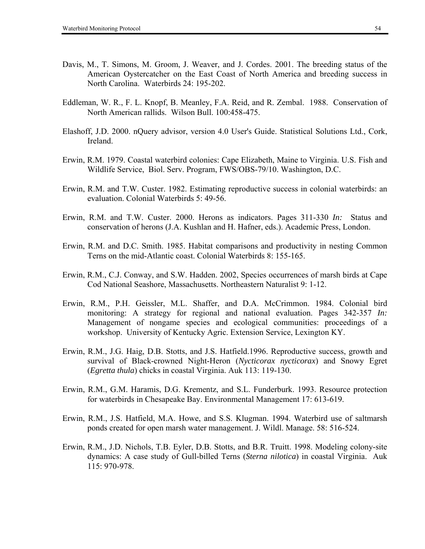- Davis, M., T. Simons, M. Groom, J. Weaver, and J. Cordes. 2001. The breeding status of the American Oystercatcher on the East Coast of North America and breeding success in North Carolina. Waterbirds 24: 195-202.
- Eddleman, W. R., F. L. Knopf, B. Meanley, F.A. Reid, and R. Zembal. 1988. Conservation of North American rallids. Wilson Bull. 100:458-475.
- Elashoff, J.D. 2000. nQuery advisor, version 4.0 User's Guide. Statistical Solutions Ltd., Cork, Ireland.
- Erwin, R.M. 1979. Coastal waterbird colonies: Cape Elizabeth, Maine to Virginia. U.S. Fish and Wildlife Service, Biol. Serv. Program, FWS/OBS-79/10. Washington, D.C.
- Erwin, R.M. and T.W. Custer. 1982. Estimating reproductive success in colonial waterbirds: an evaluation. Colonial Waterbirds 5: 49-56.
- Erwin, R.M. and T.W. Custer. 2000. Herons as indicators. Pages 311-330 *In:* Status and conservation of herons (J.A. Kushlan and H. Hafner, eds.). Academic Press, London.
- Erwin, R.M. and D.C. Smith. 1985. Habitat comparisons and productivity in nesting Common Terns on the mid-Atlantic coast. Colonial Waterbirds 8: 155-165.
- Erwin, R.M., C.J. Conway, and S.W. Hadden. 2002, Species occurrences of marsh birds at Cape Cod National Seashore, Massachusetts. Northeastern Naturalist 9: 1-12.
- Erwin, R.M., P.H. Geissler, M.L. Shaffer, and D.A. McCrimmon. 1984. Colonial bird monitoring: A strategy for regional and national evaluation. Pages 342-357 *In:* Management of nongame species and ecological communities: proceedings of a workshop. University of Kentucky Agric. Extension Service, Lexington KY.
- Erwin, R.M., J.G. Haig, D.B. Stotts, and J.S. Hatfield.1996. Reproductive success, growth and survival of Black-crowned Night-Heron (*Nycticorax nycticorax*) and Snowy Egret (*Egretta thula*) chicks in coastal Virginia. Auk 113: 119-130.
- Erwin, R.M., G.M. Haramis, D.G. Krementz, and S.L. Funderburk. 1993. Resource protection for waterbirds in Chesapeake Bay. Environmental Management 17: 613-619.
- Erwin, R.M., J.S. Hatfield, M.A. Howe, and S.S. Klugman. 1994. Waterbird use of saltmarsh ponds created for open marsh water management. J. Wildl. Manage. 58: 516-524.
- Erwin, R.M., J.D. Nichols, T.B. Eyler, D.B. Stotts, and B.R. Truitt. 1998. Modeling colony-site dynamics: A case study of Gull-billed Terns (*Sterna nilotica*) in coastal Virginia. Auk 115: 970-978.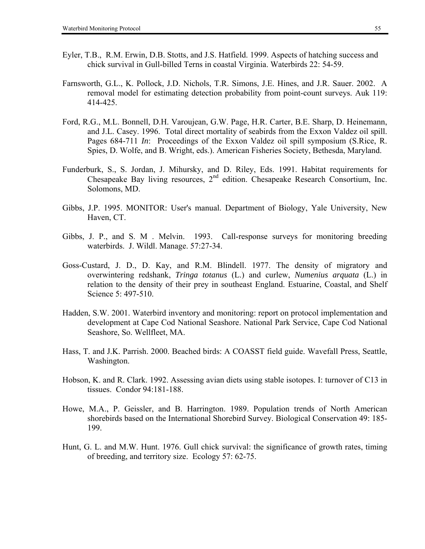- Eyler, T.B., R.M. Erwin, D.B. Stotts, and J.S. Hatfield. 1999. Aspects of hatching success and chick survival in Gull-billed Terns in coastal Virginia. Waterbirds 22: 54-59.
- Farnsworth, G.L., K. Pollock, J.D. Nichols, T.R. Simons, J.E. Hines, and J.R. Sauer. 2002. A removal model for estimating detection probability from point-count surveys. Auk 119: 414-425.
- Ford, R.G., M.L. Bonnell, D.H. Varoujean, G.W. Page, H.R. Carter, B.E. Sharp, D. Heinemann, and J.L. Casey. 1996. Total direct mortality of seabirds from the Exxon Valdez oil spill. Pages 684-711 *In*: Proceedings of the Exxon Valdez oil spill symposium (S.Rice, R. Spies, D. Wolfe, and B. Wright, eds.). American Fisheries Society, Bethesda, Maryland.
- Funderburk, S., S. Jordan, J. Mihursky, and D. Riley, Eds. 1991. Habitat requirements for Chesapeake Bay living resources,  $2<sup>nd</sup>$  edition. Chesapeake Research Consortium, Inc. Solomons, MD.
- Gibbs, J.P. 1995. MONITOR: User's manual. Department of Biology, Yale University, New Haven, CT.
- Gibbs, J. P., and S. M . Melvin. 1993. Call-response surveys for monitoring breeding waterbirds. J. Wildl. Manage. 57:27-34.
- Goss-Custard, J. D., D. Kay, and R.M. Blindell. 1977. The density of migratory and overwintering redshank, *Tringa totanus* (L.) and curlew, *Numenius arquata* (L.) in relation to the density of their prey in southeast England. Estuarine, Coastal, and Shelf Science 5: 497-510.
- Hadden, S.W. 2001. Waterbird inventory and monitoring: report on protocol implementation and development at Cape Cod National Seashore. National Park Service, Cape Cod National Seashore, So. Wellfleet, MA.
- Hass, T. and J.K. Parrish. 2000. Beached birds: A COASST field guide. Wavefall Press, Seattle, Washington.
- Hobson, K. and R. Clark. 1992. Assessing avian diets using stable isotopes. I: turnover of C13 in tissues. Condor 94:181-188.
- Howe, M.A., P. Geissler, and B. Harrington. 1989. Population trends of North American shorebirds based on the International Shorebird Survey. Biological Conservation 49: 185- 199.
- Hunt, G. L. and M.W. Hunt. 1976. Gull chick survival: the significance of growth rates, timing of breeding, and territory size. Ecology 57: 62-75.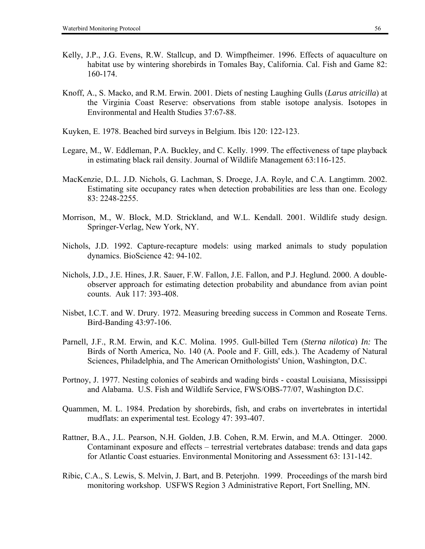- Kelly, J.P., J.G. Evens, R.W. Stallcup, and D. Wimpfheimer. 1996. Effects of aquaculture on habitat use by wintering shorebirds in Tomales Bay, California. Cal. Fish and Game 82: 160-174.
- Knoff, A., S. Macko, and R.M. Erwin. 2001. Diets of nesting Laughing Gulls (*Larus atricilla*) at the Virginia Coast Reserve: observations from stable isotope analysis. Isotopes in Environmental and Health Studies 37:67-88.
- Kuyken, E. 1978. Beached bird surveys in Belgium. Ibis 120: 122-123.
- Legare, M., W. Eddleman, P.A. Buckley, and C. Kelly. 1999. The effectiveness of tape playback in estimating black rail density. Journal of Wildlife Management 63:116-125.
- MacKenzie, D.L. J.D. Nichols, G. Lachman, S. Droege, J.A. Royle, and C.A. Langtimm. 2002. Estimating site occupancy rates when detection probabilities are less than one. Ecology 83: 2248-2255.
- Morrison, M., W. Block, M.D. Strickland, and W.L. Kendall. 2001. Wildlife study design. Springer-Verlag, New York, NY.
- Nichols, J.D. 1992. Capture-recapture models: using marked animals to study population dynamics. BioScience 42: 94-102.
- Nichols, J.D., J.E. Hines, J.R. Sauer, F.W. Fallon, J.E. Fallon, and P.J. Heglund. 2000. A doubleobserver approach for estimating detection probability and abundance from avian point counts. Auk 117: 393-408.
- Nisbet, I.C.T. and W. Drury. 1972. Measuring breeding success in Common and Roseate Terns. Bird-Banding 43:97-106.
- Parnell, J.F., R.M. Erwin, and K.C. Molina. 1995. Gull-billed Tern (*Sterna nilotica*) *In:* The Birds of North America, No. 140 (A. Poole and F. Gill, eds.). The Academy of Natural Sciences, Philadelphia, and The American Ornithologists' Union, Washington, D.C.
- Portnoy, J. 1977. Nesting colonies of seabirds and wading birds coastal Louisiana, Mississippi and Alabama. U.S. Fish and Wildlife Service, FWS/OBS-77/07, Washington D.C.
- Quammen, M. L. 1984. Predation by shorebirds, fish, and crabs on invertebrates in intertidal mudflats: an experimental test. Ecology 47: 393-407.
- Rattner, B.A., J.L. Pearson, N.H. Golden, J.B. Cohen, R.M. Erwin, and M.A. Ottinger. 2000. Contaminant exposure and effects – terrestrial vertebrates database: trends and data gaps for Atlantic Coast estuaries. Environmental Monitoring and Assessment 63: 131-142.
- Ribic, C.A., S. Lewis, S. Melvin, J. Bart, and B. Peterjohn. 1999. Proceedings of the marsh bird monitoring workshop. USFWS Region 3 Administrative Report, Fort Snelling, MN.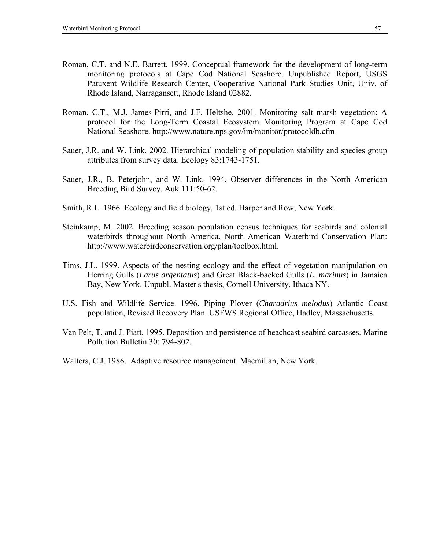- Roman, C.T. and N.E. Barrett. 1999. Conceptual framework for the development of long-term monitoring protocols at Cape Cod National Seashore. Unpublished Report, USGS Patuxent Wildlife Research Center, Cooperative National Park Studies Unit, Univ. of Rhode Island, Narragansett, Rhode Island 02882.
- Roman, C.T., M.J. James-Pirri, and J.F. Heltshe. 2001. Monitoring salt marsh vegetation: A protocol for the Long-Term Coastal Ecosystem Monitoring Program at Cape Cod National Seashore. http://www.nature.nps.gov/im/monitor/protocoldb.cfm
- Sauer, J.R. and W. Link. 2002. Hierarchical modeling of population stability and species group attributes from survey data. Ecology 83:1743-1751.
- Sauer, J.R., B. Peterjohn, and W. Link. 1994. Observer differences in the North American Breeding Bird Survey. Auk 111:50-62.
- Smith, R.L. 1966. Ecology and field biology, 1st ed. Harper and Row, New York.
- Steinkamp, M. 2002. Breeding season population census techniques for seabirds and colonial waterbirds throughout North America. North American Waterbird Conservation Plan: http://www.waterbirdconservation.org/plan/toolbox.html.
- Tims, J.L. 1999. Aspects of the nesting ecology and the effect of vegetation manipulation on Herring Gulls (*Larus argentatus*) and Great Black-backed Gulls (*L. marinus*) in Jamaica Bay, New York. Unpubl. Master's thesis, Cornell University, Ithaca NY.
- U.S. Fish and Wildlife Service. 1996. Piping Plover (*Charadrius melodus*) Atlantic Coast population, Revised Recovery Plan. USFWS Regional Office, Hadley, Massachusetts.
- Van Pelt, T. and J. Piatt. 1995. Deposition and persistence of beachcast seabird carcasses. Marine Pollution Bulletin 30: 794-802.
- Walters, C.J. 1986. Adaptive resource management. Macmillan, New York.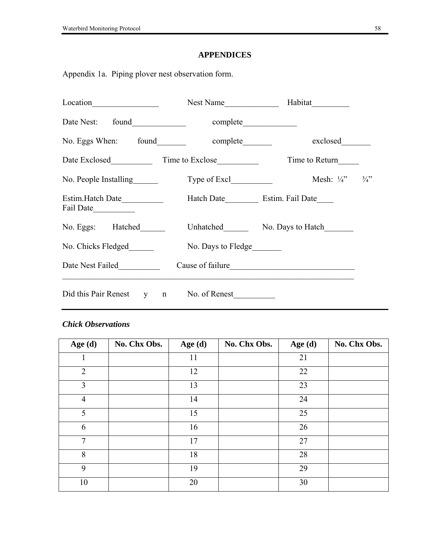# **APPENDICES**

Appendix 1a. Piping plover nest observation form.

| Location <u>example</u>                | Nest Name          | Habitat                     |                 |
|----------------------------------------|--------------------|-----------------------------|-----------------|
|                                        |                    |                             |                 |
| No. Eggs When: found                   | complete           | exclosed                    |                 |
| Date Exclosed Time to Exclose          |                    | Time to Return              |                 |
| No. People Installing                  |                    | Mesh: $\frac{1}{4}$ "       | $\frac{3}{4}$ ? |
| Estim. Hatch Date<br>Fail Date         |                    | Hatch Date Estim. Fail Date |                 |
| No. Eggs: Hatched                      |                    | Unhatched No. Days to Hatch |                 |
| No. Chicks Fledged                     | No. Days to Fledge |                             |                 |
| Date Nest Failed                       |                    | Cause of failure            |                 |
| Did this Pair Renest y n No. of Renest |                    |                             |                 |

# *Chick Observations*

| Age $(d)$      | No. Chx Obs. | Age $(d)$ | No. Chx Obs. | Age $(d)$ | No. Chx Obs. |
|----------------|--------------|-----------|--------------|-----------|--------------|
|                |              | 11        |              | 21        |              |
| $\overline{2}$ |              | 12        |              | 22        |              |
| $\overline{3}$ |              | 13        |              | 23        |              |
| $\overline{4}$ |              | 14        |              | 24        |              |
| 5              |              | 15        |              | 25        |              |
| 6              |              | 16        |              | 26        |              |
| $\tau$         |              | 17        |              | 27        |              |
| 8              |              | 18        |              | 28        |              |
| 9              |              | 19        |              | 29        |              |
| 10             |              | 20        |              | 30        |              |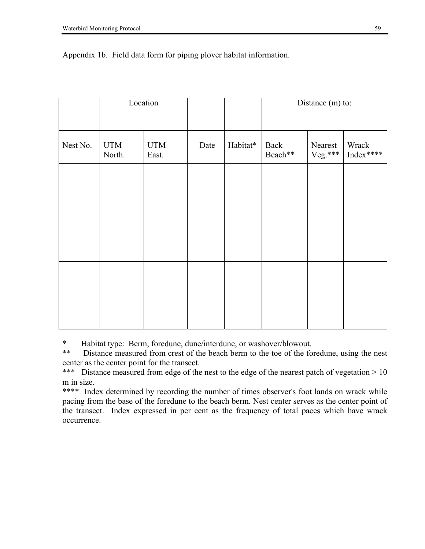|          |                                             | Location |      |          | Distance (m) to:                      |  |                    |  |  |  |
|----------|---------------------------------------------|----------|------|----------|---------------------------------------|--|--------------------|--|--|--|
| Nest No. | <b>UTM</b><br><b>UTM</b><br>North.<br>East. |          | Date | Habitat* | Back<br>Nearest<br>Veg.***<br>Beach** |  | Wrack<br>Index**** |  |  |  |
|          |                                             |          |      |          |                                       |  |                    |  |  |  |
|          |                                             |          |      |          |                                       |  |                    |  |  |  |
|          |                                             |          |      |          |                                       |  |                    |  |  |  |
|          |                                             |          |      |          |                                       |  |                    |  |  |  |
|          |                                             |          |      |          |                                       |  |                    |  |  |  |

### Appendix 1b. Field data form for piping plover habitat information.

\* Habitat type: Berm, foredune, dune/interdune, or washover/blowout.

\*\* Distance measured from crest of the beach berm to the toe of the foredune, using the nest center as the center point for the transect.

\*\*\* Distance measured from edge of the nest to the edge of the nearest patch of vegetation > 10 m in size.

\*\*\*\* Index determined by recording the number of times observer's foot lands on wrack while pacing from the base of the foredune to the beach berm. Nest center serves as the center point of the transect. Index expressed in per cent as the frequency of total paces which have wrack occurrence.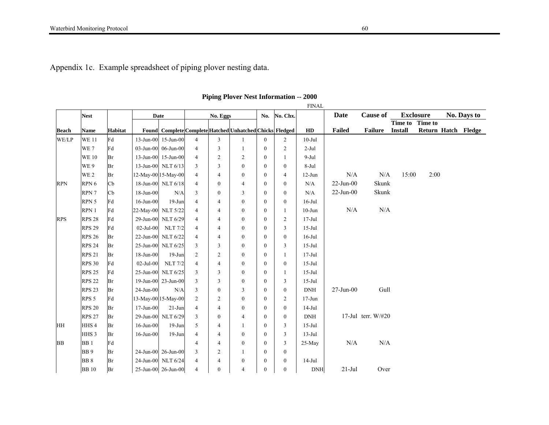Appendix 1c. Example spreadsheet of piping plover nesting data.

|              |                  |                |                 |                     |                |                  |                                                          |                  |                | <b>FINAL</b>   |               |                    |                |                  |                     |
|--------------|------------------|----------------|-----------------|---------------------|----------------|------------------|----------------------------------------------------------|------------------|----------------|----------------|---------------|--------------------|----------------|------------------|---------------------|
|              | <b>Nest</b>      |                |                 | <b>Date</b>         |                | No. Eggs         |                                                          | No.              | No. Chx.       |                | Date          | <b>Cause of</b>    |                | <b>Exclosure</b> | <b>No. Days to</b>  |
|              |                  |                |                 |                     |                |                  |                                                          |                  |                |                |               |                    | <b>Time to</b> | <b>Time to</b>   |                     |
| <b>Beach</b> | <b>Name</b>      | <b>Habitat</b> |                 |                     |                |                  | Found Complete Complete Hatched Unhatched Chicks Fledged |                  |                | HD             | Failed        | <b>Failure</b>     | <b>Install</b> |                  | Return Hatch Fledge |
| WE/LP        | <b>WE11</b>      | Fd             | 13-Jun-00       | $15$ -Jun-00        | $\overline{4}$ | $\mathfrak{Z}$   | 1                                                        | $\boldsymbol{0}$ | $\overline{2}$ | $10 -$ Jul     |               |                    |                |                  |                     |
|              | WE 7             | Fd             | $03$ -Jun- $00$ | 06-Jun-00           | $\overline{4}$ | 3                | 1                                                        | $\boldsymbol{0}$ | 2              | $2-Jul$        |               |                    |                |                  |                     |
|              | <b>WE 10</b>     | Br             | $13 - Jun-00$   | $15$ -Jun-00        | 4              | 2                | 2                                                        | $\mathbf{0}$     |                | $9-Jul$        |               |                    |                |                  |                     |
|              | WE 9             | Br             |                 | 13-Jun-00 NLT 6/13  | 3              | 3                | $\mathbf{0}$                                             | $\mathbf{0}$     | $\theta$       | 8-Jul          |               |                    |                |                  |                     |
|              | WE <sub>2</sub>  | Br             |                 | 12-May-00 15-May-00 | $\overline{4}$ | 4                | $\boldsymbol{0}$                                         | $\mathbf{0}$     | $\overline{4}$ | $12-Jun$       | $\rm N/A$     | N/A                | 15:00          | 2:00             |                     |
| <b>RPN</b>   | RPN <sub>6</sub> | Cb             |                 | 18-Jun-00 NLT 6/18  | $\overline{4}$ | $\boldsymbol{0}$ | 4                                                        | $\mathbf{0}$     | $\mathbf{0}$   | N/A            | $22$ -Jun-00  | Skunk              |                |                  |                     |
|              | RPN 7            | $\mathbf{C}$ b | $18$ -Jun- $00$ | N/A                 | 3              | $\boldsymbol{0}$ | 3                                                        | $\mathbf{0}$     | $\mathbf{0}$   | N/A            | $22-Jun-00$   | Skunk              |                |                  |                     |
|              | RPN 5            | Fd             | $16$ -Jun- $00$ | $19-Jun$            | $\overline{4}$ | 4                | $\boldsymbol{0}$                                         | $\mathbf{0}$     | $\mathbf{0}$   | $16$ -Jul      |               |                    |                |                  |                     |
|              | RPN 1            | Fd             | 22-May-00       | <b>NLT 5/22</b>     | $\overline{4}$ | 4                | $\boldsymbol{0}$                                         | $\overline{0}$   | $\mathbf{1}$   | $10 - Jun$     | N/A           | N/A                |                |                  |                     |
| <b>RPS</b>   | <b>RPS 28</b>    | Fd             | 29-Jun-00       | <b>NLT 6/29</b>     | $\overline{4}$ | 4                | $\boldsymbol{0}$                                         | $\mathbf{0}$     | $\overline{c}$ | $17 -$ Jul     |               |                    |                |                  |                     |
|              | <b>RPS 29</b>    | Fd             | $02$ -Jul-00    | <b>NLT</b> 7/2      | $\overline{4}$ | $\overline{4}$   | $\mathbf{0}$                                             | $\mathbf{0}$     | 3              | $15$ -Jul      |               |                    |                |                  |                     |
|              | <b>RPS 26</b>    | Br             | $22-Jun-00$     | <b>NLT 6/22</b>     | $\overline{4}$ | 4                | $\boldsymbol{0}$                                         | $\mathbf{0}$     | $\Omega$       | $16$ -Jul      |               |                    |                |                  |                     |
|              | <b>RPS 24</b>    | Br             | $25$ -Jun-00    | <b>NLT 6/25</b>     | 3              | 3                | $\boldsymbol{0}$                                         | $\mathbf{0}$     | 3              | $15$ -Jul      |               |                    |                |                  |                     |
|              | <b>RPS 21</b>    | Br             | $18$ -Jun-00    | $19-Jun$            | $\overline{2}$ | $\overline{2}$   | $\boldsymbol{0}$                                         | $\mathbf{0}$     |                | $17-Jul$       |               |                    |                |                  |                     |
|              | <b>RPS 30</b>    | Fd             | 02-Jul-00       | <b>NLT</b> 7/2      | $\overline{4}$ | $\overline{4}$   | $\boldsymbol{0}$                                         | $\mathbf{0}$     | $\mathbf{0}$   | $15$ -Jul      |               |                    |                |                  |                     |
|              | <b>RPS 25</b>    | Fd             | 25-Jun-00       | <b>NLT 6/25</b>     | 3              | 3                | $\boldsymbol{0}$                                         | $\mathbf{0}$     | $\mathbf{1}$   | $15$ -Jul      |               |                    |                |                  |                     |
|              | <b>RPS 22</b>    | Br             |                 | 19-Jun-00 23-Jun-00 | 3              | 3                | $\boldsymbol{0}$                                         | $\mathbf{0}$     | 3              | $15$ -Jul      |               |                    |                |                  |                     |
|              | <b>RPS 23</b>    | Br             | $24$ -Jun-00    | N/A                 | 3              | $\boldsymbol{0}$ | 3                                                        | $\overline{0}$   | $\mathbf{0}$   | $\mathbf{DNH}$ | $27 - Jun-00$ | Gull               |                |                  |                     |
|              | RPS <sub>5</sub> | Fd             |                 | 13-May-00 15-May-00 | 2              | $\overline{2}$   | $\mathbf{0}$                                             | $\mathbf{0}$     | $\overline{2}$ | $17 - Jun$     |               |                    |                |                  |                     |
|              | <b>RPS 20</b>    | Br             | $17$ -Jun-00    | $21-Jun$            | $\overline{4}$ | $\overline{4}$   | $\boldsymbol{0}$                                         | $\mathbf{0}$     | $\mathbf{0}$   | $14-Jul$       |               |                    |                |                  |                     |
|              | <b>RPS 27</b>    | Br             | $29$ -Jun-00    | <b>NLT 6/29</b>     | 3              | $\boldsymbol{0}$ | 4                                                        | $\mathbf{0}$     | $\Omega$       | <b>DNH</b>     |               | 17-Jul terr. W/#20 |                |                  |                     |
| HH           | HHS4             | Br             | $16$ -Jun- $00$ | $19-Jun$            | 5              | 4                | 1                                                        | $\mathbf{0}$     | 3              | $15$ -Jul      |               |                    |                |                  |                     |
|              | HHS <sub>3</sub> | Br             | $16$ -Jun-00    | $19-Jun$            | 4              | 4                | $\boldsymbol{0}$                                         | $\mathbf{0}$     | 3              | $13-Jul$       |               |                    |                |                  |                     |
| <b>BB</b>    | BB <sub>1</sub>  | Fd             |                 |                     | $\overline{4}$ | $\overline{4}$   | $\boldsymbol{0}$                                         | $\mathbf{0}$     | 3              | 25-May         | N/A           | $\rm N/A$          |                |                  |                     |
|              | BB <sub>9</sub>  | Br             |                 | 24-Jun-00 26-Jun-00 | 3              | 2                | 1                                                        | $\boldsymbol{0}$ | $\mathbf{0}$   |                |               |                    |                |                  |                     |
|              | BB <sub>8</sub>  | Br             |                 | 24-Jun-00 NLT 6/24  | $\overline{4}$ | $\overline{4}$   | $\boldsymbol{0}$                                         | $\boldsymbol{0}$ | $\mathbf{0}$   | $14-Jul$       |               |                    |                |                  |                     |
|              | <b>BB</b> 10     | Br             |                 | 25-Jun-00 26-Jun-00 | $\overline{4}$ | $\mathbf{0}$     | 4                                                        | $\mathbf{0}$     | $\Omega$       | <b>DNH</b>     | $21-Jul$      | Over               |                |                  |                     |

**Piping Plover Nest Information -- 2000**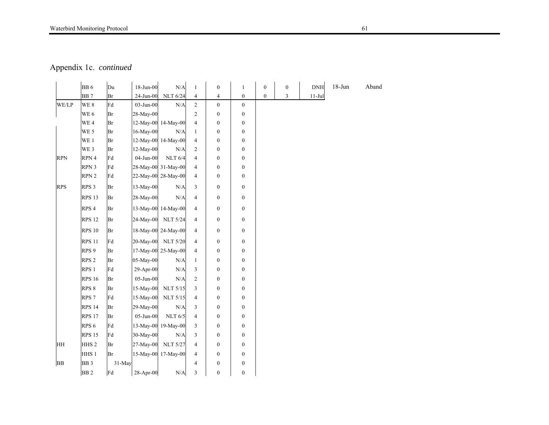# Waterbird Monitoring Protocol 61

Appendix 1c. *continued* 

|            | BB <sub>6</sub>  | Du     | 18-Jun-00 | $\rm N/A$           | $\mathbf{1}$             | $\boldsymbol{0}$ | $\mathbf{1}$     | $\boldsymbol{0}$ | $\boldsymbol{0}$ | <b>DNH</b> | $18 - Jun$ | Aband |
|------------|------------------|--------|-----------|---------------------|--------------------------|------------------|------------------|------------------|------------------|------------|------------|-------|
|            | <b>BB7</b>       | Br     | 24-Jun-00 | <b>NLT 6/24</b>     | 4                        | 4                | $\boldsymbol{0}$ | $\boldsymbol{0}$ | $\mathfrak{Z}$   | $11-Jul$   |            |       |
| WE/LP      | WE 8             | Fd     | 03-Jun-00 | N/A                 | $\overline{c}$           | $\overline{0}$   | $\mathbf{0}$     |                  |                  |            |            |       |
|            | WE <sub>6</sub>  | Br     | 28-May-00 |                     | 2                        | $\boldsymbol{0}$ | $\boldsymbol{0}$ |                  |                  |            |            |       |
|            | WE 4             | Br     |           | 12-May-00 14-May-00 | $\overline{4}$           | $\boldsymbol{0}$ | $\boldsymbol{0}$ |                  |                  |            |            |       |
|            | WE 5             | Br     | 16-May-00 | N/A                 | $\mathbf{1}$             | $\boldsymbol{0}$ | $\boldsymbol{0}$ |                  |                  |            |            |       |
|            | WE 1             | Br     |           | 12-May-00 14-May-00 | 4                        | $\boldsymbol{0}$ | $\boldsymbol{0}$ |                  |                  |            |            |       |
|            | WE 3             | Br     | 12-May-00 | N/A                 | $\overline{2}$           | $\boldsymbol{0}$ | $\boldsymbol{0}$ |                  |                  |            |            |       |
| <b>RPN</b> | RPN 4            | Fd     | 04-Jun-00 | <b>NLT 6/4</b>      | $\overline{4}$           | $\boldsymbol{0}$ | $\boldsymbol{0}$ |                  |                  |            |            |       |
|            | RPN 3            | Fd     |           | 28-May-00 31-May-00 | $\overline{4}$           | $\boldsymbol{0}$ | $\boldsymbol{0}$ |                  |                  |            |            |       |
|            | RPN <sub>2</sub> | Fd     |           | 22-May-00 28-May-00 | 4                        | $\boldsymbol{0}$ | $\boldsymbol{0}$ |                  |                  |            |            |       |
| <b>RPS</b> | RPS <sub>3</sub> | Br     | 13-May-00 | N/A                 | 3                        | $\boldsymbol{0}$ | $\boldsymbol{0}$ |                  |                  |            |            |       |
|            | <b>RPS 13</b>    | Br     | 28-May-00 | N/A                 | 4                        | $\boldsymbol{0}$ | $\boldsymbol{0}$ |                  |                  |            |            |       |
|            | RPS <sub>4</sub> | Br     |           | 13-May-00 14-May-00 | 4                        | $\boldsymbol{0}$ | $\boldsymbol{0}$ |                  |                  |            |            |       |
|            | <b>RPS 12</b>    | Br     | 24-May-00 | <b>NLT 5/24</b>     | $\overline{4}$           | $\boldsymbol{0}$ | $\boldsymbol{0}$ |                  |                  |            |            |       |
|            | <b>RPS 10</b>    | Br     |           | 18-May-00 24-May-00 | $\overline{4}$           | $\boldsymbol{0}$ | $\boldsymbol{0}$ |                  |                  |            |            |       |
|            | <b>RPS 11</b>    | Fd     |           | 20-May-00 NLT 5/20  | $\overline{4}$           | $\boldsymbol{0}$ | $\boldsymbol{0}$ |                  |                  |            |            |       |
|            | RPS <sub>9</sub> | Br     |           | 17-May-00 25-May-00 | $\overline{4}$           | $\boldsymbol{0}$ | $\boldsymbol{0}$ |                  |                  |            |            |       |
|            | RPS <sub>2</sub> | Br     | 05-May-00 | N/A                 | $\mathbf{1}$             | $\boldsymbol{0}$ | $\mathbf{0}$     |                  |                  |            |            |       |
|            | RPS <sub>1</sub> | Fd     | 29-Apr-00 | N/A                 | 3                        | $\boldsymbol{0}$ | $\boldsymbol{0}$ |                  |                  |            |            |       |
|            | <b>RPS 16</b>    | Br     | 05-Jun-00 | N/A                 | $\overline{c}$           | $\boldsymbol{0}$ | $\boldsymbol{0}$ |                  |                  |            |            |       |
|            | RPS 8            | Br     | 15-May-00 | <b>NLT 5/15</b>     | $\overline{3}$           | $\boldsymbol{0}$ | $\boldsymbol{0}$ |                  |                  |            |            |       |
|            | RPS <sub>7</sub> | Fd     | 15-May-00 | <b>NLT 5/15</b>     | $\overline{4}$           | $\boldsymbol{0}$ | $\mathbf{0}$     |                  |                  |            |            |       |
|            | <b>RPS 14</b>    | Br     | 29-May-00 | N/A                 | 3                        | $\boldsymbol{0}$ | $\boldsymbol{0}$ |                  |                  |            |            |       |
|            | <b>RPS 17</b>    | Br     | 05-Jun-00 | <b>NLT 6/5</b>      | $\overline{4}$           | $\boldsymbol{0}$ | $\boldsymbol{0}$ |                  |                  |            |            |       |
|            | RPS <sub>6</sub> | Fd     |           | 13-May-00 19-May-00 | 3                        | $\boldsymbol{0}$ | $\boldsymbol{0}$ |                  |                  |            |            |       |
|            | <b>RPS 15</b>    | Fd     | 30-May-00 | N/A                 | 3                        | $\boldsymbol{0}$ | $\boldsymbol{0}$ |                  |                  |            |            |       |
| HH         | HHS <sub>2</sub> | Br     | 27-May-00 | <b>NLT 5/27</b>     | 4                        | $\boldsymbol{0}$ | $\boldsymbol{0}$ |                  |                  |            |            |       |
|            | HHS <sub>1</sub> | Br     |           | 15-May-00 17-May-00 | $\overline{4}$           | $\boldsymbol{0}$ | $\boldsymbol{0}$ |                  |                  |            |            |       |
| BB         | BB <sub>3</sub>  | 31-May |           |                     | $\overline{\mathcal{L}}$ | $\boldsymbol{0}$ | $\boldsymbol{0}$ |                  |                  |            |            |       |
|            | BB <sub>2</sub>  | Fd     | 28-Apr-00 | $\rm N/A$           | 3                        | $\boldsymbol{0}$ | $\boldsymbol{0}$ |                  |                  |            |            |       |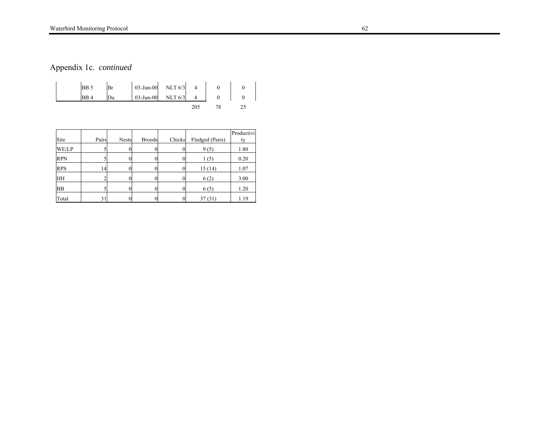# Waterbird Monitoring Protocol 62

Appendix 1c. *continued* 

|      | $03$ -Jun- $00$ | <b>NLT 6/3</b> |  |  |
|------|-----------------|----------------|--|--|
| RB 4 | $03$ -Jun- $00$ | NLT $6/3$      |  |  |
|      |                 |                |  |  |

| Site       | Pairs | <b>Nests</b> | <b>Broods</b> | Chicks | Fledged (Pairs) | Productivi<br>tv |
|------------|-------|--------------|---------------|--------|-----------------|------------------|
| WE/LP      |       |              |               |        | 9(5)            | 1.80             |
| <b>RPN</b> |       |              |               |        | 1(5)            | 0.20             |
| <b>RPS</b> | 14    |              |               |        | 15(14)          | 1.07             |
| <b>HH</b>  |       |              |               |        | 6(2)            | 3.00             |
| <b>BB</b>  |       |              |               |        | 6(5)            | 1.20             |
| Total      | 31    |              |               |        | 37(31)          | 1.19             |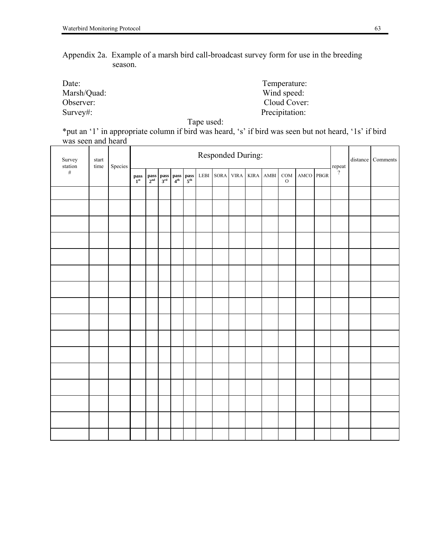Appendix 2a. Example of a marsh bird call-broadcast survey form for use in the breeding season.

| Date:       | Temperature:   |
|-------------|----------------|
| Marsh/Quad: | Wind speed:    |
| Observer:   | Cloud Cover:   |
| Survey#:    | Precipitation: |

Tape used:

\*put an '1' in appropriate column if bird was heard, 's' if bird was seen but not heard, '1s' if bird was seen and heard

| Survey      | start<br>time | Species |                                   |  |                                                                                                                                            | Responded During: |  |                |                          |           |                      | distance Comments |
|-------------|---------------|---------|-----------------------------------|--|--------------------------------------------------------------------------------------------------------------------------------------------|-------------------|--|----------------|--------------------------|-----------|----------------------|-------------------|
| station $#$ |               |         | $\mathbf{p}_\mathbf{1}^\text{ss}$ |  | $\begin{tabular}{ c c c c } \hline pass & pass & pass & pass \\ 2^{\rm nd} & 3^{\rm rd} & 4^{\rm th} & 5^{\rm th} \\ \hline \end{tabular}$ | LEBI SORA         |  | VIRA KIRA AMBI | $\rm{COM}$<br>${\cal O}$ | AMCO PBGR | repeat $\frac{1}{2}$ |                   |
|             |               |         |                                   |  |                                                                                                                                            |                   |  |                |                          |           |                      |                   |
|             |               |         |                                   |  |                                                                                                                                            |                   |  |                |                          |           |                      |                   |
|             |               |         |                                   |  |                                                                                                                                            |                   |  |                |                          |           |                      |                   |
|             |               |         |                                   |  |                                                                                                                                            |                   |  |                |                          |           |                      |                   |
|             |               |         |                                   |  |                                                                                                                                            |                   |  |                |                          |           |                      |                   |
|             |               |         |                                   |  |                                                                                                                                            |                   |  |                |                          |           |                      |                   |
|             |               |         |                                   |  |                                                                                                                                            |                   |  |                |                          |           |                      |                   |
|             |               |         |                                   |  |                                                                                                                                            |                   |  |                |                          |           |                      |                   |
|             |               |         |                                   |  |                                                                                                                                            |                   |  |                |                          |           |                      |                   |
|             |               |         |                                   |  |                                                                                                                                            |                   |  |                |                          |           |                      |                   |
|             |               |         |                                   |  |                                                                                                                                            |                   |  |                |                          |           |                      |                   |
|             |               |         |                                   |  |                                                                                                                                            |                   |  |                |                          |           |                      |                   |
|             |               |         |                                   |  |                                                                                                                                            |                   |  |                |                          |           |                      |                   |
|             |               |         |                                   |  |                                                                                                                                            |                   |  |                |                          |           |                      |                   |
|             |               |         |                                   |  |                                                                                                                                            |                   |  |                |                          |           |                      |                   |
|             |               |         |                                   |  |                                                                                                                                            |                   |  |                |                          |           |                      |                   |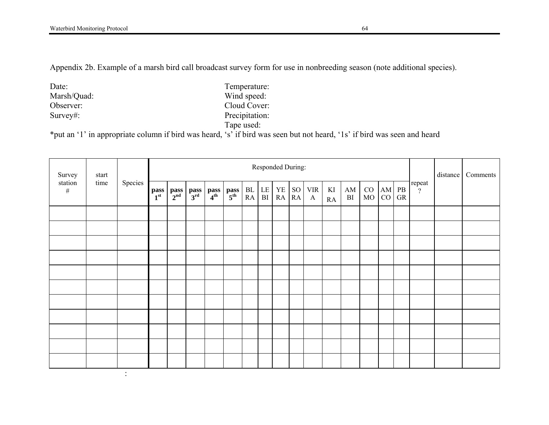Appendix 2b. Example of a marsh bird call broadcast survey form for use in nonbreeding season (note additional species).

Date: Temperature: Marsh/Quad: Wind speed: Wind speed: Wind speed: Cloud Cover: Observer: Cloud Cover: Survey#: Precipitation:

the contract of the contract of the contract of the contract of the contract of the contract of the contract of

Tape used:

\*put an '1' in appropriate column if bird was heard, 's' if bird was seen but not heard, '1s' if bird was seen and heard

| Survey                  | start   |                         |                    | Responded During:       |                                                  |                         |                          |            |                     |           |                            |          |                              |          |                          |    |                    | distance | Comments |  |
|-------------------------|---------|-------------------------|--------------------|-------------------------|--------------------------------------------------|-------------------------|--------------------------|------------|---------------------|-----------|----------------------------|----------|------------------------------|----------|--------------------------|----|--------------------|----------|----------|--|
| station<br>time<br>$\#$ | Species | pass<br>1 <sup>st</sup> | $_{2^{nd}}^{pass}$ | $\frac{\text{pass}}{3}$ | $\left \frac{\text{pass}}{4^{\text{th}}}\right $ | $\frac{\text{pass}}{5}$ | ${\rm BL}$<br>${\sf RA}$ | LE  <br>BI | ${\it YE}$<br>RA RA | <b>SO</b> | <b>VIR</b><br>$\mathbf{A}$ | KI<br>RA | $\mathbf{A}\mathbf{M}$<br>BI | CO<br>MO | AM PB<br>CO <sub>1</sub> | GR | repeat<br>$\gamma$ |          |          |  |
|                         |         |                         |                    |                         |                                                  |                         |                          |            |                     |           |                            |          |                              |          |                          |    |                    |          |          |  |
|                         |         |                         |                    |                         |                                                  |                         |                          |            |                     |           |                            |          |                              |          |                          |    |                    |          |          |  |
|                         |         |                         |                    |                         |                                                  |                         |                          |            |                     |           |                            |          |                              |          |                          |    |                    |          |          |  |
|                         |         |                         |                    |                         |                                                  |                         |                          |            |                     |           |                            |          |                              |          |                          |    |                    |          |          |  |
|                         |         |                         |                    |                         |                                                  |                         |                          |            |                     |           |                            |          |                              |          |                          |    |                    |          |          |  |
|                         |         |                         |                    |                         |                                                  |                         |                          |            |                     |           |                            |          |                              |          |                          |    |                    |          |          |  |
|                         |         |                         |                    |                         |                                                  |                         |                          |            |                     |           |                            |          |                              |          |                          |    |                    |          |          |  |
|                         |         |                         |                    |                         |                                                  |                         |                          |            |                     |           |                            |          |                              |          |                          |    |                    |          |          |  |
|                         |         |                         |                    |                         |                                                  |                         |                          |            |                     |           |                            |          |                              |          |                          |    |                    |          |          |  |
|                         |         |                         |                    |                         |                                                  |                         |                          |            |                     |           |                            |          |                              |          |                          |    |                    |          |          |  |
|                         |         |                         |                    |                         |                                                  |                         |                          |            |                     |           |                            |          |                              |          |                          |    |                    |          |          |  |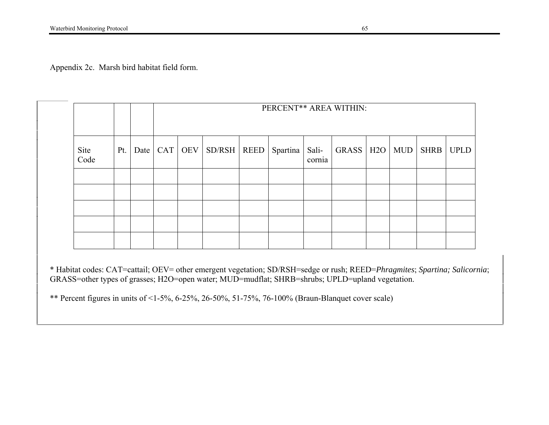Appendix 2c. Marsh bird habitat field form.

|              |     |  | PERCENT** AREA WITHIN: |               |  |                  |        |                   |  |  |             |             |  |  |
|--------------|-----|--|------------------------|---------------|--|------------------|--------|-------------------|--|--|-------------|-------------|--|--|
| Site<br>Code | Pt. |  | Date $ $ CAT $ $ OEV   | $SD/RSH$ REED |  | Spartina   Sali- | cornia | GRASS   H2O   MUD |  |  | <b>SHRB</b> | <b>UPLD</b> |  |  |
|              |     |  |                        |               |  |                  |        |                   |  |  |             |             |  |  |
|              |     |  |                        |               |  |                  |        |                   |  |  |             |             |  |  |
|              |     |  |                        |               |  |                  |        |                   |  |  |             |             |  |  |
|              |     |  |                        |               |  |                  |        |                   |  |  |             |             |  |  |
|              |     |  |                        |               |  |                  |        |                   |  |  |             |             |  |  |

\* Habitat codes: CAT=cattail; OEV= other emergent vegetation; SD/RSH=sedge or rush; REED=*Phragmites*; *Spartina; Salicornia*; GRASS=other types of grasses; H2O=open water; MUD=mudflat; SHRB=shrubs; UPLD=upland vegetation.

\*\* Percent figures in units of <1-5%, 6-25%, 26-50%, 51-75%, 76-100% (Braun-Blanquet cover scale)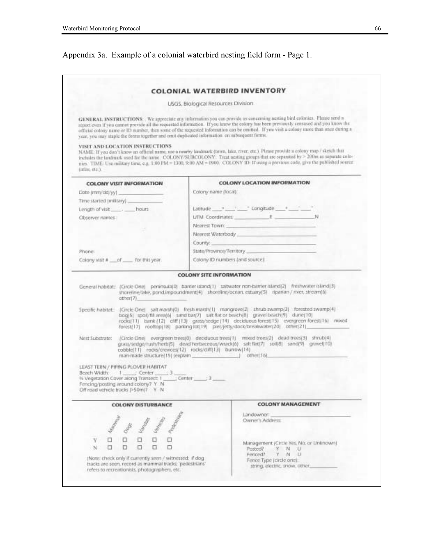# Appendix 3a. Example of a colonial waterbird nesting field form - Page 1.

|                                                                                                                                                                                                                                          | <b>USGS. Biological Resources Division</b>                                                                                                                                                                                                                                                                                                                                                                  |
|------------------------------------------------------------------------------------------------------------------------------------------------------------------------------------------------------------------------------------------|-------------------------------------------------------------------------------------------------------------------------------------------------------------------------------------------------------------------------------------------------------------------------------------------------------------------------------------------------------------------------------------------------------------|
| year, you may staple the forms together and omit duplicated information on subsequent forms.                                                                                                                                             | GENERAL INSTRUCTIONS: We appreciate any information you can provide us concerning nesting bird colonies. Please send n<br>report even if you cannot provide all the requested information. If you know the colony has been previously censused and you know the<br>official colony name or ID number, then some of the requested information can be omitted. If you visit a colony more than once during a  |
| VISIT AND LOCATION INSTRUCTIONS<br>(utles, etc.).                                                                                                                                                                                        | NAME: If you don't know an official name, use a nearby landmark (town, lake, river, etc.) Please provide a colony map / sketch that<br>includes the landmark used for the name. COLONY/SUBCOLONY: Treat nesting groups that are separated by > 200m as separate colo-<br>nies. TIME: Use military time, e.g. 1:00 PM = 1300, 9:00 AM = 0900. COLONY ID: If using a previous code, give the published source |
| <b>COLONY VISIT INFORMATION</b>                                                                                                                                                                                                          | <b>COLONY LOCATION INFORMATION</b>                                                                                                                                                                                                                                                                                                                                                                          |
| Date (mm/dd/yy)                                                                                                                                                                                                                          | Colony name (local):                                                                                                                                                                                                                                                                                                                                                                                        |
| Time started (military)                                                                                                                                                                                                                  |                                                                                                                                                                                                                                                                                                                                                                                                             |
| hours ________ hours                                                                                                                                                                                                                     | Lietude - Longitude + -                                                                                                                                                                                                                                                                                                                                                                                     |
| Observer names:                                                                                                                                                                                                                          | UTM Coordinates E N                                                                                                                                                                                                                                                                                                                                                                                         |
|                                                                                                                                                                                                                                          | Nearest Town: 2000                                                                                                                                                                                                                                                                                                                                                                                          |
|                                                                                                                                                                                                                                          | Nearest Waterbody and the control of the control of the control of the control of the control of the control of                                                                                                                                                                                                                                                                                             |
|                                                                                                                                                                                                                                          | Courity:                                                                                                                                                                                                                                                                                                                                                                                                    |
| Phone:                                                                                                                                                                                                                                   | State/Province/Territory                                                                                                                                                                                                                                                                                                                                                                                    |
| Colony visit # __ of ___ for this year.                                                                                                                                                                                                  | Colony ID numbers (and source)                                                                                                                                                                                                                                                                                                                                                                              |
|                                                                                                                                                                                                                                          |                                                                                                                                                                                                                                                                                                                                                                                                             |
|                                                                                                                                                                                                                                          | <b>COLONY SITE INFORMATION</b>                                                                                                                                                                                                                                                                                                                                                                              |
| other(7)                                                                                                                                                                                                                                 | General habitat: (Grole One) peninsula(0) barrier Island(1) satwater non-barrier island(2) freshwater island(3)<br>shoreline/lake, ponclimpoundment(4) shoreline/ocean, estuary(5) riparian / river, stream(6)                                                                                                                                                                                              |
|                                                                                                                                                                                                                                          | Specific habitat: [Circle One] salt marsh(0) fresh marsh(1) mangrove(2) shrub swamp(3) forested swamp(4)<br>bog(5) spol/fill area(6) sand bar(7) sat flat or beach(8) grave( beach(9) durie(10)<br>rocks(11) bank (12) cliff (13) grass/sedge (14) deciduous forest(15) evergreen forest(16) mixed<br>forest/17) rooftap(18) parking lot/19) piet/jetty/dock/breakwater(20) other(21)                       |
| Nest Substrate:                                                                                                                                                                                                                          | (Circle One) evergreen trees(0) deciduous trees(1) mixed trees(2) dead trees(3) shrub(4)<br>grass/sedge/rush/herb(5) dead herbaceous/wrack(6) salt flat(7) soil(8) sand(9) gravel(10)<br>cobble(11) rocks/crevices(12) rocks/clift(13) burrow(14)<br>man-made structure[15] [explain   other[16]                                                                                                            |
|                                                                                                                                                                                                                                          |                                                                                                                                                                                                                                                                                                                                                                                                             |
| <b>COLONY DISTURBANCE</b>                                                                                                                                                                                                                | <b>COLONY MANAGEMENT</b>                                                                                                                                                                                                                                                                                                                                                                                    |
|                                                                                                                                                                                                                                          | Landowner:                                                                                                                                                                                                                                                                                                                                                                                                  |
|                                                                                                                                                                                                                                          | Owner's Address:                                                                                                                                                                                                                                                                                                                                                                                            |
| LEAST TERN / PIPING PLOVER HABITAT<br>Beach Width: 1 ____; Center ____; 3 __<br>% Vegetation Cover along Transect: 1 _____; Center _____; 3 ____<br>Fencing/posting around colony? Y N<br>Off road vehicle tracks (>50m)? Y N<br>Y.<br>N | Management (Circle Yes, No. or Unknown)<br>Posted?<br>Y N U<br>Fenced?<br>Y N U                                                                                                                                                                                                                                                                                                                             |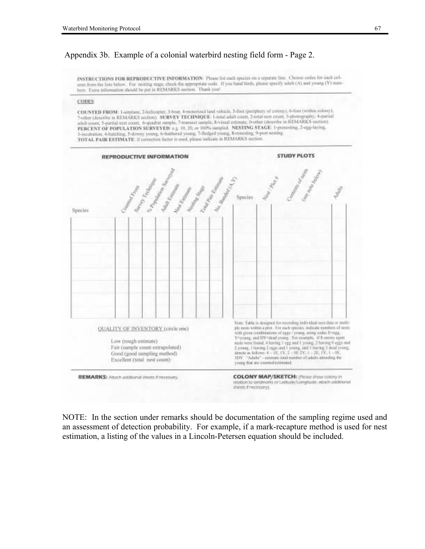# Appendix 3b. Example of a colonial waterbird nesting field form - Page 2.

INSTRUCTIONS FOR REPRODUCTIVE INFORMATION: Please list each species on a separate line. Choose codes for each column from the lists below. For nesting stage, check the appropriate code. If you band birds, please specify adult (A) and young (Y) numhers. Extra information should be put in REMARKS section. Thank you!

#### **CODES**

COUNTED FROM: 1-airplane, 2-helicopier, 3-boat, 4-motorized land vehicle, 5-foot (periphery of colony), 6-foot (within colony), 7-other (describe in REMARKS section). SURVEY TECHNIQUE: 1-total adult count, 2-total new count, 3-photography, 4-partial adult count, 5-partial nest count, 6-quadrat sample, 7-transect sample, 8-visual estimate, 0-educ (describe in REMARKS section). PERCENT OF POPULATION SURVEYED: e.g. 10, 20, or 100% sampled. NESTING STAGE: 1-presenting, 2-egg-laying, 3-incubation. 4-hatching, 5-downy young, 6-feathered young, 7-fledged young, 8-cenesting, 9-post-nesting. TOTAL PAIR ESTIMATE: if correction factor is used, please indicate in REMARKS section.



NOTE: In the section under remarks should be documentation of the sampling regime used and an assessment of detection probability. For example, if a mark-recapture method is used for nest estimation, a listing of the values in a Lincoln-Petersen equation should be included.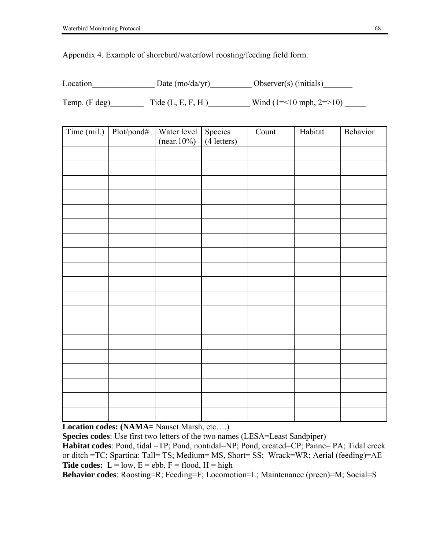Appendix 4. Example of shorebird/waterfowl roosting/feeding field form.

| Location | Date $(mo/da/yr)$ | Observer(s) (initials) |
|----------|-------------------|------------------------|
|          |                   |                        |

Temp. (F deg)  $\qquad \qquad$  Tide (L, E, F, H )  $\qquad \qquad$  Wind (1=<10 mph, 2=>10)

| Time (mil.) | Plot/pond# | Water level<br>$(near.10\%)$ | Species<br>(4 letters) | Count | Habitat | Behavior |
|-------------|------------|------------------------------|------------------------|-------|---------|----------|
|             |            |                              |                        |       |         |          |
|             |            |                              |                        |       |         |          |
|             |            |                              |                        |       |         |          |
|             |            |                              |                        |       |         |          |
|             |            |                              |                        |       |         |          |
|             |            |                              |                        |       |         |          |
|             |            |                              |                        |       |         |          |
|             |            |                              |                        |       |         |          |
|             |            |                              |                        |       |         |          |
|             |            |                              |                        |       |         |          |
|             |            |                              |                        |       |         |          |
|             |            |                              |                        |       |         |          |
|             |            |                              |                        |       |         |          |
|             |            |                              |                        |       |         |          |
|             |            |                              |                        |       |         |          |
|             |            |                              |                        |       |         |          |
|             |            |                              |                        |       |         |          |
|             |            |                              |                        |       |         |          |
|             |            |                              |                        |       |         |          |

**Location codes: (NAMA= Nauset Marsh, etc....)** 

**Species codes**: Use first two letters of the two names (LESA=Least Sandpiper) **Habitat codes**: Pond, tidal =TP; Pond, nontidal=NP; Pond, created=CP; Panne= PA; Tidal creek or ditch =TC; Spartina: Tall= TS; Medium= MS, Short= SS; Wrack=WR; Aerial (feeding)=AE **Tide codes:**  $L = low$ ,  $E = ebb$ ,  $F = flood$ ,  $H = high$ 

**Behavior codes**: Roosting=R; Feeding=F; Locomotion=L; Maintenance (preen)=M; Social=S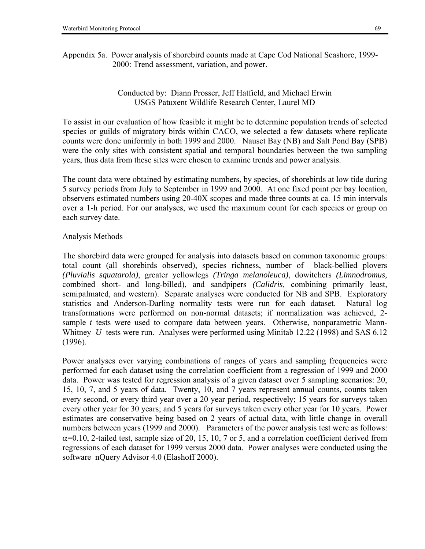Appendix 5a. Power analysis of shorebird counts made at Cape Cod National Seashore, 1999- 2000: Trend assessment, variation, and power.

# Conducted by: Diann Prosser, Jeff Hatfield, and Michael Erwin USGS Patuxent Wildlife Research Center, Laurel MD

To assist in our evaluation of how feasible it might be to determine population trends of selected species or guilds of migratory birds within CACO, we selected a few datasets where replicate counts were done uniformly in both 1999 and 2000. Nauset Bay (NB) and Salt Pond Bay (SPB) were the only sites with consistent spatial and temporal boundaries between the two sampling years, thus data from these sites were chosen to examine trends and power analysis.

The count data were obtained by estimating numbers, by species, of shorebirds at low tide during 5 survey periods from July to September in 1999 and 2000. At one fixed point per bay location, observers estimated numbers using 20-40X scopes and made three counts at ca. 15 min intervals over a 1-h period. For our analyses, we used the maximum count for each species or group on each survey date.

# Analysis Methods

The shorebird data were grouped for analysis into datasets based on common taxonomic groups: total count (all shorebirds observed), species richness, number of black-bellied plovers *(Pluvialis squatarola)*, greater yellowlegs *(Tringa melanoleuca)*, dowitchers *(Limnodromus,*  combined short- and long-billed), and sandpipers *(Calidris,* combining primarily least, semipalmated, and western). Separate analyses were conducted for NB and SPB. Exploratory statistics and Anderson-Darling normality tests were run for each dataset. Natural log transformations were performed on non-normal datasets; if normalization was achieved, 2 sample *t* tests were used to compare data between years. Otherwise, nonparametric Mann-Whitney *U* tests were run. Analyses were performed using Minitab 12.22 (1998) and SAS 6.12 (1996).

Power analyses over varying combinations of ranges of years and sampling frequencies were performed for each dataset using the correlation coefficient from a regression of 1999 and 2000 data. Power was tested for regression analysis of a given dataset over 5 sampling scenarios: 20, 15, 10, 7, and 5 years of data. Twenty, 10, and 7 years represent annual counts, counts taken every second, or every third year over a 20 year period, respectively; 15 years for surveys taken every other year for 30 years; and 5 years for surveys taken every other year for 10 years. Power estimates are conservative being based on 2 years of actual data, with little change in overall numbers between years (1999 and 2000). Parameters of the power analysis test were as follows:  $\alpha$ =0.10, 2-tailed test, sample size of 20, 15, 10, 7 or 5, and a correlation coefficient derived from regressions of each dataset for 1999 versus 2000 data. Power analyses were conducted using the software nQuery Advisor 4.0 (Elashoff 2000).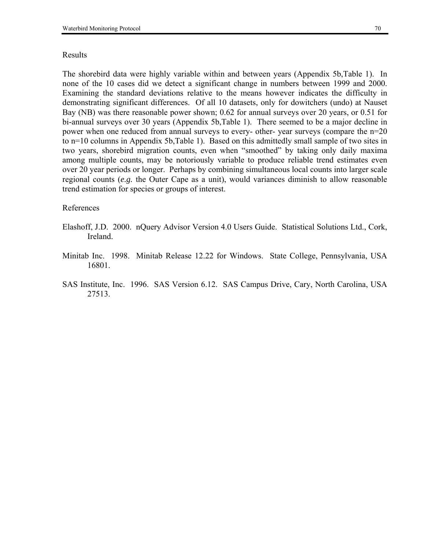### Results

The shorebird data were highly variable within and between years (Appendix 5b,Table 1). In none of the 10 cases did we detect a significant change in numbers between 1999 and 2000. Examining the standard deviations relative to the means however indicates the difficulty in demonstrating significant differences. Of all 10 datasets, only for dowitchers (undo) at Nauset Bay (NB) was there reasonable power shown; 0.62 for annual surveys over 20 years, or 0.51 for bi-annual surveys over 30 years (Appendix 5b,Table 1). There seemed to be a major decline in power when one reduced from annual surveys to every- other- year surveys (compare the n=20 to n=10 columns in Appendix 5b,Table 1). Based on this admittedly small sample of two sites in two years, shorebird migration counts, even when "smoothed" by taking only daily maxima among multiple counts, may be notoriously variable to produce reliable trend estimates even over 20 year periods or longer. Perhaps by combining simultaneous local counts into larger scale regional counts (*e.g.* the Outer Cape as a unit), would variances diminish to allow reasonable trend estimation for species or groups of interest.

### References

- Elashoff, J.D. 2000. nQuery Advisor Version 4.0 Users Guide. Statistical Solutions Ltd., Cork, Ireland.
- Minitab Inc. 1998. Minitab Release 12.22 for Windows. State College, Pennsylvania, USA 16801.
- SAS Institute, Inc. 1996. SAS Version 6.12. SAS Campus Drive, Cary, North Carolina, USA 27513.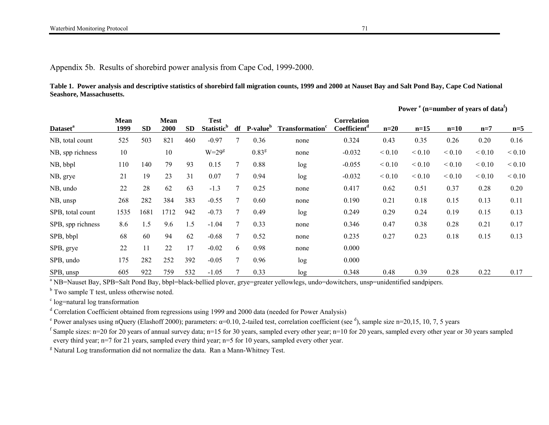Appendix 5b. Results of shorebird power analysis from Cape Cod, 1999-2000.

**Table 1. Power analysis and descriptive statistics of shorebird fall migration counts, 1999 and 2000 at Nauset Bay and Salt Pond Bay, Cape Cod National Seashore, Massachusetts.** 

|                             |                     |           |                     |           |                                              |    |                      |                                    |                                                |             |             | Power $e^{i}$ (n=number of years of data <sup>f</sup> ) |             |             |
|-----------------------------|---------------------|-----------|---------------------|-----------|----------------------------------------------|----|----------------------|------------------------------------|------------------------------------------------|-------------|-------------|---------------------------------------------------------|-------------|-------------|
| <b>Dataset</b> <sup>a</sup> | <b>Mean</b><br>1999 | <b>SD</b> | <b>Mean</b><br>2000 | <b>SD</b> | <b>Test</b><br><b>Statistic</b> <sup>b</sup> | df | P-value <sup>b</sup> | <b>Transformation</b> <sup>6</sup> | <b>Correlation</b><br>Coefficient <sup>d</sup> | $n=20$      | $n=15$      | $n=10$                                                  | $n=7$       | $n=5$       |
| NB, total count             | 525                 | 503       | 821                 | 460       | $-0.97$                                      | 7  | 0.36                 | none                               | 0.324                                          | 0.43        | 0.35        | 0.26                                                    | 0.20        | 0.16        |
| NB, spp richness            | 10                  |           | 10                  |           | $W=29g$                                      |    | 0.83 <sup>g</sup>    | none                               | $-0.032$                                       | ${}_{0.10}$ | < 0.10      | ${}_{0.10}$                                             | < 0.10      | ${}_{0.10}$ |
| NB, bbpl                    | 110                 | 140       | 79                  | 93        | 0.15                                         | 7  | 0.88                 | log                                | $-0.055$                                       | ${}_{0.10}$ | ${}_{0.10}$ | ${}_{0.10}$                                             | ${}_{0.10}$ | < 0.10      |
| NB, grye                    | 21                  | 19        | 23                  | 31        | 0.07                                         |    | 0.94                 | log                                | $-0.032$                                       | ${}< 0.10$  | ${}_{0.10}$ | ${}_{0.10}$                                             | ${}_{0.10}$ | < 0.10      |
| NB, undo                    | 22                  | 28        | 62                  | 63        | $-1.3$                                       | 7  | 0.25                 | none                               | 0.417                                          | 0.62        | 0.51        | 0.37                                                    | 0.28        | 0.20        |
| NB, unsp                    | 268                 | 282       | 384                 | 383       | $-0.55$                                      | 7  | 0.60                 | none                               | 0.190                                          | 0.21        | 0.18        | 0.15                                                    | 0.13        | 0.11        |
| SPB, total count            | 1535                | 1681      | 1712                | 942       | $-0.73$                                      | 7  | 0.49                 | log                                | 0.249                                          | 0.29        | 0.24        | 0.19                                                    | 0.15        | 0.13        |
| SPB, spp richness           | 8.6                 | 1.5       | 9.6                 | 1.5       | $-1.04$                                      | 7  | 0.33                 | none                               | 0.346                                          | 0.47        | 0.38        | 0.28                                                    | 0.21        | 0.17        |
| SPB, bbpl                   | 68                  | 60        | 94                  | 62        | $-0.68$                                      | 7  | 0.52                 | none                               | 0.235                                          | 0.27        | 0.23        | 0.18                                                    | 0.15        | 0.13        |
| SPB, grye                   | 22                  | 11        | 22                  | 17        | $-0.02$                                      | 6  | 0.98                 | none                               | 0.000                                          |             |             |                                                         |             |             |
| SPB, undo                   | 175                 | 282       | 252                 | 392       | $-0.05$                                      | 7  | 0.96                 | log                                | 0.000                                          |             |             |                                                         |             |             |
| SPB, unsp                   | 605                 | 922       | 759                 | 532       | $-1.05$                                      |    | 0.33                 | log                                | 0.348                                          | 0.48        | 0.39        | 0.28                                                    | 0.22        | 0.17        |

<sup>a</sup> NB=Nauset Bay, SPB=Salt Pond Bay, bbpl=black-bellied plover, grye=greater yellowlegs, undo=dowitchers, unsp=unidentified sandpipers.

 $<sup>b</sup>$  Two sample T test, unless otherwise noted.</sup>

 $\degree$  log=natural log transformation

d Correlation Coefficient obtained from regressions using 1999 and 2000 data (needed for Power Analysis)

<sup>e</sup> Power analyses using nQuery (Elashoff 2000); parameters:  $\alpha$ =0.10, 2-tailed test, correlation coefficient (see <sup>d</sup>), sample size n=20,15, 10, 7, 5 years

<sup>f</sup> Sample sizes: n=20 for 20 years of annual survey data; n=15 for 30 years, sampled every other year; n=10 for 20 years, sampled every other year or 30 years sampled every third year; n=7 for 21 years, sampled every third year; n=5 for 10 years, sampled every other year.

<sup>g</sup> Natural Log transformation did not normalize the data. Ran a Mann-Whitney Test.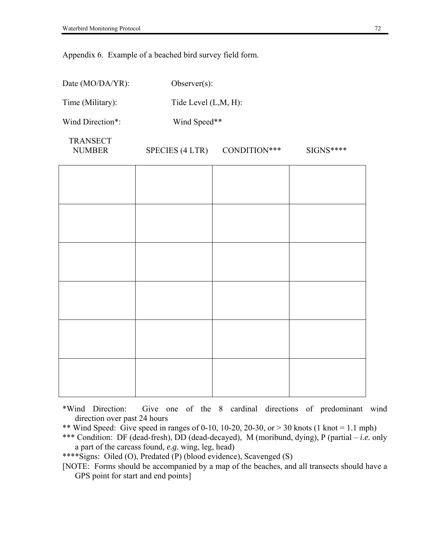Appendix 6. Example of a beached bird survey field form.

| Date (MO/DA/YR):                 | Observer $(s)$ :       |                      |           |  |  |  |  |  |  |  |  |
|----------------------------------|------------------------|----------------------|-----------|--|--|--|--|--|--|--|--|
| Time (Military):                 |                        | Tide Level (L,M, H): |           |  |  |  |  |  |  |  |  |
| Wind Direction*:                 | Wind Speed**           |                      |           |  |  |  |  |  |  |  |  |
| <b>TRANSECT</b><br><b>NUMBER</b> | <b>SPECIES (4 LTR)</b> | CONDITION***         | SIGNS**** |  |  |  |  |  |  |  |  |
|                                  |                        |                      |           |  |  |  |  |  |  |  |  |
|                                  |                        |                      |           |  |  |  |  |  |  |  |  |
|                                  |                        |                      |           |  |  |  |  |  |  |  |  |
|                                  |                        |                      |           |  |  |  |  |  |  |  |  |
|                                  |                        |                      |           |  |  |  |  |  |  |  |  |
|                                  |                        |                      |           |  |  |  |  |  |  |  |  |

\*Wind Direction: Give one of the 8 cardinal directions of predominant wind direction over past 24 hours

- \*\* Wind Speed: Give speed in ranges of 0-10, 10-20, 20-30, or > 30 knots (1 knot = 1.1 mph)
- \*\*\* Condition: DF (dead-fresh), DD (dead-decayed), M (moribund, dying), P (partial *i.e.* only a part of the carcass found, *e.g.* wing, leg, head)
- \*\*\*\*Signs: Oiled (O), Predated (P) (blood evidence), Scavenged (S)

[NOTE: Forms should be accompanied by a map of the beaches, and all transects should have a GPS point for start and end points]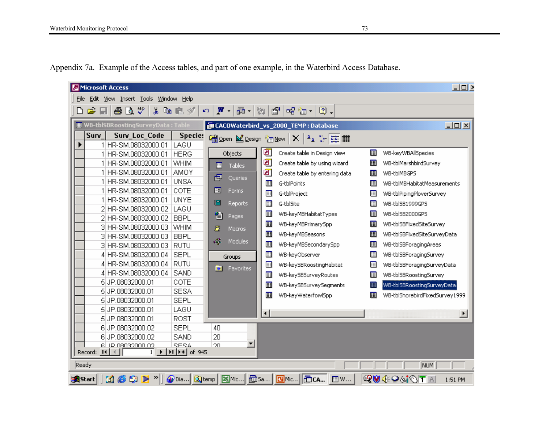| Microsoft Access                                               |                                                  |                          |                                                                             |   | $-101$                         |
|----------------------------------------------------------------|--------------------------------------------------|--------------------------|-----------------------------------------------------------------------------|---|--------------------------------|
| Eile<br>Edit View Insert Tools<br><u>W</u> indow               | Help                                             |                          |                                                                             |   |                                |
| 40 Q V<br>c i<br>ہ∟                                            | 人名尼戈                                             | $W -$<br>品 -<br>塑<br>KD. | ☞<br>昭御(図)                                                                  |   |                                |
| 图 WB-tblSBRoostingSurveyData: Table                            |                                                  |                          | E CACOWaterbird_vs_2000_TEMP : Database                                     |   | $L = 1$                        |
| Surv<br><b>Surv Loc Code</b><br>HR-SM.08032000.01              | <b>Species</b><br>LAGU                           |                          |                                                                             |   |                                |
| HR-SM.08032000.01                                              | <b>HERG</b>                                      | Objects                  | ◙<br>Create table in Design view                                            | 囲 | WB-keyWBAllSpecies             |
| HR-SM.08032000.01                                              | WHIM                                             | 圛<br>Tables              | ◙<br>Create table by using wizard                                           | 團 | WB-tblMarshbirdSurvey          |
| 1 HR-SM.08032000.01                                            | <b>AMOY</b>                                      |                          | ◙<br>Create table by entering data                                          | 囲 | WB-tblMBGPS                    |
| HR-SM.08032000.01                                              | <b>UNSA</b>                                      | 疅<br>Queries             | 囲<br>G-tblPoints                                                            | 囲 | WB-tblMBHabitatMeasurements    |
| 1 HR-SM.08032000.01                                            | COTE                                             | 團<br>Forms               | 圛<br>G-tblProject                                                           | 囲 | WB-tblPipingPloverSurvey       |
| 1 HR-SM.08032000.01                                            | <b>UNYE</b>                                      | c<br>Reports             | 圛<br>G-tblSite                                                              | 囲 | WB-tblSB1999GPS                |
| 2 HR-SM.08032000.02                                            | LAGU                                             |                          | 圛<br>WB-keyMBHabitatTypes                                                   | 囲 | WB-tblSB2000GPS                |
| 2 HR-SM.08032000.02                                            | <b>BBPL</b>                                      | 慍<br>Pages               | 囲<br>WB-keyMBPrimarySpp                                                     | 囲 | WB-tblSBFixedSiteSurvey        |
| 3 HR-SM.08032000.03                                            | WHIM                                             | Ζ<br>Macros              |                                                                             |   |                                |
| 3 HR-SM.08032000.03                                            | <b>BBPL</b>                                      | εÇ,<br><b>Modules</b>    | 團<br>WB-keyMBSeasons                                                        | 囲 | WB-tblSBFixedSiteSurveyData    |
| 3 HR-SM.08032000.03                                            | <b>RUTU</b>                                      |                          | 囲<br>WB-keyMBSecondarySpp                                                   | 囲 | WB-tblSBForagingAreas          |
| 4 HR-SM.08032000.04                                            | <b>SEPL</b>                                      | Groups                   | 囲<br>WB-keyObserver                                                         | 囲 | WB-tblSBForagingSurvey         |
| 4 HR-SM.08032000.04                                            | <b>RUTU</b>                                      | 来<br>Favorites           | 囲<br>WB-keySBRoostingHabitat                                                | 囲 | WB-tblSBForagingSurveyData     |
| 4 HR-SM.08032000.04                                            | SAND                                             |                          | 團<br>WB-keySBSurveyRoutes                                                   | 圛 | WB-tblSBRoostingSurvey         |
| 5JP.08032000.01                                                | COTE                                             |                          | 囲<br>WB-keySBSurveySegments                                                 | 囲 | WB-tblSBRoostingSurveyData     |
| 5JP.08032000.01                                                | <b>SESA</b>                                      |                          | 團<br>WB-keyWaterfowlSpp                                                     | 圛 | WB-tblShorebirdFixedSurvey1999 |
| 5JP.08032000.01                                                | <b>SEPL</b>                                      |                          |                                                                             |   |                                |
| 5JP.08032000.01                                                | LAGU                                             |                          | $\blacktriangleleft$                                                        |   | $\blacktriangleright$          |
| 5JP.08032000.01                                                | ROST                                             |                          |                                                                             |   |                                |
| 6JP.08032000.02                                                | <b>SEPL</b>                                      | 40                       |                                                                             |   |                                |
| 6 JP.08032000.02                                               | SAND                                             | 20                       |                                                                             |   |                                |
| <u>ch noncenso si la</u><br>Record: 14<br>-4                   | RERA<br>$1 \rightarrow  H $ $\rightarrow$ of 945 | ▼<br>20                  |                                                                             |   |                                |
|                                                                |                                                  |                          |                                                                             |   |                                |
| Ready                                                          |                                                  |                          |                                                                             |   | NUM                            |
| <b>13</b><br>@ Gi<br>$\blacktriangleright$ »<br><b>A</b> Start |                                                  |                          | @Dia   Q] temp   X] Mic   面Sa   <mark>G</mark> Mic   for CA  <br><b>圖</b> w |   | LT0149999D<br>1:51 PM          |

Appendix 7a. Example of the Access tables, and part of one example, in the Waterbird Access Database.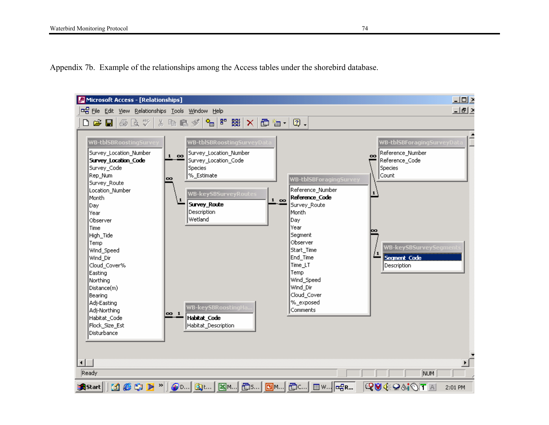Appendix 7b. Example of the relationships among the Access tables under the shorebird database.

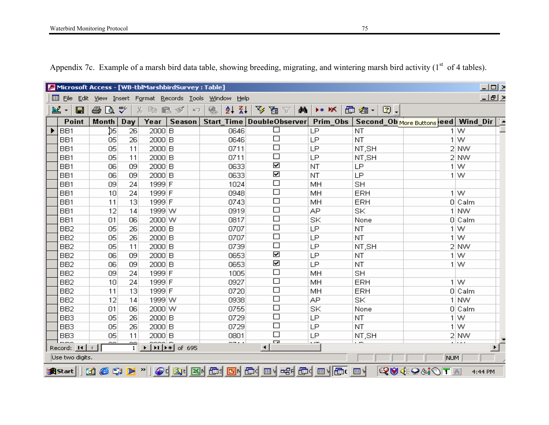| $\Box$ ol $\times$<br>Microsoft Access - [WB-tblMarshbirdSurvey : Table]<br>View Insert Format Records Tools Window |                                                                                                                                                                                                |            |              |                                                        |                          |                                                                                     |           |             |            |             |  |  |  |
|---------------------------------------------------------------------------------------------------------------------|------------------------------------------------------------------------------------------------------------------------------------------------------------------------------------------------|------------|--------------|--------------------------------------------------------|--------------------------|-------------------------------------------------------------------------------------|-----------|-------------|------------|-------------|--|--|--|
| 圛<br>File<br><b>Edit</b>                                                                                            |                                                                                                                                                                                                |            |              |                                                        | <u>Help</u>              |                                                                                     |           |             |            | 그리스         |  |  |  |
| <b>図</b><br>e<br>$\blacktriangledown$                                                                               | 6<br>Q.                                                                                                                                                                                        | ₩          | ¥,<br>酯<br>區 | $\mathcal{P}$<br>$\left\vert \mathcal{C}\right\rangle$ | $\frac{Z}{A}$<br>魯<br>ĝ∤ | 文星人<br>d4                                                                           | $**$ $K$  | 面 细 -   图 - |            |             |  |  |  |
| <b>Point</b>                                                                                                        | Month                                                                                                                                                                                          | <b>Day</b> | Year         | <b>Season</b>                                          |                          | Start_Time   DoubleObserver   Prim_Obs   Second_Ob More Buttons leed   Wind_Dir   2 |           |             |            |             |  |  |  |
| BB1                                                                                                                 | D5                                                                                                                                                                                             | 26         | 2000 B       |                                                        | 0646                     | □                                                                                   | LP        | <b>NT</b>   |            | $1 \vert W$ |  |  |  |
| BB1                                                                                                                 | 05                                                                                                                                                                                             | 26         | 2000 B       |                                                        | 0646                     | $\Box$                                                                              | LP        | <b>NT</b>   |            | $1\vert W$  |  |  |  |
| BB1                                                                                                                 | 05                                                                                                                                                                                             | 11         | 2000 B       |                                                        | 0711                     | $\Box$                                                                              | LP        | NT, SH      |            | 2 NW        |  |  |  |
| BB1                                                                                                                 | 05                                                                                                                                                                                             | 11         | 2000 B       |                                                        | 0711                     | □                                                                                   | LP        | NT,SH       |            | 2 NW        |  |  |  |
| BB1                                                                                                                 | 06                                                                                                                                                                                             | 09         | 2000 B       |                                                        | 0633                     | ☑                                                                                   | <b>NT</b> | LP          |            | 1 W         |  |  |  |
| BB1                                                                                                                 | 06                                                                                                                                                                                             | 09         | 2000 B       |                                                        | 0633                     | ☑                                                                                   | NT.       | LP          |            | $1\vert W$  |  |  |  |
| BB1                                                                                                                 | 09                                                                                                                                                                                             | 24         | 1999 F       |                                                        | 1024                     | $\Box$                                                                              | MH        | <b>SH</b>   |            |             |  |  |  |
| BB1                                                                                                                 | 10                                                                                                                                                                                             | 24         | 1999 F       |                                                        | 0948                     | $\Box$                                                                              | MH        | <b>ERH</b>  |            | 1 W         |  |  |  |
| BB1                                                                                                                 | 11                                                                                                                                                                                             | 13         | 1999 F       |                                                        | 0743                     | $\Box$                                                                              | MH        | ERH         |            | $0 $ Calm   |  |  |  |
| BB1                                                                                                                 | 12                                                                                                                                                                                             | 14         | 1999 W       |                                                        | 0919                     | $\Box$                                                                              | AP.       | SK          |            | 1 NW        |  |  |  |
| BB1                                                                                                                 | 01                                                                                                                                                                                             | 06         | 2000 W       |                                                        | 0817                     | $\Box$                                                                              | SK        | None        |            | $0 $ Calm   |  |  |  |
| BB <sub>2</sub>                                                                                                     | 05                                                                                                                                                                                             | 26         | 2000 B       |                                                        | 0707                     | $\Box$                                                                              | LP        | NT.         |            | $1\vert W$  |  |  |  |
| BB <sub>2</sub>                                                                                                     | 05                                                                                                                                                                                             | 26         | 2000 B       |                                                        | 0707                     | $\Box$                                                                              | LP        | <b>NT</b>   |            | 1 W         |  |  |  |
| BB <sub>2</sub>                                                                                                     | 05                                                                                                                                                                                             | 11         | 2000 B       |                                                        | 0739                     | $\Box$                                                                              | LP        | NT, SH      |            | 2 NW        |  |  |  |
| BB <sub>2</sub>                                                                                                     | 06                                                                                                                                                                                             | 09         | 2000 B       |                                                        | 0653                     | ☑                                                                                   | LP        | NT          |            | $1\vert W$  |  |  |  |
| BB <sub>2</sub>                                                                                                     | 06                                                                                                                                                                                             | 09         | 2000 B       |                                                        | 0653                     | ☑                                                                                   | LP        | NT          |            | 1 W         |  |  |  |
| BB <sub>2</sub>                                                                                                     | 09                                                                                                                                                                                             | 24         | 1999 F       |                                                        | 1005                     | $\Box$                                                                              | MH        | <b>SH</b>   |            |             |  |  |  |
| BB <sub>2</sub>                                                                                                     | 10                                                                                                                                                                                             | 24         | 1999 F       |                                                        | 0927                     | $\Box$                                                                              | MH        | ERH         |            | $1\vert W$  |  |  |  |
| BB <sub>2</sub>                                                                                                     | 11                                                                                                                                                                                             | 13         | 1999 F       |                                                        | 0720                     | $\Box$                                                                              | MH        | <b>ERH</b>  |            | $0 $ Calm   |  |  |  |
| BB <sub>2</sub>                                                                                                     | 12                                                                                                                                                                                             | 14         | 1999 W       |                                                        | 0938                     | $\Box$                                                                              | AP.       | SK          |            | 1 NW        |  |  |  |
| BB <sub>2</sub>                                                                                                     | 01                                                                                                                                                                                             | 06         | 2000 W       |                                                        | 0755                     | $\Box$                                                                              | SK        | None        |            | 0 Calm      |  |  |  |
| BB <sub>3</sub>                                                                                                     | 05                                                                                                                                                                                             | 26         | 2000 B       |                                                        | 0729                     | $\Box$                                                                              | LP        | <b>NT</b>   |            | 1 W         |  |  |  |
| BB <sub>3</sub>                                                                                                     | 05                                                                                                                                                                                             | 26         | 2000 B       |                                                        | 0729                     | $\Box$                                                                              | LP        | <b>NT</b>   |            | 1 W         |  |  |  |
| BB <sub>3</sub>                                                                                                     | 05                                                                                                                                                                                             | 11         | 2000 B       |                                                        | 0801                     | $\Box$                                                                              | LP        | NT,SH       |            | 2 NW        |  |  |  |
| $- - -$<br>Record: 14                                                                                               | Г. а<br>----<br>$\overline{a}$<br>سمسا<br>$\overline{a}$<br>$\widetilde{\mathbb{T}}$<br>$\widehat{H}$ $\widehat{F}$ of 695<br>$\rightarrow$<br>$\left  \cdot \right $<br>$\blacktriangleright$ |            |              |                                                        |                          |                                                                                     |           |             |            |             |  |  |  |
| Use two digits.                                                                                                     |                                                                                                                                                                                                |            |              |                                                        |                          |                                                                                     |           |             | NUM        |             |  |  |  |
| sAnstart  131 @ \$\$IDF ™                                                                                           |                                                                                                                                                                                                |            |              |                                                        |                          | @ Q Q Q B Q G 2 G A G Q O Q C A G Q O V C C O V                                     |           |             | LEDiotevio | 4:44 PM     |  |  |  |

Appendix 7c. Example of a marsh bird data table, showing breeding, migrating, and wintering marsh bird activity  $(1<sup>st</sup>$  of 4 tables).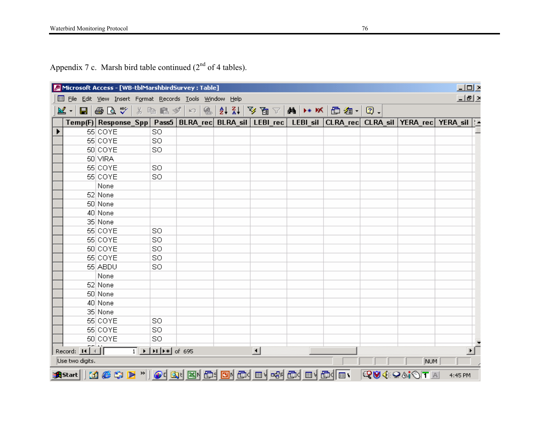Appendix 7 c. Marsh bird table continued  $(2<sup>nd</sup>$  of 4 tables).

|   |                      |                                                      | Microsoft Access - [WB-tblMarshbirdSurvey : Table]                                                     |   |                        |                                                                                                             |             |         | $\underline{\blacksquare} \underline{\blacksquare} \underline{\triangleright}$                                |
|---|----------------------|------------------------------------------------------|--------------------------------------------------------------------------------------------------------|---|------------------------|-------------------------------------------------------------------------------------------------------------|-------------|---------|---------------------------------------------------------------------------------------------------------------|
| ▣ |                      |                                                      | File Edit View Insert Format Records Tools Window Help                                                 |   |                        |                                                                                                             |             |         | 그리스                                                                                                           |
|   | $ \mathbb{Z} \cdot $ | $\blacksquare$ $\clubsuit$ $\mathbb{Q}$ $\mathbb{C}$ | ※ 脂 ■ ダ   ロ                                                                                            | 魯 |                        | $ A $ } } } 2 d $\mathbb{R}$   $\mathbb{N}$   $\mathbb{R}$   $\mathbb{N}$   面 h $\mathbb{Z}$ - $\mathbb{N}$ | $\bullet$ . |         |                                                                                                               |
|   |                      |                                                      |                                                                                                        |   |                        |                                                                                                             |             |         | Temp(F) Response_Spp  Pass5  BLRA_rec  BLRA_sil   LEBI_rec   LEBI_sil  CLRA_rec  CLRA_sil  YERA_rec  YERA_sil |
|   |                      | 55 COYE                                              | SO.                                                                                                    |   |                        |                                                                                                             |             |         |                                                                                                               |
|   |                      | 55 COYE                                              | SO                                                                                                     |   |                        |                                                                                                             |             |         |                                                                                                               |
|   |                      | 50 COYE                                              | SO                                                                                                     |   |                        |                                                                                                             |             |         |                                                                                                               |
|   |                      | 50 VIRA                                              |                                                                                                        |   |                        |                                                                                                             |             |         |                                                                                                               |
|   |                      | 55 COYE                                              | SO                                                                                                     |   |                        |                                                                                                             |             |         |                                                                                                               |
|   |                      | 55 COYE                                              | SO                                                                                                     |   |                        |                                                                                                             |             |         |                                                                                                               |
|   |                      | None                                                 |                                                                                                        |   |                        |                                                                                                             |             |         |                                                                                                               |
|   |                      | 52 None                                              |                                                                                                        |   |                        |                                                                                                             |             |         |                                                                                                               |
|   |                      | 50 None                                              |                                                                                                        |   |                        |                                                                                                             |             |         |                                                                                                               |
|   |                      | 40 None                                              |                                                                                                        |   |                        |                                                                                                             |             |         |                                                                                                               |
|   |                      | 35 None                                              |                                                                                                        |   |                        |                                                                                                             |             |         |                                                                                                               |
|   |                      | 55 COYE                                              | <b>SO</b>                                                                                              |   |                        |                                                                                                             |             |         |                                                                                                               |
|   |                      | 55 COYE                                              | <b>SO</b>                                                                                              |   |                        |                                                                                                             |             |         |                                                                                                               |
|   |                      | 50 COYE                                              | SO                                                                                                     |   |                        |                                                                                                             |             |         |                                                                                                               |
|   |                      | 55 COYE                                              | <b>SO</b>                                                                                              |   |                        |                                                                                                             |             |         |                                                                                                               |
|   |                      | 55 ABDU                                              | <b>SO</b>                                                                                              |   |                        |                                                                                                             |             |         |                                                                                                               |
|   |                      | None                                                 |                                                                                                        |   |                        |                                                                                                             |             |         |                                                                                                               |
|   |                      | 52 None                                              |                                                                                                        |   |                        |                                                                                                             |             |         |                                                                                                               |
|   |                      | 50 None                                              |                                                                                                        |   |                        |                                                                                                             |             |         |                                                                                                               |
|   |                      | 40 None                                              |                                                                                                        |   |                        |                                                                                                             |             |         |                                                                                                               |
|   |                      | 35 None                                              |                                                                                                        |   |                        |                                                                                                             |             |         |                                                                                                               |
|   |                      | 55 COYE                                              | <b>SO</b>                                                                                              |   |                        |                                                                                                             |             |         |                                                                                                               |
|   |                      | 55 COYE                                              | SO                                                                                                     |   |                        |                                                                                                             |             |         |                                                                                                               |
|   |                      | 50 COYE                                              | <b>SO</b>                                                                                              |   |                        |                                                                                                             |             |         |                                                                                                               |
|   | Record: 11 4         |                                                      | $\overline{1}$   $\blacktriangleright$   $\blacktriangleright$   $\blacktriangleright$ $\ast$   of 695 |   | $\left  \cdot \right $ |                                                                                                             |             |         |                                                                                                               |
|   | Use two digits.      |                                                      |                                                                                                        |   |                        |                                                                                                             |             | NUM     |                                                                                                               |
|   |                      |                                                      |                                                                                                        |   |                        |                                                                                                             |             | RUICITA | 4:45 PM                                                                                                       |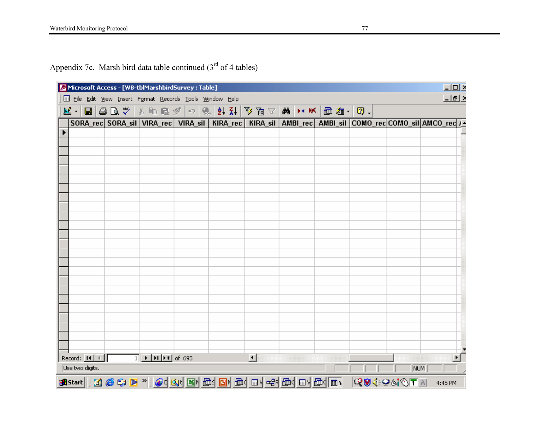Appendix 7c. Marsh bird data table continued  $(3<sup>rd</sup>$  of 4 tables)

|                 |  |  |                                                                                                              |  | Microsoft Access - [WB-tblMarshbirdSurvey : Table]<br>File Edit View Insert Format Records Tools Window Help |  |  |                     |  |  |  |                                                                                                                          |  |  |          |     |         | $L = 2$<br>그리스 |
|-----------------|--|--|--------------------------------------------------------------------------------------------------------------|--|--------------------------------------------------------------------------------------------------------------|--|--|---------------------|--|--|--|--------------------------------------------------------------------------------------------------------------------------|--|--|----------|-----|---------|----------------|
|                 |  |  |                                                                                                              |  |                                                                                                              |  |  |                     |  |  |  |                                                                                                                          |  |  |          |     |         |                |
|                 |  |  |                                                                                                              |  |                                                                                                              |  |  |                     |  |  |  | SORA_rec  SORA_sil   VIRA_rec   VIRA_sil   KIRA_rec   KIRA_sil   AMBI_rec   AMBI_sil   COMO_rec COMO_sil   AMCO_rec   J_ |  |  |          |     |         |                |
|                 |  |  |                                                                                                              |  |                                                                                                              |  |  |                     |  |  |  |                                                                                                                          |  |  |          |     |         |                |
|                 |  |  |                                                                                                              |  |                                                                                                              |  |  |                     |  |  |  |                                                                                                                          |  |  |          |     |         |                |
|                 |  |  |                                                                                                              |  |                                                                                                              |  |  |                     |  |  |  |                                                                                                                          |  |  |          |     |         |                |
|                 |  |  |                                                                                                              |  |                                                                                                              |  |  |                     |  |  |  |                                                                                                                          |  |  |          |     |         |                |
|                 |  |  |                                                                                                              |  |                                                                                                              |  |  |                     |  |  |  |                                                                                                                          |  |  |          |     |         |                |
|                 |  |  |                                                                                                              |  |                                                                                                              |  |  |                     |  |  |  |                                                                                                                          |  |  |          |     |         |                |
|                 |  |  |                                                                                                              |  |                                                                                                              |  |  |                     |  |  |  |                                                                                                                          |  |  |          |     |         |                |
|                 |  |  |                                                                                                              |  |                                                                                                              |  |  |                     |  |  |  |                                                                                                                          |  |  |          |     |         |                |
|                 |  |  |                                                                                                              |  |                                                                                                              |  |  |                     |  |  |  |                                                                                                                          |  |  |          |     |         |                |
|                 |  |  |                                                                                                              |  |                                                                                                              |  |  |                     |  |  |  |                                                                                                                          |  |  |          |     |         |                |
|                 |  |  |                                                                                                              |  |                                                                                                              |  |  |                     |  |  |  |                                                                                                                          |  |  |          |     |         |                |
|                 |  |  |                                                                                                              |  |                                                                                                              |  |  |                     |  |  |  |                                                                                                                          |  |  |          |     |         |                |
|                 |  |  |                                                                                                              |  |                                                                                                              |  |  |                     |  |  |  |                                                                                                                          |  |  |          |     |         |                |
|                 |  |  |                                                                                                              |  |                                                                                                              |  |  |                     |  |  |  |                                                                                                                          |  |  |          |     |         |                |
|                 |  |  |                                                                                                              |  |                                                                                                              |  |  |                     |  |  |  |                                                                                                                          |  |  |          |     |         |                |
| Record: 14 4    |  |  | $\overline{1}$ $\rightarrow$ $\overline{1}$ $\rightarrow$ $\overline{1}$ $\rightarrow$ $\overline{1}$ of 695 |  |                                                                                                              |  |  | $\vert \cdot \vert$ |  |  |  |                                                                                                                          |  |  |          |     |         | $\mathbf{F}$   |
| Use two digits. |  |  |                                                                                                              |  |                                                                                                              |  |  |                     |  |  |  |                                                                                                                          |  |  |          | NUM |         |                |
|                 |  |  |                                                                                                              |  |                                                                                                              |  |  |                     |  |  |  | <b>A</b> Start    11 6 5 1 2 "    0 1 3 1 3 1 6 1 8 1 6 1 8 1 6 1 8 1 6 1 8 1 6 1 8 1 6 1 8 1 6 1 8 1 6 1 8 1 6 1 8 1    |  |  | RUIGIOTA |     | 4:45 PM |                |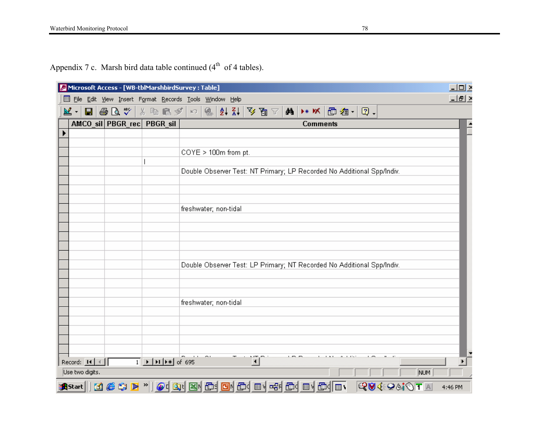Appendix 7 c. Marsh bird data table continued  $(4<sup>th</sup>$  of 4 tables).

|   |                       |  | Microsoft Access - [WB-tblMarshbirdSurvey : Table]                                                                                                                                                                                                                                                                                                                                                     |  |                                                                        |                      |  |                 |  |  |             |            | $-10 \times$ |  |
|---|-----------------------|--|--------------------------------------------------------------------------------------------------------------------------------------------------------------------------------------------------------------------------------------------------------------------------------------------------------------------------------------------------------------------------------------------------------|--|------------------------------------------------------------------------|----------------------|--|-----------------|--|--|-------------|------------|--------------|--|
| 圍 |                       |  | File Edit View Insert Format Records Tools Window Help                                                                                                                                                                                                                                                                                                                                                 |  |                                                                        |                      |  |                 |  |  |             |            | 그리스          |  |
|   | ⊠・                    |  | $\blacksquare$  @ Q $\mathfrak{P}$   $\lambda$   & C $\mathscr{I}$   $\circ$                                                                                                                                                                                                                                                                                                                           |  | $9477$                                                                 |                      |  |                 |  |  |             |            |              |  |
|   |                       |  | AMCO sil PBGR rec PBGR sil                                                                                                                                                                                                                                                                                                                                                                             |  |                                                                        |                      |  | <b>Comments</b> |  |  |             |            |              |  |
|   |                       |  |                                                                                                                                                                                                                                                                                                                                                                                                        |  |                                                                        |                      |  |                 |  |  |             |            |              |  |
|   |                       |  |                                                                                                                                                                                                                                                                                                                                                                                                        |  |                                                                        |                      |  |                 |  |  |             |            |              |  |
|   |                       |  |                                                                                                                                                                                                                                                                                                                                                                                                        |  | COYE > 100m from pt.                                                   |                      |  |                 |  |  |             |            |              |  |
|   |                       |  |                                                                                                                                                                                                                                                                                                                                                                                                        |  | Double Observer Test: NT Primary; LP Recorded No Additional Spp/Indiv. |                      |  |                 |  |  |             |            |              |  |
|   |                       |  |                                                                                                                                                                                                                                                                                                                                                                                                        |  |                                                                        |                      |  |                 |  |  |             |            |              |  |
|   |                       |  |                                                                                                                                                                                                                                                                                                                                                                                                        |  |                                                                        |                      |  |                 |  |  |             |            |              |  |
|   |                       |  |                                                                                                                                                                                                                                                                                                                                                                                                        |  |                                                                        |                      |  |                 |  |  |             |            |              |  |
|   |                       |  |                                                                                                                                                                                                                                                                                                                                                                                                        |  | freshwater; non-tidal                                                  |                      |  |                 |  |  |             |            |              |  |
|   |                       |  |                                                                                                                                                                                                                                                                                                                                                                                                        |  |                                                                        |                      |  |                 |  |  |             |            |              |  |
|   |                       |  |                                                                                                                                                                                                                                                                                                                                                                                                        |  |                                                                        |                      |  |                 |  |  |             |            |              |  |
|   |                       |  |                                                                                                                                                                                                                                                                                                                                                                                                        |  |                                                                        |                      |  |                 |  |  |             |            |              |  |
|   |                       |  |                                                                                                                                                                                                                                                                                                                                                                                                        |  |                                                                        |                      |  |                 |  |  |             |            |              |  |
|   |                       |  |                                                                                                                                                                                                                                                                                                                                                                                                        |  | Double Observer Test: LP Primary; NT Recorded No Additional Spp/Indiv. |                      |  |                 |  |  |             |            |              |  |
|   |                       |  |                                                                                                                                                                                                                                                                                                                                                                                                        |  |                                                                        |                      |  |                 |  |  |             |            |              |  |
|   |                       |  |                                                                                                                                                                                                                                                                                                                                                                                                        |  |                                                                        |                      |  |                 |  |  |             |            |              |  |
|   |                       |  |                                                                                                                                                                                                                                                                                                                                                                                                        |  | freshwater; non-tidal                                                  |                      |  |                 |  |  |             |            |              |  |
|   |                       |  |                                                                                                                                                                                                                                                                                                                                                                                                        |  |                                                                        |                      |  |                 |  |  |             |            |              |  |
|   |                       |  |                                                                                                                                                                                                                                                                                                                                                                                                        |  |                                                                        |                      |  |                 |  |  |             |            |              |  |
|   |                       |  |                                                                                                                                                                                                                                                                                                                                                                                                        |  |                                                                        |                      |  |                 |  |  |             |            |              |  |
|   |                       |  |                                                                                                                                                                                                                                                                                                                                                                                                        |  |                                                                        |                      |  |                 |  |  |             |            |              |  |
|   | Record: $H \setminus$ |  | $\overline{1}$ $\overline{)$ $\overline{)$ $\overline{)$ $\overline{)$ $\overline{)$ $\overline{)$ $\overline{)$ $\overline{)$ $\overline{)$ $\overline{)$ $\overline{)$ $\overline{)$ $\overline{)$ $\overline{)$ $\overline{)$ $\overline{)$ $\overline{)$ $\overline{)$ $\overline{)$ $\overline{)$ $\overline{)$ $\overline{)$ $\overline{)$ $\overline{)$ $\overline{)$ $\overline{)$ $\overline$ |  |                                                                        | $\blacktriangleleft$ |  |                 |  |  |             |            |              |  |
|   | Use two digits.       |  |                                                                                                                                                                                                                                                                                                                                                                                                        |  |                                                                        |                      |  |                 |  |  |             | <b>NUM</b> |              |  |
|   |                       |  | Start    11 6 \$ 1 2 "    0 1 Q 1 B 1 B 1 O 1 G 1 O 1 C 1 B 1 C 1 C 1 O 1 C 1 C                                                                                                                                                                                                                                                                                                                        |  |                                                                        |                      |  |                 |  |  | LT0`&®\$\$™ |            | 4:46 PM      |  |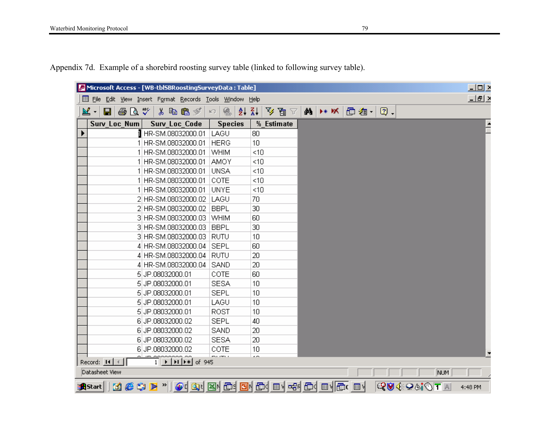Appendix 7d. Example of a shorebird roosting survey table (linked to following survey table).

| Microsoft Access - [WB-tbl5BRoostingSurveyData : Table]                                                                                                                                                                                                                                                                                                                                                                                                                               |                |                                   |  |            | 三回区     |
|---------------------------------------------------------------------------------------------------------------------------------------------------------------------------------------------------------------------------------------------------------------------------------------------------------------------------------------------------------------------------------------------------------------------------------------------------------------------------------------|----------------|-----------------------------------|--|------------|---------|
| Ell File Edit View Insert Format Records Tools Window Help                                                                                                                                                                                                                                                                                                                                                                                                                            |                |                                   |  |            | 그미지     |
| 國<br>60 Q<br>人名尼戈<br>Н                                                                                                                                                                                                                                                                                                                                                                                                                                                                | も<br>ĝ↓<br>K)  | 受冒乏<br>$\frac{Z}{A}$              |  |            |         |
| Surv_Loc_Num<br><b>Surv Loc Code</b>                                                                                                                                                                                                                                                                                                                                                                                                                                                  | <b>Species</b> | % Estimate                        |  |            |         |
| 1 HR-SM.08032000.01                                                                                                                                                                                                                                                                                                                                                                                                                                                                   | LAGU           | 80                                |  |            |         |
| HR-SM.08032000.01                                                                                                                                                                                                                                                                                                                                                                                                                                                                     | <b>HERG</b>    | 10                                |  |            |         |
| 1 HR-SM.08032000.01                                                                                                                                                                                                                                                                                                                                                                                                                                                                   | <b>WHIM</b>    | $<$ 10                            |  |            |         |
| 1 HR-SM.08032000.01                                                                                                                                                                                                                                                                                                                                                                                                                                                                   | <b>AMOY</b>    | $<$ 10                            |  |            |         |
| 1 HR-SM.08032000.01                                                                                                                                                                                                                                                                                                                                                                                                                                                                   | <b>UNSA</b>    | $<$ 10                            |  |            |         |
| 1 HR-SM.08032000.01                                                                                                                                                                                                                                                                                                                                                                                                                                                                   | COTE           | $<$ 10                            |  |            |         |
| 1 HR-SM.08032000.01                                                                                                                                                                                                                                                                                                                                                                                                                                                                   | <b>UNYE</b>    | $<$ 10                            |  |            |         |
| 2 HR-SM.08032000.02                                                                                                                                                                                                                                                                                                                                                                                                                                                                   | LAGU           | 70                                |  |            |         |
| 2 HR-SM.08032000.02                                                                                                                                                                                                                                                                                                                                                                                                                                                                   | <b>BBPL</b>    | 30                                |  |            |         |
| 3 HR-SM.08032000.03                                                                                                                                                                                                                                                                                                                                                                                                                                                                   | WHIM           | 60                                |  |            |         |
| 3 HR-SM.08032000.03                                                                                                                                                                                                                                                                                                                                                                                                                                                                   | <b>BBPL</b>    | 30                                |  |            |         |
| 3 HR-SM.08032000.03                                                                                                                                                                                                                                                                                                                                                                                                                                                                   | <b>RUTU</b>    | 10                                |  |            |         |
| 4 HR-SM.08032000.04                                                                                                                                                                                                                                                                                                                                                                                                                                                                   | <b>SEPL</b>    | 60                                |  |            |         |
| 4 HR-SM.08032000.04                                                                                                                                                                                                                                                                                                                                                                                                                                                                   | <b>RUTU</b>    | 20                                |  |            |         |
| 4 HR-SM.08032000.04                                                                                                                                                                                                                                                                                                                                                                                                                                                                   | SAND           | 20                                |  |            |         |
| 5 JP.08032000.01                                                                                                                                                                                                                                                                                                                                                                                                                                                                      | COTE           | 60                                |  |            |         |
| 5JP.08032000.01                                                                                                                                                                                                                                                                                                                                                                                                                                                                       | <b>SESA</b>    | 10                                |  |            |         |
| 5JP.08032000.01                                                                                                                                                                                                                                                                                                                                                                                                                                                                       | <b>SEPL</b>    | 10                                |  |            |         |
| 5JP.08032000.01                                                                                                                                                                                                                                                                                                                                                                                                                                                                       | LAGU           | 10                                |  |            |         |
| 5 JP.08032000.01                                                                                                                                                                                                                                                                                                                                                                                                                                                                      | ROST           | 10                                |  |            |         |
| 6JP.08032000.02                                                                                                                                                                                                                                                                                                                                                                                                                                                                       | <b>SEPL</b>    | 40                                |  |            |         |
| 6JP.08032000.02                                                                                                                                                                                                                                                                                                                                                                                                                                                                       | SAND           | 20                                |  |            |         |
| 6JP.08032000.02                                                                                                                                                                                                                                                                                                                                                                                                                                                                       | <b>SESA</b>    | 20                                |  |            |         |
| 6 JP.08032000.02                                                                                                                                                                                                                                                                                                                                                                                                                                                                      | COTE           | 10                                |  |            |         |
| $\overline{1}$ $\rightarrow$ $\overline{1}$ $\rightarrow$ $\overline{1}$ $\rightarrow$ $\overline{1}$ $\rightarrow$ $\overline{1}$ $\rightarrow$ $\overline{1}$ $\rightarrow$ $\overline{1}$ $\rightarrow$ $\overline{1}$ $\rightarrow$ $\overline{1}$ $\rightarrow$ $\overline{1}$ $\rightarrow$ $\overline{1}$ $\rightarrow$ $\overline{1}$ $\rightarrow$ $\overline{1}$ $\rightarrow$ $\overline{1}$ $\rightarrow$ $\overline{1}$ $\rightarrow$ $\overline{1}$ $\$<br>Record: 14 4 | ---            | $\overline{\phantom{a}}$          |  |            |         |
| Datasheet View                                                                                                                                                                                                                                                                                                                                                                                                                                                                        |                |                                   |  | NUM        |         |
| Met en<br><b>A</b> Start                                                                                                                                                                                                                                                                                                                                                                                                                                                              |                | O Q Q B B O D Q Q O C C O D C O U |  | QVI€Q&jOTA | 4:48 PM |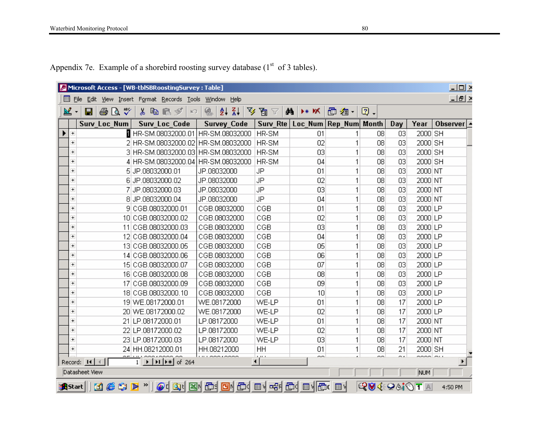|  | Appendix 7e. Example of a shorebird roosting survey database $(1st$ of 3 tables). |  |  |
|--|-----------------------------------------------------------------------------------|--|--|
|  |                                                                                   |  |  |

|                          |                                        | Microsoft Access - [WB-tblSBRoostingSurvey : Table]             |                                         |             |                       |       |               |      |         | $\Box$ lell $\times$      |
|--------------------------|----------------------------------------|-----------------------------------------------------------------|-----------------------------------------|-------------|-----------------------|-------|---------------|------|---------|---------------------------|
| 團                        | Eile                                   | Edit View Insert Format Records Tools                           | <u>W</u> indow Help                     |             |                       |       |               |      |         | $\Box$ el >               |
| 図                        | ᢟ<br>Ч<br>68 Q<br>$\blacktriangledown$ | よも言ず<br>$ C\rangle$                                             | $\frac{A}{2}$ $\frac{B}{A}$<br>Y<br>魯   | 眉口          | ₫ã.∣<br>⊁* <i>Y</i> K | 面 淘 - | $\boxed{2}$ . |      |         |                           |
|                          | <b>Surv Loc Num</b>                    | <b>Surv Loc Code</b>                                            | <b>Survey_Code</b>                      | Surv_Rte    | Loc Num Rep Num Month |       |               | Day  | Year    | Observer $\blacktriangle$ |
| $+$                      |                                        | HR-SM.08032000.01   HR-SM.08032000                              |                                         | HR-SM       | 01                    |       | 08            | 03   | 2000 SH |                           |
| $\overline{\phantom{a}}$ |                                        | 2 HR-SM.08032000.02 HR-SM.08032000                              |                                         | HR-SM       | 02                    |       | 08            | 03   | 2000 SH |                           |
| $\overline{+}$           |                                        | 3 HR-SM.08032000.03 HR-SM.08032000                              |                                         | HR-SM       | 03                    |       | 08            | 03   | 2000 SH |                           |
| $\overline{\phantom{a}}$ |                                        | 4 HR-SM.08032000.04 HR-SM.08032000                              |                                         | HR-SM       | 04                    |       | 08            | 03   | 2000 SH |                           |
| $\overline{+}$           |                                        | 5JP.08032000.01                                                 | JP.08032000                             | JP          | 01                    | 1     | 08            | 03   | 2000 NT |                           |
| $\overline{+}$           |                                        | 6 JP.08032000.02                                                | JP.08032000                             | JP          | 02                    | 1     | 08            | 03   | 2000 NT |                           |
| $\overline{+}$           |                                        | 7 JP.08032000.03                                                | JP.08032000                             | JP          | 03                    |       | 08            | 03   | 2000 NT |                           |
| $\pm$                    |                                        | 8 JP.08032000.04                                                | JP.08032000                             | JP          | 04                    | 1     | 08            | 03   | 2000 NT |                           |
| $\pm$                    |                                        | 9 CGB.08032000.01                                               | CGB.08032000                            | CGB         | 01                    | 1     | 08            | 03   | 2000 LP |                           |
| $\overline{+}$           |                                        | 10 CGB.08032000.02                                              | CGB.08032000                            | CGB         | 02                    | 1     | 08            | 03   | 2000 LP |                           |
| $\overline{+}$           |                                        | 11 CGB.08032000.03                                              | CGB.08032000                            | CGB         | 03                    |       | 08            | 03   | 2000 LP |                           |
| $+$                      |                                        | 12 CGB.08032000.04                                              | CGB.08032000                            | CGB         | 04                    | 1     | 08            | 03   | 2000 LP |                           |
| $+$                      |                                        | 13 CGB.08032000.05                                              | CGB.08032000                            | CGB         | 05                    | 1     | 08            | 03   | 2000 LP |                           |
| $\overline{+}$           |                                        | 14 CGB.08032000.06                                              | CGB.08032000                            | CGB         | 06                    | 1     | 08            | 03   | 2000 LP |                           |
| $\overline{+}$           |                                        | 15 CGB.08032000.07                                              | CGB.08032000                            | CGB         | 07                    |       | 08            | 03   | 2000 LP |                           |
| $\overline{+}$           |                                        | 16 CGB.08032000.08                                              | CGB.08032000                            | CGB         | 08                    | 1     | 08            | 03   | 2000 LP |                           |
| $\overline{+}$           |                                        | 17 CGB.08032000.09                                              | CGB.08032000                            | CGB         | 09                    | 1     | 08            | 03   | 2000 LP |                           |
| $\pm$                    |                                        | 18 CGB.08032000.10                                              | CGB.08032000                            | CGB         | 10                    | 1     | 08            | 03   | 2000 LP |                           |
| $\overline{\phantom{a}}$ |                                        | 19 WE.08172000.01                                               | WE.08172000                             | WE-LP       | 01                    |       | 08            | 17   | 2000 LP |                           |
| $\pm$                    |                                        | 20 WE.08172000.02                                               | WE.08172000                             | WE-LP       | 02                    | 1     | 08            | 17   | 2000 LP |                           |
| $\pm$                    |                                        | 21 LP.08172000.01                                               | LP.08172000                             | WE-LP       | 01                    | 1     | 08            | 17   | 2000 NT |                           |
| $\pm$                    |                                        | 22 LP.08172000.02                                               | LP.08172000                             | WE-LP       | 02                    | 1     | 08            | 17   | 2000 NT |                           |
| $\overline{\phantom{a}}$ |                                        | 23 LP.08172000.03                                               | LP.08172000                             | WE-LP       | 03                    | 1     | 08            | 17   | 2000 NT |                           |
| $\overline{\phantom{a}}$ |                                        | 24 HH.08212000.01                                               | HH.08212000                             | HH          | 01                    | 1     | 08            | 21   | 2000 SH |                           |
|                          | Record: $H \mid $                      | $\overline{1}$ $\overline{)$ $\overline{) +   +   +   }$ of 264 |                                         | المعرة<br>◂ | 00.                   |       | $\sim$        | o.e. | socolou | $\blacktriangleright$     |
|                          | Datasheet View                         |                                                                 |                                         |             |                       |       |               |      | NUM     |                           |
| <b>A</b> Start           | ø                                      | (C \$ D *                                                       | @ Q Q Q B Q @ @ @ @ @ Q @ @ @ @ @ @ @ @ |             |                       |       | IQV4O61ÔTA    |      |         | 4:50 PM                   |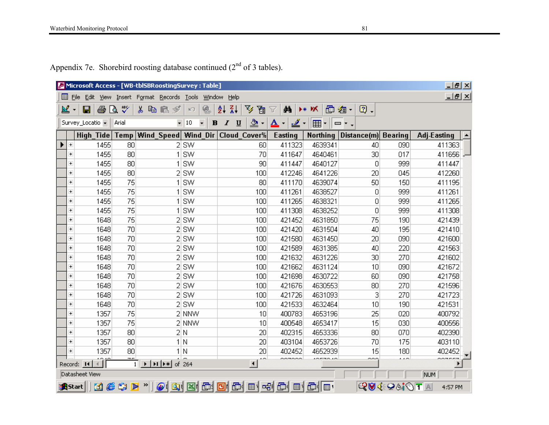|                                  |                  |              |                     |                                                                          | Microsoft Access - [WB-tbl5BRoostingSurvey : Table] |              |                                         |                     |                          |                                             |       |                    |             |                |                    | $\Box$ el $\times$ |
|----------------------------------|------------------|--------------|---------------------|--------------------------------------------------------------------------|-----------------------------------------------------|--------------|-----------------------------------------|---------------------|--------------------------|---------------------------------------------|-------|--------------------|-------------|----------------|--------------------|--------------------|
| $\Box$ File                      | Edit             | <b>View</b>  | Insert              |                                                                          | Format Records Tools                                |              | Window                                  | Help                |                          |                                             |       |                    |             |                |                    |                    |
| ≝<br>$\overline{\phantom{a}}$    | $\blacksquare$   | 4            | $\sqrt[36]{}$<br>Q. | y,                                                                       | 电电<br>$\mathscr{D}$                                 | $\mathbb{K}$ | €                                       | $\frac{7}{4}$<br>₫↓ | V<br>圓                   | đА<br>Y                                     | D* DX |                    | 面 淘 -<br>図. |                |                    |                    |
|                                  | Survey_Locatio + |              | Arial               |                                                                          |                                                     | $-10$        | $\overline{\phantom{0}}$<br>$\mathbf B$ | I<br>$u$            | ♨<br>$\color{blue}\star$ | ◬<br>$\blacktriangledown$                   | ◢・ ⊞  | ▾∥▭▾。              |             |                |                    |                    |
|                                  | <b>High Tide</b> |              | <b>Temp</b>         |                                                                          | Wind Speed                                          |              |                                         |                     | Wind Dir Cloud Cover%    | Easting                                     |       | <b>Northing</b>    | Distance(m) | <b>Bearing</b> | <b>Adj-Easting</b> |                    |
| $+$                              |                  | 1455         | 80                  |                                                                          |                                                     | $2$ SW       |                                         |                     | 60                       | 411323                                      |       | 4639341            | 40          | 090            | 411363             |                    |
| $\overline{+}$                   |                  | 1455         | 80                  |                                                                          |                                                     | 1 SW         |                                         |                     | 70                       | 411647                                      |       | 4640461            | 30          | 017            |                    | 411656 -           |
| $\overline{+}$                   |                  | 1455         | 80                  |                                                                          |                                                     | 1 SW         |                                         |                     | 90                       | 411447                                      |       | 4640127            | 0           | 999            | 411447             |                    |
| $\overline{+}$                   |                  | 1455         | 80                  |                                                                          |                                                     | 2 SW         |                                         |                     | 100                      | 412246                                      |       | 4641226            | 20          | 045            | 412260             |                    |
| $+$                              |                  | 1455         | 75                  |                                                                          |                                                     | 1 SW         |                                         |                     | 80                       | 411170                                      |       | 4639074            | 50          | 150            | 411195             |                    |
| $\overline{+}$                   |                  | 1455         | 75                  |                                                                          |                                                     | 1 SW         |                                         |                     | 100                      | 411261                                      |       | 4638527            | 0           | 999            | 411261             |                    |
| $+$                              |                  | 1455         | 75                  |                                                                          |                                                     | SW           |                                         |                     | 100                      | 411265                                      |       | 4638321            | 0           | 999            | 411265             |                    |
| $\overline{+}$                   |                  | 1455         | 75                  |                                                                          |                                                     | 1 SW         |                                         |                     | 100                      | 411308                                      |       | 4638252            | 0           | 999            | 411308             |                    |
| $\overline{+}$                   |                  | 1648         | 75                  |                                                                          |                                                     | 2 SW         |                                         |                     | 100                      | 421452                                      |       | 4631850            | 75          | 190            | 421439             |                    |
| $\overline{+}$                   |                  | 1648         | 70                  |                                                                          |                                                     | 2 SW         |                                         |                     | 100                      | 421420                                      |       | 4631504            | 40          | 195            | 421410             |                    |
| $\overline{+}$                   |                  | 1648         | 70                  |                                                                          |                                                     | 2 SW         |                                         |                     | 100                      | 421580                                      |       | 4631450            | 20          | 090            | 421600             |                    |
| $\overline{+}$                   |                  | 1648         | 70                  |                                                                          |                                                     | 2 SW         |                                         |                     | 100                      | 421589                                      |       | 4631385            | 40          | 220            | 421563             |                    |
| $\overline{+}$                   |                  | 1648         | 70                  |                                                                          |                                                     | 2 SW         |                                         |                     | 100                      | 421632                                      |       | 4631226            | 30          | 270            | 421602             |                    |
| $+$                              |                  | 1648         | 70                  |                                                                          |                                                     | 2 SW         |                                         |                     | 100                      | 421662                                      |       | 4631124            | 10          | 090            | 421672             |                    |
| $\overline{+}$                   |                  | 1648         | 70                  |                                                                          |                                                     | 2 SW         |                                         |                     | 100                      | 421698                                      |       | 4630722            | 60          | 090            | 421758             |                    |
| $+$                              |                  | 1648         | 70                  |                                                                          |                                                     | 2 SW         |                                         |                     | 100                      | 421676                                      |       | 4630553            | 80          | 270            | 421596             |                    |
| $\overline{+}$                   |                  | 1648         | 70                  |                                                                          |                                                     | 2 SW         |                                         |                     | 100                      | 421726                                      |       | 4631093            | 3           | 270            | 421723             |                    |
| $\overline{+}$                   |                  | 1648         | 70                  |                                                                          |                                                     | 2 SW         |                                         |                     | 100                      | 421533                                      |       | 4632464            | 10          | 190            | 421531             |                    |
| $+$                              |                  | 1357         | 75                  |                                                                          |                                                     | 2 NNW        |                                         |                     | 10                       | 400783                                      |       | 4653196            | 25          | 020            | 400792             |                    |
| $\overline{+}$                   |                  | 1357         | 75                  |                                                                          |                                                     | 2 NNW        |                                         |                     | 10                       | 400548                                      |       | 4653417            | 15          | 030            | 400556             |                    |
| $\overline{+}$<br>$\overline{+}$ |                  | 1357         | 80<br>80            |                                                                          |                                                     | 2 N          |                                         |                     | 20<br>20                 | 402315                                      |       | 4653336            | 80<br>70    | 070            | 402390             |                    |
| $\overline{+}$                   |                  | 1357<br>1357 | 80                  |                                                                          |                                                     | 1 N<br>1 N   |                                         |                     | 20                       | 403104<br>402452                            |       | 4653726<br>4652939 | 15          | 175<br>180     | 403110<br>402452   |                    |
|                                  |                  |              |                     |                                                                          |                                                     |              |                                         |                     | 4O.                      | oozooo                                      |       | $-770.40$          | ---         | ويستد          | ------             |                    |
|                                  | Record: 14       |              |                     | $\overline{1}$ $\rightarrow$ $\overline{1}$ $\rightarrow$ $\overline{1}$ |                                                     | of 264       |                                         |                     | $\blacktriangleleft$     |                                             |       |                    |             |                |                    |                    |
|                                  | Datasheet View   |              |                     |                                                                          |                                                     |              |                                         |                     |                          |                                             |       |                    |             |                | NUM                |                    |
| <b>an</b> Start                  |                  |              | MetP"               |                                                                          |                                                     |              |                                         |                     |                          | $\bigcirc$ iqikida idiqida ishlarida ishlar |       |                    |             | QV4∶Q&j⊙T∆     | 4:57 PM            |                    |

Appendix 7e. Shorebird roosting database continued  $(2<sup>nd</sup>$  of 3 tables).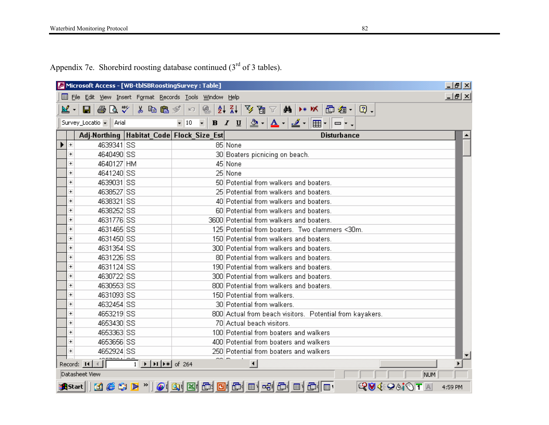Appendix 7e. Shorebird roosting database continued  $(3<sup>rd</sup>$  of 3 tables).

|                                  | Microsoft Access - [WB-tbl5BRoostingSurvey : Table]        |                                                                                                                                                                                                                                                                                                                                                                                                                                                                       |                                       |   |                                                                                                                                                  |  |                    |            |     | <u>니라지</u>               |
|----------------------------------|------------------------------------------------------------|-----------------------------------------------------------------------------------------------------------------------------------------------------------------------------------------------------------------------------------------------------------------------------------------------------------------------------------------------------------------------------------------------------------------------------------------------------------------------|---------------------------------------|---|--------------------------------------------------------------------------------------------------------------------------------------------------|--|--------------------|------------|-----|--------------------------|
|                                  | Ell File Edit View Insert Format Records Tools Window Help |                                                                                                                                                                                                                                                                                                                                                                                                                                                                       |                                       |   |                                                                                                                                                  |  |                    |            |     | <u>니리지</u>               |
| ≌ -⊺                             | $\oplus$ Q $\mathbb{v}$<br>81                              | 人名尼戈                                                                                                                                                                                                                                                                                                                                                                                                                                                                  | $\left\vert \mathcal{C}\right\rangle$ | ❀ | $ A $ $ A $ $ B $ $\overline{B}$ $\overline{C}$ $ A $ $ A $ $M$ $ B $ $\overline{B}$ $\overline{C}$ $\overline{C}$ $\overline{C}$ $\overline{C}$ |  |                    |            |     |                          |
|                                  | Survey_Locatio v   Arial                                   |                                                                                                                                                                                                                                                                                                                                                                                                                                                                       | $-10$                                 |   |                                                                                                                                                  |  |                    |            |     |                          |
|                                  | Adj-Northing Habitat Code Flock Size Est                   |                                                                                                                                                                                                                                                                                                                                                                                                                                                                       |                                       |   |                                                                                                                                                  |  | <b>Disturbance</b> |            |     |                          |
| $+$                              | 4639341 SS                                                 |                                                                                                                                                                                                                                                                                                                                                                                                                                                                       |                                       |   | 85 None                                                                                                                                          |  |                    |            |     |                          |
| $+$                              | 4640490 SS                                                 |                                                                                                                                                                                                                                                                                                                                                                                                                                                                       |                                       |   | 30 Boaters picnicing on beach.                                                                                                                   |  |                    |            |     |                          |
| $\overline{+}$                   | 4640127 HM                                                 |                                                                                                                                                                                                                                                                                                                                                                                                                                                                       |                                       |   | 45 None                                                                                                                                          |  |                    |            |     |                          |
| $+$                              | 4641240 SS                                                 |                                                                                                                                                                                                                                                                                                                                                                                                                                                                       |                                       |   | 25 None                                                                                                                                          |  |                    |            |     |                          |
| $+$                              | 4639031 SS                                                 |                                                                                                                                                                                                                                                                                                                                                                                                                                                                       |                                       |   | 50 Potential from walkers and boaters.                                                                                                           |  |                    |            |     |                          |
| $\ddot{}$                        | 4638527 SS                                                 |                                                                                                                                                                                                                                                                                                                                                                                                                                                                       |                                       |   | 25 Potential from walkers and boaters.                                                                                                           |  |                    |            |     |                          |
| $\ddot{}$                        | 4638321 SS                                                 |                                                                                                                                                                                                                                                                                                                                                                                                                                                                       |                                       |   | 40 Potential from walkers and boaters.                                                                                                           |  |                    |            |     |                          |
| $+$                              | 4638252 SS                                                 |                                                                                                                                                                                                                                                                                                                                                                                                                                                                       |                                       |   | 60 Potential from walkers and boaters.                                                                                                           |  |                    |            |     |                          |
| $+$                              | 4631776 SS                                                 |                                                                                                                                                                                                                                                                                                                                                                                                                                                                       |                                       |   | 3600 Potential from walkers and boaters.                                                                                                         |  |                    |            |     |                          |
| $+$                              | 4631465 SS                                                 |                                                                                                                                                                                                                                                                                                                                                                                                                                                                       |                                       |   | 125 Potential from boaters. Two clammers <30m.                                                                                                   |  |                    |            |     |                          |
| $\ddot{}$                        | 4631450 SS                                                 |                                                                                                                                                                                                                                                                                                                                                                                                                                                                       |                                       |   | 150 Potential from walkers and boaters.                                                                                                          |  |                    |            |     |                          |
| $\overline{+}$                   | 4631354 SS                                                 |                                                                                                                                                                                                                                                                                                                                                                                                                                                                       |                                       |   | 300 Potential from walkers and boaters.                                                                                                          |  |                    |            |     |                          |
| $\overline{+}$                   | 4631226 SS                                                 |                                                                                                                                                                                                                                                                                                                                                                                                                                                                       |                                       |   | 80 Potential from walkers and boaters.                                                                                                           |  |                    |            |     |                          |
| $\begin{array}{c} + \end{array}$ | 4631124 SS                                                 |                                                                                                                                                                                                                                                                                                                                                                                                                                                                       |                                       |   | 190 Potential from walkers and boaters.                                                                                                          |  |                    |            |     |                          |
| $\overline{+}$                   | 4630722 SS                                                 |                                                                                                                                                                                                                                                                                                                                                                                                                                                                       |                                       |   | 300 Potential from walkers and boaters.                                                                                                          |  |                    |            |     |                          |
| $\overline{+}$                   | 4630553 SS                                                 |                                                                                                                                                                                                                                                                                                                                                                                                                                                                       |                                       |   | 800 Potential from walkers and boaters.                                                                                                          |  |                    |            |     |                          |
| $\ddot{}$                        | 4631093 SS                                                 |                                                                                                                                                                                                                                                                                                                                                                                                                                                                       |                                       |   | 150 Potential from walkers.                                                                                                                      |  |                    |            |     |                          |
| $\overline{+}$                   | 4632454 SS                                                 |                                                                                                                                                                                                                                                                                                                                                                                                                                                                       |                                       |   | 30 Potential from walkers.                                                                                                                       |  |                    |            |     |                          |
| $\ddot{}$                        | 4653219 SS                                                 |                                                                                                                                                                                                                                                                                                                                                                                                                                                                       |                                       |   | 800 Actual from beach visitors. Potential from kayakers.                                                                                         |  |                    |            |     |                          |
| $+$                              | 4653430 SS                                                 |                                                                                                                                                                                                                                                                                                                                                                                                                                                                       |                                       |   | 70 Actual beach visitors.                                                                                                                        |  |                    |            |     |                          |
| $+$                              | 4653363 SS                                                 |                                                                                                                                                                                                                                                                                                                                                                                                                                                                       |                                       |   | 100 Potential from boaters and walkers                                                                                                           |  |                    |            |     |                          |
| $\begin{array}{c} + \end{array}$ | 4653656 SS                                                 |                                                                                                                                                                                                                                                                                                                                                                                                                                                                       |                                       |   | 400 Potential from boaters and walkers                                                                                                           |  |                    |            |     |                          |
| $\ddot{}$                        | 4652924 SS                                                 |                                                                                                                                                                                                                                                                                                                                                                                                                                                                       |                                       |   | 250 Potential from boaters and walkers                                                                                                           |  |                    |            |     | $\overline{\phantom{a}}$ |
|                                  | Record: 14                                                 | $\overline{1}$ $\rightarrow$ $\overline{1}$ $\rightarrow$ $\overline{1}$ $\rightarrow$ $\overline{1}$ $\rightarrow$ $\overline{1}$ $\rightarrow$ $\overline{1}$ $\rightarrow$ $\overline{1}$ $\rightarrow$ $\overline{1}$ $\rightarrow$ $\overline{1}$ $\rightarrow$ $\overline{1}$ $\rightarrow$ $\overline{1}$ $\rightarrow$ $\overline{1}$ $\rightarrow$ $\overline{1}$ $\rightarrow$ $\overline{1}$ $\rightarrow$ $\overline{1}$ $\rightarrow$ $\overline{1}$ $\$ |                                       |   | $\blacktriangleleft$                                                                                                                             |  |                    |            |     |                          |
|                                  | Datasheet View                                             |                                                                                                                                                                                                                                                                                                                                                                                                                                                                       |                                       |   |                                                                                                                                                  |  |                    |            | NUM |                          |
|                                  | Astart    11 6 5 D *   0 Q Q B G G G G G G G G G G G       |                                                                                                                                                                                                                                                                                                                                                                                                                                                                       |                                       |   |                                                                                                                                                  |  |                    | QVI€Q&jOTA |     | 4:59 PM                  |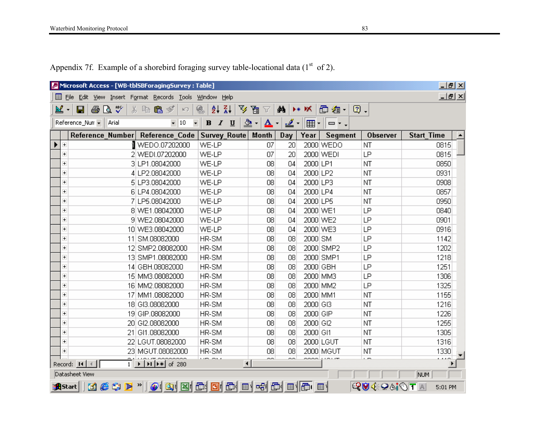|                | Microsoft Access - [WB-tblSBForagingSurvey : Table] |                                  |                                   |                                 |                          |                                       |                                     |          |                |            |                   | $-10 \times$ |  |
|----------------|-----------------------------------------------------|----------------------------------|-----------------------------------|---------------------------------|--------------------------|---------------------------------------|-------------------------------------|----------|----------------|------------|-------------------|--------------|--|
|                | File Edit View Insert Format Records Tools          |                                  |                                   | Window<br>Help                  |                          |                                       |                                     |          |                |            |                   |              |  |
| ⊻              | 40 Q V<br>81                                        | 人生出水                             | $\mathbb{E}$                      | も<br>ĝ↓                         | $\frac{z}{4}$<br>¥       | 囿<br>Y                                | đ4,                                 | ⊁∗ ₩     | Ð<br>淘・        | ②.         |                   |              |  |
|                |                                                     |                                  |                                   |                                 |                          |                                       |                                     |          |                |            |                   |              |  |
|                | Reference_Num -<br>Arial                            |                                  | $\overline{\phantom{a}}$<br>$-10$ | $\mathbf B$<br>$\boldsymbol{I}$ | $\underline{\mathbf{u}}$ | ♨<br>$\Delta$<br>$\blacktriangledown$ | <u> 2</u> -<br>$\blacktriangledown$ | 囲・       | $  \square$ ,  |            |                   |              |  |
|                | Reference Number Reference Code                     |                                  |                                   | <b>Survey_Route</b>             |                          | Month                                 | Day                                 | Year     | <b>Segment</b> | Observer   | <b>Start Time</b> |              |  |
| $+$            |                                                     | I WEDO.07202000                  |                                   | WE-LP                           |                          | 07                                    | 20                                  |          | 2000 WEDO      | <b>NT</b>  |                   | 0815         |  |
| $\overline{+}$ |                                                     | 2 WEDI.07202000                  |                                   | WE-LP                           |                          | 07                                    | 20                                  |          | 2000 WEDI      | LP         |                   | 0815         |  |
| $\overline{+}$ |                                                     | 3 LP1.08042000                   |                                   | WE-LP                           |                          | 08                                    | 04                                  | 2000 LP1 |                | NT         |                   | 0850         |  |
| $\overline{+}$ |                                                     | 4 LP2.08042000                   |                                   | WE-LP                           |                          | 08                                    | 04                                  | 2000 LP2 |                | NT         |                   | 0931         |  |
| $\overline{+}$ |                                                     | 5 LP3.08042000                   |                                   | WE-LP                           |                          | 08                                    | 04                                  | 2000 LP3 |                | NT         |                   | 0908         |  |
| $\overline{+}$ |                                                     | 6 LP4.08042000                   |                                   | WE-LP                           |                          | 08                                    | 04                                  | 2000 LP4 |                | NT         |                   | 0857         |  |
| $\overline{+}$ |                                                     | 7 LP5.08042000                   |                                   | WE-LP                           |                          | 08                                    | 04                                  | 2000 LP5 |                | NT         |                   | 0950         |  |
| $\overline{+}$ |                                                     | 8 WE1.08042000                   |                                   | WE-LP                           |                          | 08                                    | 04                                  | 2000 WE1 |                | LP         |                   | 0840         |  |
| $\overline{+}$ |                                                     | 9 WE2.08042000                   |                                   | WE-LP                           |                          | 08                                    | 04                                  |          | 2000 WE2       | LP         |                   | 0901         |  |
| $\overline{+}$ |                                                     | 10 WE3.08042000                  |                                   | WE-LP                           |                          | 08                                    | 04                                  |          | 2000 WE3       | LP         |                   | 0916         |  |
| $\overline{+}$ |                                                     | 11 SM.08082000                   |                                   | HR-SM                           |                          | 08                                    | 08                                  | 2000 SM  |                | LP         |                   | 1142         |  |
| $\overline{+}$ |                                                     | 12 SMP2.08082000                 |                                   | HR-SM                           |                          | 08                                    | 08                                  |          | 2000 SMP2      | LP         |                   | 1202         |  |
| $\overline{+}$ |                                                     | 13 SMP1.08082000                 |                                   | HR-SM                           |                          | 08                                    | 08                                  |          | 2000 SMP1      | LP         |                   | 1218         |  |
| $\overline{+}$ |                                                     | 14 GBH.08082000                  |                                   | HR-SM                           |                          | 08                                    | 08                                  | 2000 GBH |                | LP         |                   | 1251         |  |
| $\overline{+}$ |                                                     | 15 MM3.08082000                  |                                   | HR-SM                           |                          | 08                                    | 08                                  |          | 2000 MM3       | LP         |                   | 1306         |  |
| $\overline{+}$ |                                                     | 16 MM2.08082000                  |                                   | HR-SM                           |                          | 08                                    | 08                                  |          | 2000 MM2       | LP         |                   | 1325         |  |
| $\overline{+}$ |                                                     | 17 MM1.08082000                  |                                   | HR-SM                           |                          | 08                                    | 08                                  | 2000 MM1 |                | NT         |                   | 1155         |  |
| $\overline{+}$ |                                                     | 18 GI3.08082000                  |                                   | HR-SM                           |                          | 08                                    | 08                                  | 2000 GI3 |                | NT         |                   | 1216         |  |
| $\overline{+}$ |                                                     | 19 GIP.08082000                  |                                   | HR-SM                           |                          | 08                                    | 08                                  | 2000 GIP |                | NT         |                   | 1226         |  |
| $\overline{+}$ |                                                     | 20 GI2.08082000                  |                                   | HR-SM                           |                          | 08                                    | 08                                  | 2000 GI2 |                | NT         |                   | 1255         |  |
| $\overline{+}$ |                                                     | 21 GI1.08082000                  |                                   | HR-SM                           |                          | 08                                    | 08                                  | 2000 GI1 |                | <b>NT</b>  |                   | 1305         |  |
| $\overline{+}$ |                                                     | 22 LGUT.08082000                 |                                   | HR-SM                           |                          | 08                                    | 08                                  |          | 2000 LGUT      | NT         |                   | 1316         |  |
| $\overline{+}$ |                                                     | 23 MGUT.08082000                 |                                   | HR-SM                           |                          | 08                                    | 08                                  |          | 2000 MGUT      | NT         |                   | 1330         |  |
|                | Record: $H \times$                                  | $\frac{2}{1}$ >   H   F   of 280 |                                   | $\cdots$                        | $\blacktriangleleft$     | $\sim$                                | $\sim$                              | $\sim$   |                | والمستد    |                   | لتصادف       |  |
|                | Datasheet View                                      |                                  |                                   |                                 |                          |                                       |                                     |          |                |            | NUM               |              |  |
|                | KGSP" <br><b>A</b> Start                            | OQBEBOODE                        |                                   |                                 |                          |                                       |                                     |          |                | QV4∶Q&j⊙T∆ |                   | 5:01 PM      |  |

Appendix 7f. Example of a shorebird foraging survey table-locational data  $(1<sup>st</sup>$  of 2).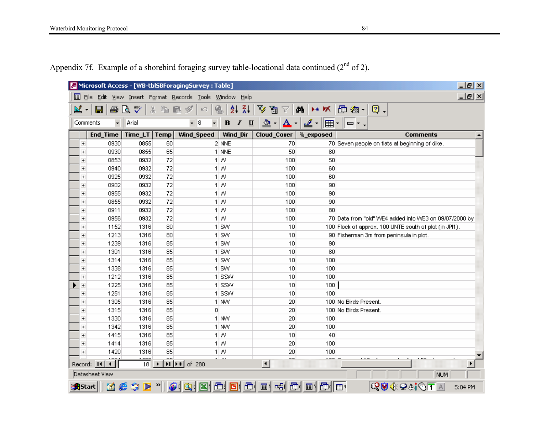|                                                                                                               | $-10$ $\times$<br>Microsoft Access - [WB-tblSBForagingSurvey : Table]                                  |                                      |                                                  |             |                                                            |                    |                         |                                          |                 |                                              |                                                        |                |  |                    |     |         |
|---------------------------------------------------------------------------------------------------------------|--------------------------------------------------------------------------------------------------------|--------------------------------------|--------------------------------------------------|-------------|------------------------------------------------------------|--------------------|-------------------------|------------------------------------------|-----------------|----------------------------------------------|--------------------------------------------------------|----------------|--|--------------------|-----|---------|
|                                                                                                               | $-10 \times$<br>圓<br>View Insert Format Records Tools<br>File<br><b>Edit</b><br>Window<br><u>H</u> elp |                                      |                                                  |             |                                                            |                    |                         |                                          |                 |                                              |                                                        |                |  |                    |     |         |
|                                                                                                               | ≝<br>$\bar{\mathbf{v}}$                                                                                | 4<br>Ч                               | $\stackrel{\text{ABC}}{\blacktriangledown}$<br>Q | y,<br>哈尼    | ∾<br>$ K\rangle$                                           | $\bullet$          | $\frac{z}{A}$<br>ĝĻ     | V<br>圓<br>7                              | åå              | D∗ DX                                        | Ð<br>毱<br>$\blacktriangledown$                         | $\mathbb{Q}$ . |  |                    |     |         |
|                                                                                                               |                                                                                                        |                                      |                                                  |             |                                                            |                    |                         |                                          |                 |                                              |                                                        |                |  |                    |     |         |
|                                                                                                               |                                                                                                        | $\overline{\phantom{a}}$<br>Comments | Arial                                            |             | $\overline{\phantom{a}}$<br>$\overline{\phantom{a}}$<br>18 | $\, {\bf B}$       | $\boldsymbol{I}$<br>$u$ | ♨<br>$\mathbf A$<br>$\blacktriangledown$ | ۰               | <u>. 8</u><br>囲<br>$\blacktriangledown$      | $\Box$ r.<br>▼                                         |                |  |                    |     |         |
|                                                                                                               |                                                                                                        | <b>End_Time</b>                      | Time_LT                                          | <b>Temp</b> | Wind_Speed                                                 |                    | Wind Dir                | <b>Cloud_Cover</b>                       |                 | %_exposed                                    |                                                        |                |  | Comments           |     | ▲       |
|                                                                                                               | $\overline{\phantom{a}}$                                                                               | 0930                                 | 0855                                             | 60          |                                                            | $2$ NNE            |                         |                                          | 70              |                                              | 70 Seven people on flats at beginning of dike.         |                |  |                    |     |         |
|                                                                                                               | $\overline{+}$                                                                                         | 0930                                 | 0855                                             | 65          |                                                            | 1 NNE              |                         |                                          | 50              | 80                                           |                                                        |                |  |                    |     |         |
|                                                                                                               | $\overline{+}$                                                                                         | 0853                                 | 0932                                             | 72          |                                                            | $1 \mid W$         |                         | 100                                      |                 | 50                                           |                                                        |                |  |                    |     |         |
|                                                                                                               | $\overline{+}$                                                                                         | 0940                                 | 0932                                             | 72          |                                                            | $1 \mid W$         |                         | 100                                      |                 | 60                                           |                                                        |                |  |                    |     |         |
|                                                                                                               | $\overline{+}$                                                                                         | 0925                                 | 0932                                             | 72          |                                                            | $1 \mid W$         |                         | 100                                      |                 | 60                                           |                                                        |                |  |                    |     |         |
|                                                                                                               | $\overline{+}$                                                                                         | 0902                                 | 0932                                             | 72          |                                                            | 1 W                |                         | 100                                      |                 | 90                                           |                                                        |                |  |                    |     |         |
|                                                                                                               | $\overline{+}$                                                                                         | 0955                                 | 0932                                             | 72          |                                                            | 1 W                |                         | 100                                      |                 | 90                                           |                                                        |                |  |                    |     |         |
|                                                                                                               | $\overline{+}$                                                                                         | 0855                                 | 0932                                             | 72          |                                                            | 1 W                |                         | 100                                      |                 | 90                                           |                                                        |                |  |                    |     |         |
|                                                                                                               | $\overline{+}$                                                                                         | 0911                                 | 0932                                             | 72          |                                                            | 1 W                |                         | 100                                      |                 | 80                                           |                                                        |                |  |                    |     |         |
|                                                                                                               | $\overline{+}$                                                                                         | 0956                                 | 0932                                             | 72          |                                                            | 1W                 |                         | 100                                      |                 |                                              | 70 Data from "old" WE4 added into WE3 on 09/07/2000 by |                |  |                    |     |         |
|                                                                                                               | $\overline{+}$                                                                                         | 1152                                 | 1316                                             | 80          |                                                            | $1$ SW             |                         |                                          | 10              |                                              | 100 Flock of approx. 100 UNTE south of plot (in JPI1). |                |  |                    |     |         |
|                                                                                                               | $\overline{+}$                                                                                         | 1213                                 | 1316                                             | 80          |                                                            | $1$ SW             |                         |                                          | 10              |                                              | 90 Fisherman 3m from peninsula in plot.                |                |  |                    |     |         |
|                                                                                                               | $\overline{+}$                                                                                         | 1239                                 | 1316                                             | 85          |                                                            | $1$ SW             |                         |                                          | 10              | 90                                           |                                                        |                |  |                    |     |         |
|                                                                                                               | $\overline{+}$                                                                                         | 1301                                 | 1316                                             | 85          |                                                            | $1$ SW             |                         |                                          | 10              | 80                                           |                                                        |                |  |                    |     |         |
|                                                                                                               | $\overline{+}$                                                                                         | 1314                                 | 1316                                             | 85          |                                                            | $1$ SW             |                         |                                          | 10              | 100                                          |                                                        |                |  |                    |     |         |
|                                                                                                               | $\overline{+}$                                                                                         | 1338                                 | 1316                                             | 85          |                                                            | $1$ SW             |                         |                                          | 10              | 100                                          |                                                        |                |  |                    |     |         |
|                                                                                                               | $\overline{+}$                                                                                         | 1212                                 | 1316                                             | 85          |                                                            | $1$ SSW            |                         |                                          | 10 <sup>1</sup> | 100                                          |                                                        |                |  |                    |     |         |
|                                                                                                               | $+$                                                                                                    | 1225                                 | 1316                                             | 85          |                                                            | $1$ SSW            |                         |                                          | 10 <sup>1</sup> | 100                                          |                                                        |                |  |                    |     |         |
|                                                                                                               | $\overline{+}$                                                                                         | 1251                                 | 1316                                             | 85          |                                                            | $1$ SSW            |                         |                                          | 10 <sup>1</sup> | 100                                          |                                                        |                |  |                    |     |         |
|                                                                                                               | $\overline{+}$                                                                                         | 1305                                 | 1316                                             | 85          |                                                            | $1$ NW             |                         |                                          | 20              |                                              | 100 No Birds Present.                                  |                |  |                    |     |         |
|                                                                                                               | $\overline{+}$                                                                                         | 1315                                 | 1316                                             | 85          |                                                            | 0                  |                         |                                          | 20 <sub>1</sub> |                                              | 100 No Birds Present.                                  |                |  |                    |     |         |
|                                                                                                               | $\overline{+}$                                                                                         | 1330                                 | 1316                                             | 85          |                                                            | 1 NW               |                         |                                          | 20 <sub>1</sub> | 100                                          |                                                        |                |  |                    |     |         |
|                                                                                                               | $\overline{+}$                                                                                         | 1342                                 | 1316                                             | 85          |                                                            | $1$ MW             |                         |                                          | 20 <sub>1</sub> | 100                                          |                                                        |                |  |                    |     |         |
|                                                                                                               | $+$                                                                                                    | 1415                                 | 1316                                             | 85          |                                                            | 1 W                |                         |                                          | 10 <sup>1</sup> | 40                                           |                                                        |                |  |                    |     |         |
|                                                                                                               | $\overline{+}$                                                                                         | 1414                                 | 1316                                             | 85          |                                                            | 1 W                |                         |                                          | 20              | 100                                          |                                                        |                |  |                    |     |         |
|                                                                                                               | $\overline{+}$                                                                                         | 1420                                 | 1316<br>$\sim$                                   | 85          |                                                            | $1 \mid W$<br>بماء |                         |                                          | 20<br>oo.       | 100<br>ماممه                                 | $\overline{\phantom{a}}$                               |                |  |                    |     |         |
| $\blacktriangleright$   $\blacktriangleright$ $\neq$   of 280<br>◂<br>18<br>Record: 14<br>◂ ∣<br>$\mathbf{F}$ |                                                                                                        |                                      |                                                  |             |                                                            |                    |                         |                                          |                 |                                              |                                                        |                |  |                    |     |         |
|                                                                                                               |                                                                                                        | Datasheet View                       |                                                  |             |                                                            |                    |                         |                                          |                 |                                              |                                                        |                |  |                    | NUM |         |
|                                                                                                               |                                                                                                        | ø<br><b>B</b> Start                  | æ<br>噏                                           | ≫           | $\bigcirc$ iqini                                           |                    | 画回画                     | 画画明                                      | 画               | $\blacksquare$ $\blacksquare$ $\blacksquare$ |                                                        |                |  | QV4∶Q&j⊙T <u>a</u> |     | 5:04 PM |

Appendix 7f. Example of a shorebird foraging survey table-locational data continued  $(2^{nd}$  of 2).